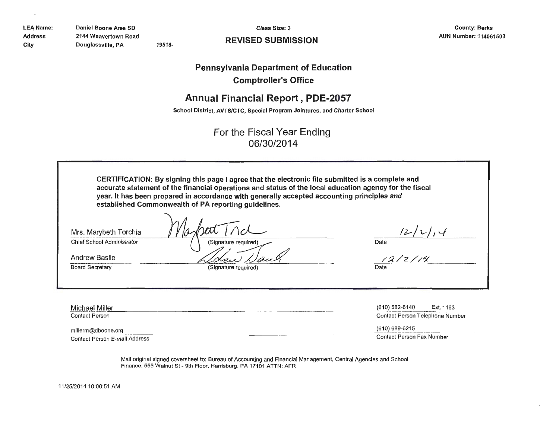**LEA Name: Address City** 

**Daniel Boone Area SD 2144 Weavertown Road Douglassville, PA 19518-** **Class Size: 3** 

**REVISED SUBMISSION** 

**County: Berks AUN Number: 114061503** 

# **Pennsylvania Department of Education Comptroller's Office**

# **Annual Financial Report, PDE-2057**

**School District, AVTS/CTC, Special Program Jointures, and Charter School** 

For the Fiscal Year Ending 06/30/2014

|                                   | CERTIFICATION: By signing this page I agree that the electronic file submitted is a complete and<br>accurate statement of the financial operations and status of the local education agency for the fiscal<br>year. It has been prepared in accordance with generally accepted accounting principles and<br>established Commonwealth of PA reporting guidelines. |      |
|-----------------------------------|------------------------------------------------------------------------------------------------------------------------------------------------------------------------------------------------------------------------------------------------------------------------------------------------------------------------------------------------------------------|------|
| Mrs. Marybeth Torchia             |                                                                                                                                                                                                                                                                                                                                                                  |      |
| <b>Chief School Administrator</b> | (Signature required)                                                                                                                                                                                                                                                                                                                                             | Date |
| <b>Andrew Basile</b>              |                                                                                                                                                                                                                                                                                                                                                                  |      |
| <b>Board Secretary</b>            | (Signature required)                                                                                                                                                                                                                                                                                                                                             | Date |

---------

Michael Miller (610) 582-6140 -------------------

Contact Person E-mail Address

Mail original signed coversheet to: Bureau of Accounting and Financial Management, Central Agencies and School Finance, 555 Walnut St - 9th Floor, Harrisburg, PA 17101 ATTN: AFR

11/25/201410:00:51 AM

Ext.1163 Contact Person Contact Person Telephone Number

millerm@dboone.org (610) 689-6215<br>Contact Person E-mail Address (Contact Person Fax Number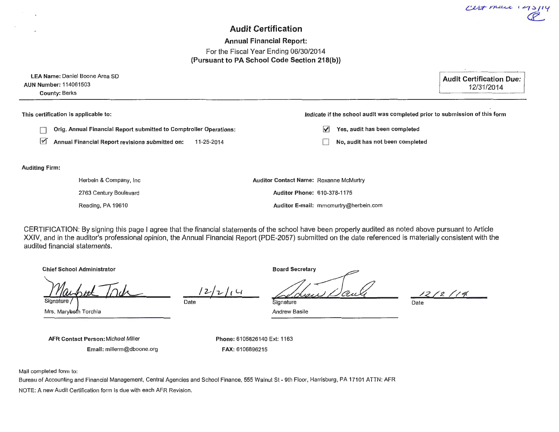

# **Audit Certification**

**Annual Financial Report:** 

For the Fiscal Year Ending 06/30/2014 **(Pursuant to PA School Code Section 218(b))** 

| <b>LEA Name: Daniel Boone Area SD</b><br><b>AUN Number: 114061503</b><br><b>County: Berks</b> | <b>Audit Certification Due:</b><br>12/31/2014                               |
|-----------------------------------------------------------------------------------------------|-----------------------------------------------------------------------------|
| This certification is applicable to:                                                          | Indicate if the school audit was completed prior to submission of this form |
| Orig. Annual Financial Report submitted to Comptroller Operations:                            | Yes, audit has been completed<br>M                                          |
| ⊻<br>Annual Financial Report revisions submitted on:<br>11-25-2014                            | No, audit has not been completed                                            |
|                                                                                               |                                                                             |

**Auditing** Firm:

| Herbein & Company, Inc | <b>Auditor Contact Name: Roxanne McMurtry</b> |
|------------------------|-----------------------------------------------|
| 2763 Century Boulevard | <b>Auditor Phone: 610-378-1175</b>            |
| Reading, PA 19610      | Auditor E-mail: rnmcmurtry@herbein.com        |

CERTIFICATION: By signing this page I agree that the financial statements of the school have been properly audited as noted above pursuant to Article XXIV, and in the auditor's professional opinion, the Annual Financial Report (PDE-2057) submitted on the date referenced is materially consistent with the audited financial statements.

**Chief School Administrator** 

**Signature** 

Mrs. Marybeth Torchia

Date

**Board Secretary**  *~£)cu£* Signature

12/2/14 Date

Andrew Basile

**AFR Contact Person:** Michael Miller **Email:** millerm@dboone.org

**Phone:** 6105826140 Ext: 1163 **FAX:** 6106896215

Mail completed form to:

Bureau of Accounting and Financial Management, Central Agencies and School Finance, 555 Walnut St- 9th Floor, Harrisburg, PA 17101 ATTN: AFR

NOTE: A new Audit Certification form is due with each AFR Revision.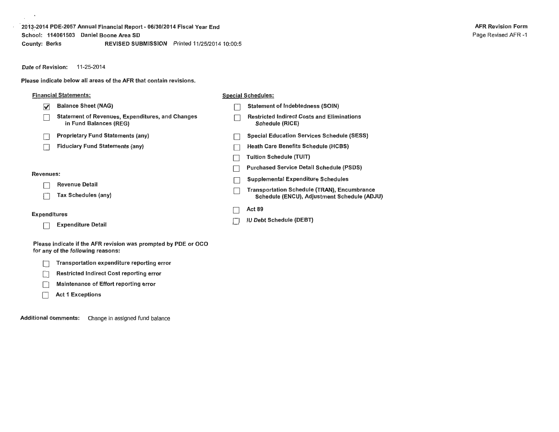2013-2014 PDE-2057 Annual Financial Report - 06/30/2014 Fiscal Year End School: 114061503 Daniel Boone Area SD County: Berks REVISED SUBMISSION Printed 11/25/2014 10:00:5

Date of Revision: 11-25-2014

 $\sim$  $\mathcal{L}$ 

Please indicate below all areas of the AFR that contain revisions.

|                     | <b>Financial Statements:</b>                                                                        | <b>Special Schedules:</b> |                                                                                                   |  |  |  |
|---------------------|-----------------------------------------------------------------------------------------------------|---------------------------|---------------------------------------------------------------------------------------------------|--|--|--|
| ✔                   | <b>Balance Sheet (NAG)</b>                                                                          |                           | <b>Statement of Indebtedness (SOIN)</b>                                                           |  |  |  |
|                     | Statement of Revenues, Expenditures, and Changes<br>in Fund Balances (REG)                          |                           | <b>Restricted Indirect Costs and Eliminations</b><br>Schedule (RICE)                              |  |  |  |
|                     | <b>Proprietary Fund Statements (any)</b>                                                            |                           | <b>Special Education Services Schedule (SESS)</b>                                                 |  |  |  |
|                     | <b>Fiduciary Fund Statements (any)</b>                                                              |                           | <b>Heath Care Benefits Schedule (HCBS)</b>                                                        |  |  |  |
|                     |                                                                                                     |                           | Tuition Schedule (TUIT)                                                                           |  |  |  |
|                     |                                                                                                     |                           | <b>Purchased Service Detail Schedule (PSDS)</b>                                                   |  |  |  |
| <b>Revenues:</b>    |                                                                                                     |                           | <b>Supplemental Expenditure Schedules</b>                                                         |  |  |  |
|                     | <b>Revenue Detail</b><br>Tax Schedules (any)                                                        |                           | <b>Transportation Schedule (TRAN), Encumbrance</b><br>Schedule (ENCU), Adjustment Schedule (ADJU) |  |  |  |
| <b>Expenditures</b> |                                                                                                     |                           | <b>Act 89</b>                                                                                     |  |  |  |
|                     | <b>Expenditure Detail</b>                                                                           |                           | <b>IU Debt Schedule (DEBT)</b>                                                                    |  |  |  |
|                     | Please indicate if the AFR revision was prompted by PDE or OCO<br>for any of the following reasons: |                           |                                                                                                   |  |  |  |
|                     | Transportation expenditure reporting error                                                          |                           |                                                                                                   |  |  |  |
|                     | <b>Restricted Indirect Cost reporting error</b>                                                     |                           |                                                                                                   |  |  |  |
|                     | Maintenance of Effort reporting error                                                               |                           |                                                                                                   |  |  |  |

 $\Box$  Act 1 Exceptions

Additional comments: Change in assigned fund balance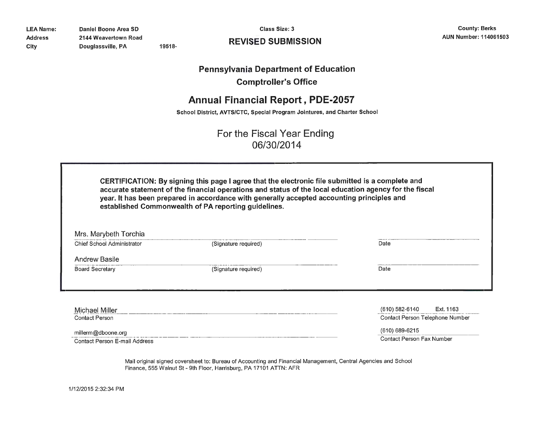**LEA Name: Address City Daniel Boone Area SD 2144 Weavertown Road Douglassville, PA 19518-**

**Class Size: 3** 

**REVISED SUBMISSION** 

**County: Berks AUN Number: 114061503** 

# **Pennsylvania Department of Education**

**Comptroller's Office** 

# **Annual Financial Report, PDE-2057**

**School District, AVTS/CTC, Special Program Jointures, and Charter School** 

For the Fiscal Year Ending 06/30/2014

|                            | CERTIFICATION: By signing this page I agree that the electronic file submitted is a complete and<br>accurate statement of the financial operations and status of the local education agency for the fiscal<br>year. It has been prepared in accordance with generally accepted accounting principles and<br>established Commonwealth of PA reporting guidelines. |                                 |
|----------------------------|------------------------------------------------------------------------------------------------------------------------------------------------------------------------------------------------------------------------------------------------------------------------------------------------------------------------------------------------------------------|---------------------------------|
| Mrs. Marybeth Torchia      |                                                                                                                                                                                                                                                                                                                                                                  |                                 |
| Chief School Administrator | (Signature required)                                                                                                                                                                                                                                                                                                                                             | Date                            |
| Andrew Basile              |                                                                                                                                                                                                                                                                                                                                                                  |                                 |
| <b>Board Secretary</b>     | (Signature required)                                                                                                                                                                                                                                                                                                                                             | Date                            |
| Michael Miller             |                                                                                                                                                                                                                                                                                                                                                                  | Ext. 1163<br>(610) 582-6140     |
| <b>Contact Person</b>      |                                                                                                                                                                                                                                                                                                                                                                  | Contact Person Telephone Number |

millerm@dboone.org

Contact Person E-mail Address **Contact Person Fax Number** Contact Person Fax Number

Mail original signed coversheet to: Bureau of Accounting and Financial Management, Central Agencies and School Finance, 555 Walnut St - 9th Floor, Harrisburg, PA 17101 ATTN: AFR

(610) 689-6215

1/12/2015 2:32:34 PM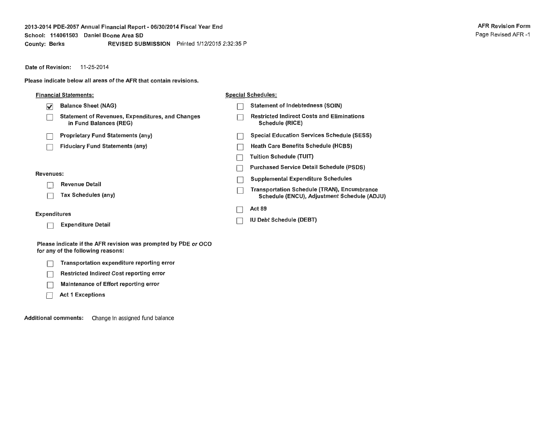School: 114061503 Daniel Boone Area SD

County: Berks REVISED SUBMISSION Printed 1/12/2015 2:32:35 P

Date of Revision: 11-25-2014

Please indicate below all areas of the AFR that contain revisions.

| <b>Financial Statements:</b>                                                                        | Special Schedules:                                                   |
|-----------------------------------------------------------------------------------------------------|----------------------------------------------------------------------|
| <b>Balance Sheet (NAG)</b><br>$\overline{\mathsf{v}}$                                               | <b>Statement of Indebtedness (SOIN)</b>                              |
| <b>Statement of Revenues, Expenditures, and Changes</b><br>in Fund Balances (REG)                   | <b>Restricted Indirect Costs and Eliminations</b><br>Schedule (RICE) |
| <b>Proprietary Fund Statements (any)</b>                                                            | <b>Special Education Services Schedule (SESS)</b>                    |
| <b>Fiduciary Fund Statements (any)</b>                                                              | <b>Heath Care Benefits Schedule (HCBS)</b>                           |
|                                                                                                     | <b>Tuition Schedule (TUIT)</b>                                       |
|                                                                                                     | <b>Purchased Service Detail Schedule (PSDS)</b>                      |
| <b>Revenues:</b>                                                                                    | <b>Supplemental Expenditure Schedules</b>                            |
| <b>Revenue Detail</b>                                                                               | <b>Transportation Schedule (TRAN), Encumbrance</b>                   |
| Tax Schedules (any)                                                                                 | Schedule (ENCU), Adjustment Schedule (ADJU)                          |
|                                                                                                     | <b>Act 89</b>                                                        |
| <b>Expenditures</b>                                                                                 | <b>IU Debt Schedule (DEBT)</b>                                       |
| <b>Expenditure Detail</b>                                                                           |                                                                      |
| Please indicate if the AFR revision was prompted by PDE or OCO<br>for any of the following reasons: |                                                                      |
| Transportation expenditure reporting error                                                          |                                                                      |
| <b>Restricted Indirect Cost reporting error</b>                                                     |                                                                      |
| Maintenance of Effort reporting error                                                               |                                                                      |

 $\Box$  Act 1 Exceptions

Additional comments: Change in assigned fund balance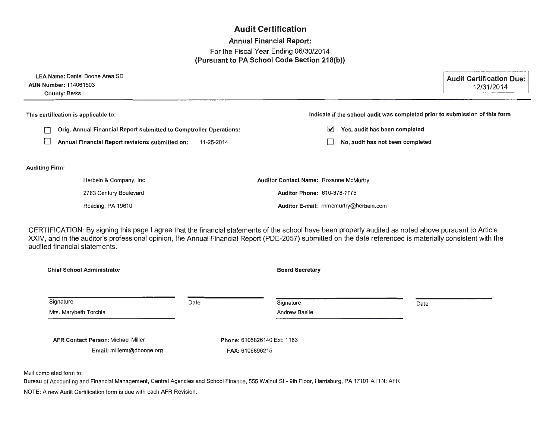# **Audit Certification**

**Annual Financial Report:** 

For the Fiscal Year Ending 06/30/2014 **(Pursuant to PA School Code Section 218(b))** 

| LEA Name: Daniel Boone Area SD<br><b>AUN Number: 114061503</b><br><b>County: Berks</b>                                                                                                                                                                                                                                                               |                                                |                             |                                        | <b>Audit Certification Due:</b><br>12/31/2014                               |
|------------------------------------------------------------------------------------------------------------------------------------------------------------------------------------------------------------------------------------------------------------------------------------------------------------------------------------------------------|------------------------------------------------|-----------------------------|----------------------------------------|-----------------------------------------------------------------------------|
| This certification is applicable to:                                                                                                                                                                                                                                                                                                                 |                                                |                             |                                        | Indicate if the school audit was completed prior to submission of this form |
| Orig. Annual Financial Report submitted to Comptroller Operations:                                                                                                                                                                                                                                                                                   |                                                | $\overline{\mathsf{v}}$     | Yes, audit has been completed          |                                                                             |
| Annual Financial Report revisions submitted on:                                                                                                                                                                                                                                                                                                      | 11-25-2014                                     |                             | No, audit has not been completed       |                                                                             |
| <b>Auditing Firm:</b>                                                                                                                                                                                                                                                                                                                                |                                                |                             |                                        |                                                                             |
| Herbein & Company, Inc.                                                                                                                                                                                                                                                                                                                              | <b>Auditor Contact Name: Roxanne McMurtry</b>  |                             |                                        |                                                                             |
| 2763 Century Boulevard                                                                                                                                                                                                                                                                                                                               |                                                | Auditor Phone: 610-378-1175 |                                        |                                                                             |
| Reading, PA 19610                                                                                                                                                                                                                                                                                                                                    |                                                |                             | Auditor E-mail: rnmcmurtry@herbein.com |                                                                             |
| CERTIFICATION: By signing this page I agree that the financial statements of the school have been properly audited as noted above pursuant to Article<br>XXIV, and in the auditor's professional opinion, the Annual Financial Report (PDE-2057) submitted on the date referenced is materially consistent with the<br>audited financial statements. |                                                |                             |                                        |                                                                             |
| <b>Chief School Administrator</b>                                                                                                                                                                                                                                                                                                                    | <b>Board Secretary</b>                         |                             |                                        |                                                                             |
| Signature<br>Date                                                                                                                                                                                                                                                                                                                                    | Signature                                      |                             |                                        | Date                                                                        |
| Mrs. Marybeth Torchia                                                                                                                                                                                                                                                                                                                                | Andrew Basile                                  |                             |                                        |                                                                             |
| <b>AFR Contact Person: Michael Miller</b><br>Email: millerm@dboone.org                                                                                                                                                                                                                                                                               | Phone: 6105826140 Ext: 1163<br>FAX: 6106896215 |                             |                                        |                                                                             |

Mail completed form to:

Bureau of Accounting and Financial Management, Central Agencies and School Finance, 555 Walnut St - 9th Floor, Harrisburg, PA 17101 ATTN: AFR

NOTE: A new Audit Certification form is due with each AFR Revision.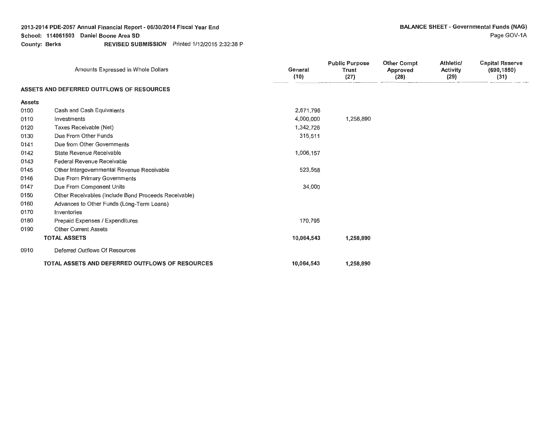**School: 114061503 Daniel Boone Area SD** 

**County: Berks REVISED SUBMISSION** Printed 1/12/2015 2:32:38 P

|               | Amounts Expressed in Whole Dollars                   | General<br>(10) | <b>Public Purpose</b><br>Trust<br>(27) | <b>Other Compt</b><br>Approved<br>(28) | Athletic/<br><b>Activity</b><br>(29) | <b>Capital Reserve</b><br>(690, 1850)<br>(31) |
|---------------|------------------------------------------------------|-----------------|----------------------------------------|----------------------------------------|--------------------------------------|-----------------------------------------------|
|               | ASSETS AND DEFERRED OUTFLOWS OF RESOURCES            |                 |                                        |                                        |                                      |                                               |
| <b>Assets</b> |                                                      |                 |                                        |                                        |                                      |                                               |
| 0100          | Cash and Cash Equivalents                            | 2,671,796       |                                        |                                        |                                      |                                               |
| 0110          | Investments                                          | 4,000,000       | 1,258,890                              |                                        |                                      |                                               |
| 0120          | Taxes Receivable (Net)                               | 1,342,726       |                                        |                                        |                                      |                                               |
| 0130          | Due From Other Funds                                 | 315,511         |                                        |                                        |                                      |                                               |
| 0141          | Due from Other Governments                           |                 |                                        |                                        |                                      |                                               |
| 0142          | State Revenue Receivable                             | 1,006,157       |                                        |                                        |                                      |                                               |
| 0143          | Federal Revenue Receivable                           |                 |                                        |                                        |                                      |                                               |
| 0145          | Other Intergovernmental Revenue Receivable           | 523,558         |                                        |                                        |                                      |                                               |
| 0146          | Due From Primary Governments                         |                 |                                        |                                        |                                      |                                               |
| 0147          | Due From Component Units                             | 34,000          |                                        |                                        |                                      |                                               |
| 0150          | Other Receivables (Include Bond Proceeds Receivable) |                 |                                        |                                        |                                      |                                               |
| 0160          | Advances to Other Funds (Long-Term Loans)            |                 |                                        |                                        |                                      |                                               |
| 0170          | Inventories                                          |                 |                                        |                                        |                                      |                                               |
| 0180          | Prepaid Expenses / Expenditures                      | 170,795         |                                        |                                        |                                      |                                               |
| 0190          | <b>Other Current Assets</b>                          |                 |                                        |                                        |                                      |                                               |
|               | <b>TOTAL ASSETS</b>                                  | 10,064,543      | 1,258,890                              |                                        |                                      |                                               |
| 0910          | Deferred Outflows Of Resources                       |                 |                                        |                                        |                                      |                                               |
|               | TOTAL ASSETS AND DEFERRED OUTFLOWS OF RESOURCES      | 10,064,543      | 1,258,890                              |                                        |                                      |                                               |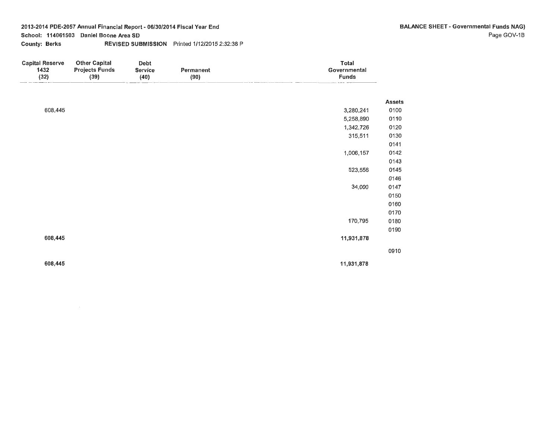School: 114061503 Daniel Boone Area SD

County: Berks REVISED **SUBMISSION** Printed 1/12/2015 2:32:38 P

| <b>Capital Reserve</b><br>1432<br>(32) | <b>Other Capital</b><br><b>Projects Funds</b><br>(39) | Debt<br>Service<br>(40) | Permanent<br>(90) | Total<br>Governmental<br><b>Funds</b> |               |
|----------------------------------------|-------------------------------------------------------|-------------------------|-------------------|---------------------------------------|---------------|
|                                        |                                                       |                         |                   |                                       |               |
|                                        |                                                       |                         |                   |                                       | <b>Assets</b> |
| 608,445                                |                                                       |                         |                   | 3,280,241                             | 0100          |
|                                        |                                                       |                         |                   | 5,258,890                             | 0110          |
|                                        |                                                       |                         |                   | 1,342,726                             | 0120          |
|                                        |                                                       |                         |                   | 315,511                               | 0130          |
|                                        |                                                       |                         |                   |                                       | 0141          |
|                                        |                                                       |                         |                   | 1,006,157                             | 0142          |
|                                        |                                                       |                         |                   |                                       | 0143          |
|                                        |                                                       |                         |                   | 523,558                               | 0145          |
|                                        |                                                       |                         |                   |                                       | 0146          |
|                                        |                                                       |                         |                   | 34,000                                | 0147          |
|                                        |                                                       |                         |                   |                                       | 0150          |
|                                        |                                                       |                         |                   |                                       | 0160          |
|                                        |                                                       |                         |                   |                                       | 0170          |
|                                        |                                                       |                         |                   | 170,795                               | 0180          |
|                                        |                                                       |                         |                   |                                       | 0190          |
| 608,445                                |                                                       |                         |                   | 11,931,878                            |               |
|                                        |                                                       |                         |                   |                                       | 0910          |
| 608,445                                |                                                       |                         |                   | 11,931,878                            |               |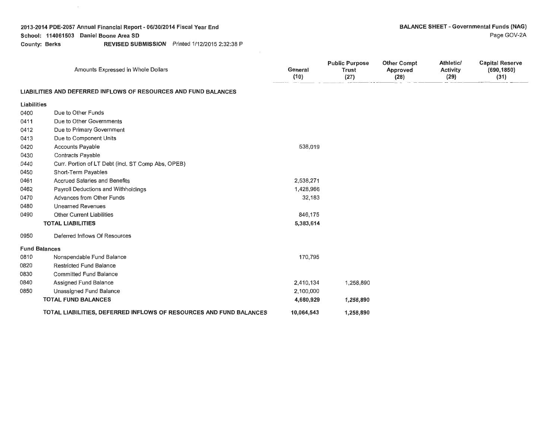**School: 114061503 Daniel Boone Area SD** 

 $\sim$ 

**County: Berks REVISED SUBMISSION** Printed 1/12/2015 2:32:38 P

|             | Amounts Expressed in Whole Dollars                                 | General<br>(10) | <b>Public Purpose</b><br><b>Trust</b><br>(27) | <b>Other Compt</b><br>Approved<br>(28) | Athletic/<br>Activity<br>(29) | <b>Capital Reserve</b><br>(690, 1850)<br>(31) |
|-------------|--------------------------------------------------------------------|-----------------|-----------------------------------------------|----------------------------------------|-------------------------------|-----------------------------------------------|
|             | LIABILITIES AND DEFERRED INFLOWS OF RESOURCES AND FUND BALANCES    |                 |                                               |                                        |                               |                                               |
| Liabilities |                                                                    |                 |                                               |                                        |                               |                                               |
| 0400        | Due to Other Funds                                                 |                 |                                               |                                        |                               |                                               |
| 0411        | Due to Other Governments                                           |                 |                                               |                                        |                               |                                               |
| 0412        | Due to Primary Government                                          |                 |                                               |                                        |                               |                                               |
| 0413        | Due to Component Units                                             |                 |                                               |                                        |                               |                                               |
| 0420        | <b>Accounts Payable</b>                                            | 538,019         |                                               |                                        |                               |                                               |
| 0430        | Contracts Payable                                                  |                 |                                               |                                        |                               |                                               |
| 0440        | Curr. Portion of LT Debt (incl. ST Comp Abs, OPEB)                 |                 |                                               |                                        |                               |                                               |
| 0450        | Short-Term Payables                                                |                 |                                               |                                        |                               |                                               |
| 0461        | <b>Accrued Salaries and Benefits</b>                               | 2,538,271       |                                               |                                        |                               |                                               |
| 0462        | Payroll Deductions and Withholdings                                | 1,428,966       |                                               |                                        |                               |                                               |
| 0470        | Advances from Other Funds                                          | 32,183          |                                               |                                        |                               |                                               |
| 0480        | <b>Unearned Revenues</b>                                           |                 |                                               |                                        |                               |                                               |
| 0490        | <b>Other Current Liabilities</b>                                   | 846,175         |                                               |                                        |                               |                                               |
|             | <b>TOTAL LIABILITIES</b>                                           | 5,383,614       |                                               |                                        |                               |                                               |
| 0950        | Deferred Inflows Of Resources                                      |                 |                                               |                                        |                               |                                               |
|             | <b>Fund Balances</b>                                               |                 |                                               |                                        |                               |                                               |
| 0810        | Nonspendable Fund Balance                                          | 170,795         |                                               |                                        |                               |                                               |
| 0820        | <b>Restricted Fund Balance</b>                                     |                 |                                               |                                        |                               |                                               |
| 0830        | <b>Committed Fund Balance</b>                                      |                 |                                               |                                        |                               |                                               |
| 0840        | Assigned Fund Balance                                              | 2,410,134       | 1,258,890                                     |                                        |                               |                                               |
| 0850        | Unassigned Fund Balance                                            | 2,100,000       |                                               |                                        |                               |                                               |
|             | <b>TOTAL FUND BALANCES</b>                                         | 4,680,929       | 1,258,890                                     |                                        |                               |                                               |
|             | TOTAL LIABILITIES, DEFERRED INFLOWS OF RESOURCES AND FUND BALANCES | 10,064,543      | 1,258,890                                     |                                        |                               |                                               |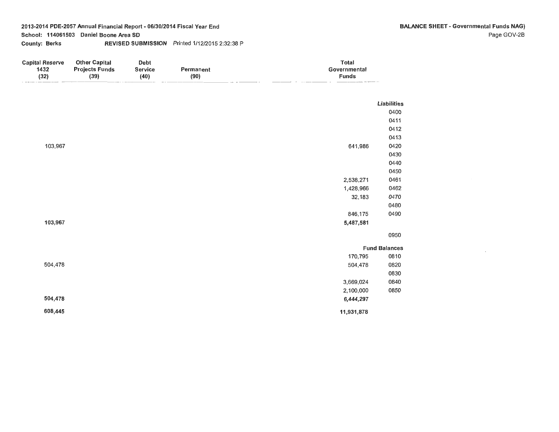$\sim$ 

County: Berks REVISED **SUBMISSION** Printed 1/12/2015 2:32:38 P

School: 114061503 Daniel Boone Area SD

| <b>Capital Reserve</b><br>1432<br>(32) | <b>Other Capital</b><br><b>Projects Funds</b><br>(39) | Debt<br>Service<br>(40) | Permanent<br>(90) | Total<br>Governmental<br><b>Funds</b> |                      |
|----------------------------------------|-------------------------------------------------------|-------------------------|-------------------|---------------------------------------|----------------------|
|                                        |                                                       |                         |                   |                                       | Liabilities          |
|                                        |                                                       |                         |                   |                                       | 0400                 |
|                                        |                                                       |                         |                   |                                       | 0411                 |
|                                        |                                                       |                         |                   |                                       | 0412                 |
|                                        |                                                       |                         |                   |                                       | 0413                 |
| 103,967                                |                                                       |                         |                   | 641,986                               | 0420                 |
|                                        |                                                       |                         |                   |                                       | 0430                 |
|                                        |                                                       |                         |                   |                                       | 0440                 |
|                                        |                                                       |                         |                   |                                       | 0450                 |
|                                        |                                                       |                         |                   | 2,538,271                             | 0461                 |
|                                        |                                                       |                         |                   | 1,428,966                             | 0462                 |
|                                        |                                                       |                         |                   | 32,183                                | 0470<br>0480         |
|                                        |                                                       |                         |                   | 846,175                               | 0490                 |
| 103,967                                |                                                       |                         |                   | 5,487,581                             |                      |
|                                        |                                                       |                         |                   |                                       |                      |
|                                        |                                                       |                         |                   |                                       | 0950                 |
|                                        |                                                       |                         |                   |                                       | <b>Fund Balances</b> |
|                                        |                                                       |                         |                   | 170,795                               | 0810                 |
| 504,478                                |                                                       |                         |                   | 504,478                               | 0820                 |
|                                        |                                                       |                         |                   |                                       | 0830                 |
|                                        |                                                       |                         |                   | 3,669,024                             | 0840                 |
|                                        |                                                       |                         |                   | 2,100,000                             | 0850                 |
| 504,478                                |                                                       |                         |                   | 6,444,297                             |                      |
| 608,445                                |                                                       |                         |                   | 11,931,878                            |                      |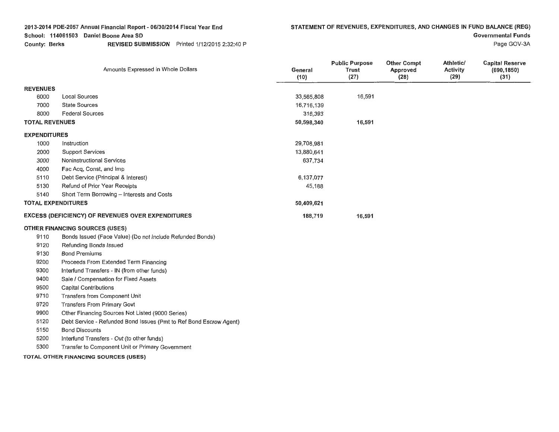#### **School: 114061503 Daniel Boone Area SD**

**County: Berks REVISED SUBMISSION** Printed 1/12/2015 2:32:40 P

### **STATEMENT OF REVENUES, EXPENDITURES, AND CHANGES IN FUND BALANCE (REG)**

**Governmental Funds** 

Page GOV-3A

|                           | Amounts Expressed in Whole Dollars                                 | General<br>(10) | <b>Public Purpose</b><br><b>Trust</b><br>(27) | <b>Other Compt</b><br>Approved<br>(28) | Athletic/<br><b>Activity</b><br>(29) | <b>Capital Reserve</b><br>(690, 1850)<br>(31) |
|---------------------------|--------------------------------------------------------------------|-----------------|-----------------------------------------------|----------------------------------------|--------------------------------------|-----------------------------------------------|
| <b>REVENUES</b>           |                                                                    |                 |                                               |                                        |                                      |                                               |
| 6000                      | <b>Local Sources</b>                                               | 33,565,808      | 16,591                                        |                                        |                                      |                                               |
| 7000                      | <b>State Sources</b>                                               | 16,716,139      |                                               |                                        |                                      |                                               |
| 8000                      | <b>Federal Sources</b>                                             | 316,393         |                                               |                                        |                                      |                                               |
| <b>TOTAL REVENUES</b>     |                                                                    | 50,598,340      | 16,591                                        |                                        |                                      |                                               |
| <b>EXPENDITURES</b>       |                                                                    |                 |                                               |                                        |                                      |                                               |
| 1000                      | Instruction                                                        | 29,708,981      |                                               |                                        |                                      |                                               |
| 2000                      | <b>Support Services</b>                                            | 13,880,641      |                                               |                                        |                                      |                                               |
| 3000                      | Noninstructional Services                                          | 637,734         |                                               |                                        |                                      |                                               |
| 4000                      | Fac Acq, Const, and Imp                                            |                 |                                               |                                        |                                      |                                               |
| 5110                      | Debt Service (Principal & Interest)                                | 6,137,077       |                                               |                                        |                                      |                                               |
| 5130                      | Refund of Prior Year Receipts                                      | 45,188          |                                               |                                        |                                      |                                               |
| 5140                      | Short Term Borrowing - Interests and Costs                         |                 |                                               |                                        |                                      |                                               |
| <b>TOTAL EXPENDITURES</b> |                                                                    | 50,409,621      |                                               |                                        |                                      |                                               |
|                           | <b>EXCESS (DEFICIENCY) OF REVENUES OVER EXPENDITURES</b>           | 188,719         | 16,591                                        |                                        |                                      |                                               |
|                           | <b>OTHER FINANCING SOURCES (USES)</b>                              |                 |                                               |                                        |                                      |                                               |
| 9110                      | Bonds Issued (Face Value) (Do not include Refunded Bonds)          |                 |                                               |                                        |                                      |                                               |
| 9120                      | Refunding Bonds Issued                                             |                 |                                               |                                        |                                      |                                               |
| 9130                      | <b>Bond Premiums</b>                                               |                 |                                               |                                        |                                      |                                               |
| 9200                      | Proceeds From Extended Term Financing                              |                 |                                               |                                        |                                      |                                               |
| 9300                      | Interfund Transfers - IN (from other funds)                        |                 |                                               |                                        |                                      |                                               |
| 9400                      | Sale / Compensation for Fixed Assets                               |                 |                                               |                                        |                                      |                                               |
| 9500                      | <b>Capital Contributions</b>                                       |                 |                                               |                                        |                                      |                                               |
| 9710                      | Transfers from Component Unit                                      |                 |                                               |                                        |                                      |                                               |
| 9720                      | <b>Transfers From Primary Govt</b>                                 |                 |                                               |                                        |                                      |                                               |
| 9900                      | Other Financing Sources Not Listed (9000 Series)                   |                 |                                               |                                        |                                      |                                               |
| 5120                      | Debt Service - Refunded Bond Issues (Pmt to Ref Bond Escrow Agent) |                 |                                               |                                        |                                      |                                               |
| 5150                      | <b>Bond Discounts</b>                                              |                 |                                               |                                        |                                      |                                               |
| 5200                      | Interfund Transfers - Out (to other funds)                         |                 |                                               |                                        |                                      |                                               |

5300 Transfer to Component Unit or Primary Government

**TOTAL OTHER FINANCING SOURCES (USES)**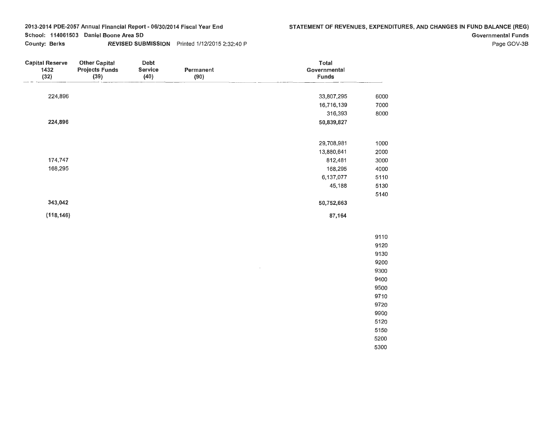School: 114061503 Daniel Boone Area SD

County: Berks REVISED SUBMISSION Printed 1/12/2015 2:32:40 P Governmental Funds

Page GOV-3B

| <b>Capital Reserve</b><br>1432<br>(32) | <b>Other Capital</b><br><b>Projects Funds</b><br>(39) | Debt<br><b>Service</b><br>(40) | Permanent<br>(90) | Total<br>Governmental<br><b>Funds</b> |      |
|----------------------------------------|-------------------------------------------------------|--------------------------------|-------------------|---------------------------------------|------|
| 224,896                                |                                                       |                                |                   | 33,807,295                            | 6000 |
|                                        |                                                       |                                |                   | 16,716,139                            | 7000 |
|                                        |                                                       |                                |                   | 316,393                               | 8000 |
| 224,896                                |                                                       |                                |                   | 50,839,827                            |      |
|                                        |                                                       |                                |                   | 29,708,981                            | 1000 |
|                                        |                                                       |                                |                   | 13,880,641                            | 2000 |
| 174,747                                |                                                       |                                |                   | 812,481                               | 3000 |
| 168,295                                |                                                       |                                |                   | 168,295                               | 4000 |
|                                        |                                                       |                                |                   | 6,137,077                             | 5110 |
|                                        |                                                       |                                |                   | 45,188                                | 5130 |
|                                        |                                                       |                                |                   |                                       | 5140 |
| 343,042                                |                                                       |                                |                   | 50,752,663                            |      |
| (118, 146)                             |                                                       |                                |                   | 87,164                                |      |
|                                        |                                                       |                                |                   |                                       | 9110 |
|                                        |                                                       |                                |                   |                                       | 9120 |
|                                        |                                                       |                                |                   |                                       | 9130 |
|                                        |                                                       |                                |                   |                                       | 9200 |
|                                        |                                                       |                                |                   |                                       | 9300 |
|                                        |                                                       |                                |                   |                                       | 9400 |
|                                        |                                                       |                                |                   |                                       | 9500 |
|                                        |                                                       |                                |                   |                                       | 9710 |
|                                        |                                                       |                                |                   |                                       | 9720 |
|                                        |                                                       |                                |                   |                                       | 9900 |
|                                        |                                                       |                                |                   |                                       | 5120 |
|                                        |                                                       |                                |                   |                                       | 5150 |
|                                        |                                                       |                                |                   |                                       | 5200 |
|                                        |                                                       |                                |                   |                                       | 5300 |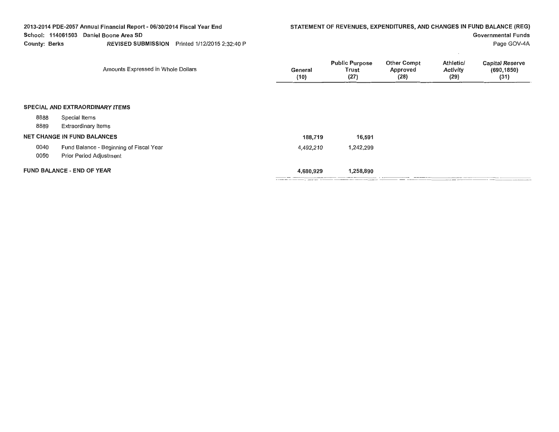| 2013-2014 PDE-2057 Annual Financial Report - 06/30/2014 Fiscal Year End<br>School: 114061503 Daniel Boone Area SD<br>REVISED SUBMISSION Printed 1/12/2015 2:32:40 P<br><b>County: Berks</b> | STATEMENT OF REVENUES, EXPENDITURES, AND CHANGES IN FUND BALANCE (REG) |                                        |                                        |                               | <b>Governmental Funds</b><br>Page GOV-4A      |
|---------------------------------------------------------------------------------------------------------------------------------------------------------------------------------------------|------------------------------------------------------------------------|----------------------------------------|----------------------------------------|-------------------------------|-----------------------------------------------|
| Amounts Expressed in Whole Dollars                                                                                                                                                          | General<br>(10)                                                        | <b>Public Purpose</b><br>Trust<br>(27) | <b>Other Compt</b><br>Approved<br>(28) | Athletic/<br>Activity<br>(29) | <b>Capital Reserve</b><br>(690, 1850)<br>(31) |
| SPECIAL AND EXTRAORDINARY ITEMS<br>Special Items<br>8888<br>8889<br><b>Extraordinary Items</b>                                                                                              |                                                                        |                                        |                                        |                               |                                               |
| <b>NET CHANGE IN FUND BALANCES</b>                                                                                                                                                          | 188,719                                                                | 16,591                                 |                                        |                               |                                               |
| Fund Balance - Beginning of Fiscal Year<br>0040<br>0050<br>Prior Period Adjustment                                                                                                          | 4,492,210                                                              | 1,242,299                              |                                        |                               |                                               |
| <b>FUND BALANCE - END OF YEAR</b>                                                                                                                                                           | 4,680,929                                                              | 1,258,890                              |                                        |                               |                                               |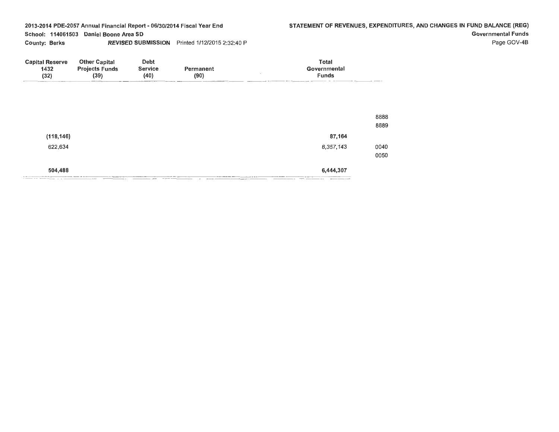School: 114061503 Daniel Boone Area SD

County: Berks REVISED SUBMISSION Printed 1/12/2015 2:32:40 P

| <b>Capital Reserve</b><br>1432<br>(32) | <b>Other Capital</b><br><b>Projects Funds</b><br>(39) | Debt<br><b>Service</b><br>(40) | Permanent<br>(90) | Total<br>Governmental<br><b>Funds</b> |              |
|----------------------------------------|-------------------------------------------------------|--------------------------------|-------------------|---------------------------------------|--------------|
|                                        |                                                       |                                |                   |                                       |              |
|                                        |                                                       |                                |                   |                                       | 8888         |
| (118, 146)                             |                                                       |                                |                   | 87,164                                | 8889         |
| 622,634                                |                                                       |                                |                   | 6,357,143                             | 0040<br>0050 |
| 504,488                                |                                                       |                                |                   | 6,444,307                             |              |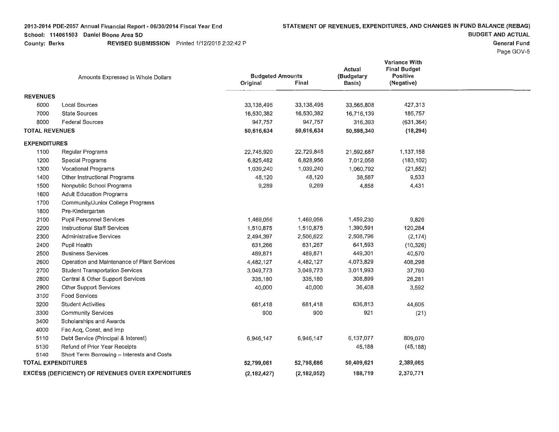**School: 114061503 Daniel Boone Area SD** 

**County: Berks REVISED SUBMISSION** Printed 1/12/2015 2:32:42 P

**STATEMENT OF REVENUES, EXPENDITURES, AND CHANGES IN FUND BALANCE {REBAG)** 

**BUDGET AND ACTUAL** 

**General Fund** 

Page GOV-5

|                           | Amounts Expressed in Whole Dollars                       | <b>Budgeted Amounts</b><br>Original | Final         | Actual<br>(Budgetary<br>Basis) | <b>Variance With</b><br><b>Final Budget</b><br><b>Positive</b><br>(Negative) |  |
|---------------------------|----------------------------------------------------------|-------------------------------------|---------------|--------------------------------|------------------------------------------------------------------------------|--|
| <b>REVENUES</b>           |                                                          |                                     |               |                                |                                                                              |  |
| 6000                      | <b>Local Sources</b>                                     | 33,138,495                          | 33,138,495    | 33,565,808                     | 427,313                                                                      |  |
| 7000                      | <b>State Sources</b>                                     | 16,530,382                          | 16,530,382    | 16,716,139                     | 185,757                                                                      |  |
| 8000                      | <b>Federal Sources</b>                                   | 947,757                             | 947,757       | 316,393                        | (631, 364)                                                                   |  |
| <b>TOTAL REVENUES</b>     |                                                          | 50,616,634                          | 50,616,634    | 50,598,340                     | (18, 294)                                                                    |  |
| <b>EXPENDITURES</b>       |                                                          |                                     |               |                                |                                                                              |  |
| 1100                      | Regular Programs                                         | 22,745,920                          | 22,729,845    | 21,592,687                     | 1,137,158                                                                    |  |
| 1200                      | Special Programs                                         | 6,825,482                           | 6,828,956     | 7,012,058                      | (183, 102)                                                                   |  |
| 1300                      | <b>Vocational Programs</b>                               | 1,039,240                           | 1,039,240     | 1,060,792                      | (21, 552)                                                                    |  |
| 1400                      | Other Instructional Programs                             | 48,120                              | 48,120        | 38,587                         | 9,533                                                                        |  |
| 1500                      | Nonpublic School Programs                                | 9,289                               | 9,289         | 4,858                          | 4,431                                                                        |  |
| 1600                      | <b>Adult Education Programs</b>                          |                                     |               |                                |                                                                              |  |
| 1700                      | Community/Junior College Programs                        |                                     |               |                                |                                                                              |  |
| 1800                      | Pre-Kindergarten                                         |                                     |               |                                |                                                                              |  |
| 2100                      | <b>Pupil Personnel Services</b>                          | 1,469,056                           | 1,469,056     | 1,459,230                      | 9,826                                                                        |  |
| 2200                      | Instructional Staff Services                             | 1,510,875                           | 1,510,875     | 1,390,591                      | 120,284                                                                      |  |
| 2300                      | <b>Administrative Services</b>                           | 2,494,397                           | 2,506,622     | 2,508,796                      | (2, 174)                                                                     |  |
| 2400                      | Pupil Health                                             | 631,266                             | 631,267       | 641,593                        | (10, 326)                                                                    |  |
| 2500                      | <b>Business Services</b>                                 | 489,871                             | 489,871       | 449,301                        | 40,570                                                                       |  |
| 2600                      | Operation and Maintenance of Plant Services              | 4,482,127                           | 4,482,127     | 4,073,829                      | 408,298                                                                      |  |
| 2700                      | <b>Student Transportation Services</b>                   | 3,049,773                           | 3,049,773     | 3,011,993                      | 37,780                                                                       |  |
| 2800                      | Central & Other Support Services                         | 335,180                             | 335,180       | 308,899                        | 26,281                                                                       |  |
| 2900                      | <b>Other Support Services</b>                            | 40,000                              | 40,000        | 36,408                         | 3,592                                                                        |  |
| 3100                      | <b>Food Services</b>                                     |                                     |               |                                |                                                                              |  |
| 3200                      | <b>Student Activities</b>                                | 681,418                             | 681,418       | 636,813                        | 44,605                                                                       |  |
| 3300                      | <b>Community Services</b>                                | 900                                 | 900           | 921                            | (21)                                                                         |  |
| 3400                      | Scholarships and Awards                                  |                                     |               |                                |                                                                              |  |
| 4000                      | Fac Acq, Const, and Imp                                  |                                     |               |                                |                                                                              |  |
| 5110                      | Debt Service (Principal & Interest)                      | 6,946,147                           | 6,946,147     | 6,137,077                      | 809,070                                                                      |  |
| 5130                      | Refund of Prior Year Receipts                            |                                     |               | 45,188                         | (45, 188)                                                                    |  |
| 5140                      | Short Term Borrowing - Interests and Costs               |                                     |               |                                |                                                                              |  |
| <b>TOTAL EXPENDITURES</b> |                                                          | 52,799,061                          | 52,798,686    | 50,409,621                     | 2,389,065                                                                    |  |
|                           | <b>EXCESS (DEFICIENCY) OF REVENUES OVER EXPENDITURES</b> | (2, 182, 427)                       | (2, 182, 052) | 188,719                        | 2,370,771                                                                    |  |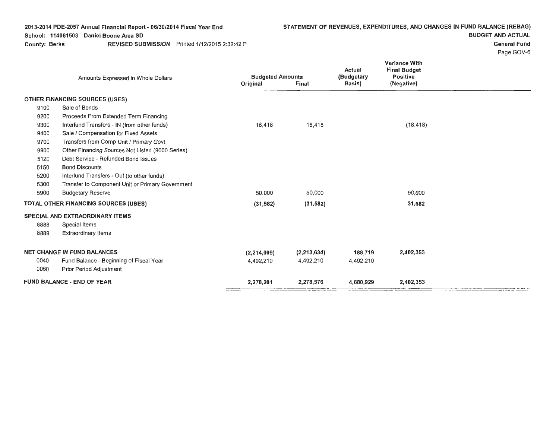### School: 114061503 Daniel Boone Area SD

County: Berks REVISED SUBMISSION Printed 1/12/2015 2:32:42 P

**STATEMENT OF REVENUES, EXPENDITURES, AND CHANGES IN FUND BALANCE (REBAG)** 

### **BUDGET AND ACTUAL**

**General Fund**  Page GOV-6

|      | Amounts Expressed in Whole Dollars               | <b>Budgeted Amounts</b><br>Original | Final         | Actual<br>(Budgetary<br>Basis) | <b>Variance With</b><br><b>Final Budget</b><br><b>Positive</b><br>(Negative) |  |
|------|--------------------------------------------------|-------------------------------------|---------------|--------------------------------|------------------------------------------------------------------------------|--|
|      | <b>OTHER FINANCING SOURCES (USES)</b>            |                                     |               |                                |                                                                              |  |
| 9100 | Sale of Bonds                                    |                                     |               |                                |                                                                              |  |
| 9200 | Proceeds From Extended Term Financing            |                                     |               |                                |                                                                              |  |
| 9300 | Interfund Transfers - IN (from other funds)      | 18,418                              | 18,418        |                                | (18, 418)                                                                    |  |
| 9400 | Sale / Compensation for Fixed Assets             |                                     |               |                                |                                                                              |  |
| 9700 | Transfers from Comp Unit / Primary Govt          |                                     |               |                                |                                                                              |  |
| 9900 | Other Financing Sources Not Listed (9000 Series) |                                     |               |                                |                                                                              |  |
| 5120 | Debt Service - Refunded Bond Issues              |                                     |               |                                |                                                                              |  |
| 5150 | <b>Bond Discounts</b>                            |                                     |               |                                |                                                                              |  |
| 5200 | Interfund Transfers - Out (to other funds)       |                                     |               |                                |                                                                              |  |
| 5300 | Transfer to Component Unit or Primary Government |                                     |               |                                |                                                                              |  |
| 5900 | <b>Budgetary Reserve</b>                         | 50,000                              | 50,000        |                                | 50,000                                                                       |  |
|      | TOTAL OTHER FINANCING SOURCES (USES)             | (31, 582)                           | (31, 582)     |                                | 31,582                                                                       |  |
|      | <b>SPECIAL AND EXTRAORDINARY ITEMS</b>           |                                     |               |                                |                                                                              |  |
| 8888 | Special Items                                    |                                     |               |                                |                                                                              |  |
| 8889 | Extraordinary Items                              |                                     |               |                                |                                                                              |  |
|      | <b>NET CHANGE IN FUND BALANCES</b>               | (2, 214, 009)                       | (2, 213, 634) | 188,719                        | 2,402,353                                                                    |  |
| 0040 | Fund Balance - Beginning of Fiscal Year          | 4,492,210                           | 4,492,210     | 4,492,210                      |                                                                              |  |
| 0050 | <b>Prior Period Adjustment</b>                   |                                     |               |                                |                                                                              |  |
|      | <b>FUND BALANCE - END OF YEAR</b>                | 2,278,201                           | 2,278,576     | 4,680,929                      | 2,402,353                                                                    |  |
|      |                                                  |                                     |               |                                |                                                                              |  |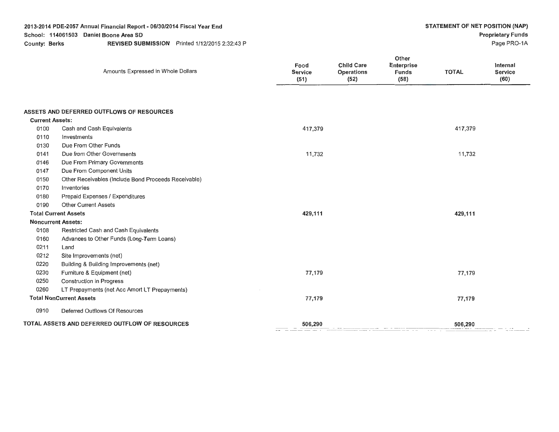**School: 114061503 Daniel Boone Area SD** 

**County: Berks REVISED SUBMISSION** Printed 1/12/2015 2:32:43 P

Page PRO-1A

|                        | Amounts Expressed in Whole Dollars                   | Food<br><b>Service</b><br>(51) | <b>Child Care</b><br>Operations<br>(52) | Other<br><b>Enterprise</b><br><b>Funds</b><br>(58) | <b>TOTAL</b> | Internal<br><b>Service</b><br>(60) |
|------------------------|------------------------------------------------------|--------------------------------|-----------------------------------------|----------------------------------------------------|--------------|------------------------------------|
|                        |                                                      |                                |                                         |                                                    |              |                                    |
|                        | ASSETS AND DEFERRED OUTFLOWS OF RESOURCES            |                                |                                         |                                                    |              |                                    |
| <b>Current Assets:</b> |                                                      |                                |                                         |                                                    |              |                                    |
| 0100                   | Cash and Cash Equivalents                            | 417,379                        |                                         |                                                    | 417,379      |                                    |
| 0110                   | Investments                                          |                                |                                         |                                                    |              |                                    |
| 0130                   | Due From Other Funds                                 |                                |                                         |                                                    |              |                                    |
| 0141                   | Due from Other Governments                           | 11,732                         |                                         |                                                    | 11,732       |                                    |
| 0146                   | Due From Primary Governments                         |                                |                                         |                                                    |              |                                    |
| 0147                   | Due From Component Units                             |                                |                                         |                                                    |              |                                    |
| 0150                   | Other Receivables (Include Bond Proceeds Receivable) |                                |                                         |                                                    |              |                                    |
| 0170                   | Inventories                                          |                                |                                         |                                                    |              |                                    |
| 0180                   | Prepaid Expenses / Expenditures                      |                                |                                         |                                                    |              |                                    |
| 0190                   | <b>Other Current Assets</b>                          |                                |                                         |                                                    |              |                                    |
|                        | <b>Total Current Assets</b>                          | 429,111                        |                                         |                                                    | 429,111      |                                    |
|                        | <b>Noncurrent Assets:</b>                            |                                |                                         |                                                    |              |                                    |
| 0108                   | Restricted Cash and Cash Equivalents                 |                                |                                         |                                                    |              |                                    |
| 0160                   | Advances to Other Funds (Long-Term Loans)            |                                |                                         |                                                    |              |                                    |
| 0211                   | Land                                                 |                                |                                         |                                                    |              |                                    |
| 0212                   | Site Improvements (net)                              |                                |                                         |                                                    |              |                                    |
| 0220                   | Building & Building Improvements (net)               |                                |                                         |                                                    |              |                                    |
| 0230                   | Furniture & Equipment (net)                          | 77,179                         |                                         |                                                    | 77,179       |                                    |
| 0250                   | <b>Construction in Progress</b>                      |                                |                                         |                                                    |              |                                    |
| 0260                   | LT Prepayments (net Acc Amort LT Prepayments)        |                                |                                         |                                                    |              |                                    |
|                        | <b>Total NonCurrent Assets</b>                       | 77,179                         |                                         |                                                    | 77,179       |                                    |
| 0910                   | Deferred Outflows Of Resources                       |                                |                                         |                                                    |              |                                    |
|                        | TOTAL ASSETS AND DEFERRED OUTFLOW OF RESOURCES       | 506,290                        |                                         |                                                    | 506,290      |                                    |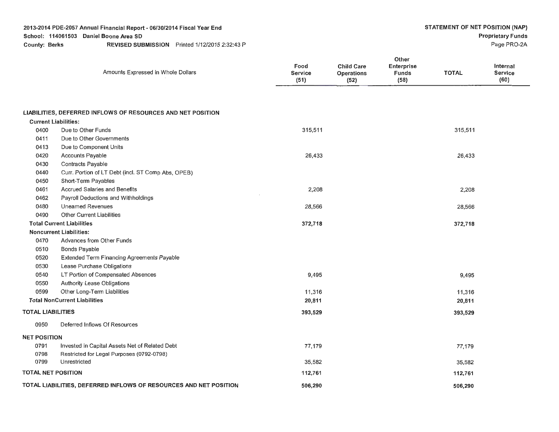**School: 114061503 Daniel Boone Area SD** 

**County: Berks REVISED SUBMISSION** Printed 1/12/2015 2:32:43 P

Page PRO-2A

|                             | Amounts Expressed in Whole Dollars                                | Food<br>Service<br>(51) | <b>Child Care</b><br><b>Operations</b><br>(52) | Other<br>Enterprise<br><b>Funds</b><br>(58) | <b>TOTAL</b> | Internal<br><b>Service</b><br>(60) |
|-----------------------------|-------------------------------------------------------------------|-------------------------|------------------------------------------------|---------------------------------------------|--------------|------------------------------------|
|                             |                                                                   |                         |                                                |                                             |              |                                    |
|                             | LIABILITIES, DEFERRED INFLOWS OF RESOURCES AND NET POSITION       |                         |                                                |                                             |              |                                    |
| <b>Current Liabilities:</b> |                                                                   |                         |                                                |                                             |              |                                    |
| 0400                        | Due to Other Funds                                                | 315,511                 |                                                |                                             | 315,511      |                                    |
| 0411                        | Due to Other Governments                                          |                         |                                                |                                             |              |                                    |
| 0413                        | Due to Component Units                                            |                         |                                                |                                             |              |                                    |
| 0420                        | Accounts Payable                                                  | 26,433                  |                                                |                                             | 26,433       |                                    |
| 0430                        | Contracts Payable                                                 |                         |                                                |                                             |              |                                    |
| 0440                        | Curr. Portion of LT Debt (incl. ST Comp Abs, OPEB)                |                         |                                                |                                             |              |                                    |
| 0450                        | Short-Term Payables                                               |                         |                                                |                                             |              |                                    |
| 0461                        | Accrued Salaries and Benefits                                     | 2,208                   |                                                |                                             | 2,208        |                                    |
| 0462                        | Payroll Deductions and Withholdings                               |                         |                                                |                                             |              |                                    |
| 0480                        | Unearned Revenues                                                 | 28,566                  |                                                |                                             | 28,566       |                                    |
| 0490                        | Other Current Liabilities                                         |                         |                                                |                                             |              |                                    |
|                             | <b>Total Current Liabilities</b>                                  | 372,718                 |                                                |                                             | 372,718      |                                    |
|                             | <b>Noncurrent Liabilities:</b>                                    |                         |                                                |                                             |              |                                    |
| 0470                        | Advances from Other Funds                                         |                         |                                                |                                             |              |                                    |
| 0510                        | <b>Bonds Payable</b>                                              |                         |                                                |                                             |              |                                    |
| 0520                        | Extended Term Financing Agreements Payable                        |                         |                                                |                                             |              |                                    |
| 0530                        | Lease Purchase Obligations                                        |                         |                                                |                                             |              |                                    |
| 0540                        | LT Portion of Compensated Absences                                | 9,495                   |                                                |                                             | 9,495        |                                    |
| 0550                        | Authority Lease Obligations                                       |                         |                                                |                                             |              |                                    |
| 0599                        | Other Long-Term Liabilities                                       | 11,316                  |                                                |                                             | 11,316       |                                    |
|                             | <b>Total NonCurrent Liabilities</b>                               | 20,811                  |                                                |                                             | 20,811       |                                    |
| <b>TOTAL LIABILITIES</b>    |                                                                   | 393,529                 |                                                |                                             | 393,529      |                                    |
| 0950                        | Deferred Inflows Of Resources                                     |                         |                                                |                                             |              |                                    |
| <b>NET POSITION</b>         |                                                                   |                         |                                                |                                             |              |                                    |
| 0791                        | Invested in Capital Assets Net of Related Debt                    | 77,179                  |                                                |                                             | 77,179       |                                    |
| 0798                        | Restricted for Legal Purposes (0792-0798)                         |                         |                                                |                                             |              |                                    |
| 0799                        | Unrestricted                                                      | 35,582                  |                                                |                                             | 35,582       |                                    |
| <b>TOTAL NET POSITION</b>   |                                                                   | 112,761                 |                                                |                                             | 112,761      |                                    |
|                             | TOTAL LIABILITIES, DEFERRED INFLOWS OF RESOURCES AND NET POSITION | 506.290                 |                                                |                                             | 506,290      |                                    |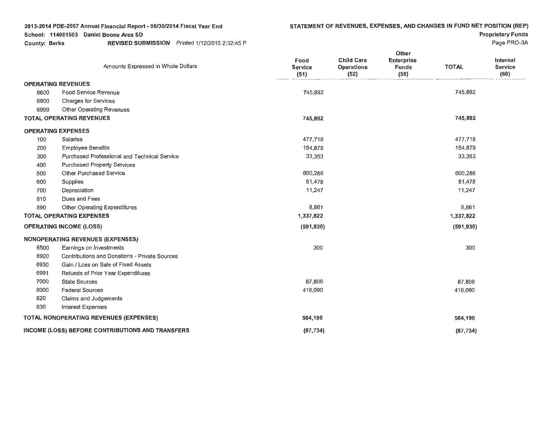**School: 114061503 Daniel Boone Area SD** 

**County: Berks REVISED SUBMISSION** Printed 1/12/2015 2:32:45 P

**Proprietary Funds** 

Page PRO-3A

|                           | Amounts Expressed in Whole Dollars                      | Food<br><b>Service</b><br>(51) | <b>Child Care</b><br>Operations<br>(52) | Other<br><b>Enterprise</b><br><b>Funds</b><br>(58) | <b>TOTAL</b> | Internal<br><b>Service</b><br>(60) |
|---------------------------|---------------------------------------------------------|--------------------------------|-----------------------------------------|----------------------------------------------------|--------------|------------------------------------|
|                           | <b>OPERATING REVENUES</b>                               |                                |                                         |                                                    |              |                                    |
| 6600                      | Food Service Revenue                                    | 745,892                        |                                         |                                                    | 745,892      |                                    |
| 6900                      | <b>Charges for Services</b>                             |                                |                                         |                                                    |              |                                    |
| 6999                      | <b>Other Operating Revenues</b>                         |                                |                                         |                                                    |              |                                    |
|                           | <b>TOTAL OPERATING REVENUES</b>                         | 745,892                        |                                         |                                                    | 745,892      |                                    |
| <b>OPERATING EXPENSES</b> |                                                         |                                |                                         |                                                    |              |                                    |
| 100                       | Salaries                                                | 477,718                        |                                         |                                                    | 477,718      |                                    |
| 200                       | <b>Employee Benefits</b>                                | 154,879                        |                                         |                                                    | 154,879      |                                    |
| 300                       | <b>Purchased Professional and Technical Service</b>     | 33,353                         |                                         |                                                    | 33,353       |                                    |
| 400                       | <b>Purchased Property Services</b>                      |                                |                                         |                                                    |              |                                    |
| 500                       | Other Purchased Service                                 | 600,286                        |                                         |                                                    | 600,286      |                                    |
| 600                       | Supplies                                                | 51,478                         |                                         |                                                    | 51,478       |                                    |
| 700                       | Depreciation                                            | 11,247                         |                                         |                                                    | 11,247       |                                    |
| 810                       | Dues and Fees                                           |                                |                                         |                                                    |              |                                    |
| 890                       | Other Operating Expenditures                            | 8,861                          |                                         |                                                    | 8,861        |                                    |
|                           | <b>TOTAL OPERATING EXPENSES</b>                         | 1,337,822                      |                                         |                                                    | 1,337,822    |                                    |
|                           | <b>OPERATING INCOME (LOSS)</b>                          | (591, 930)                     |                                         |                                                    | (591, 930)   |                                    |
|                           | <b>NONOPERATING REVENUES (EXPENSES)</b>                 |                                |                                         |                                                    |              |                                    |
| 6500                      | Earnings on Investments                                 |                                | 300                                     |                                                    | 300          |                                    |
| 6920                      | Contributions and Donations - Private Sources           |                                |                                         |                                                    |              |                                    |
| 6930                      | Gain / Loss on Sale of Fixed Assets                     |                                |                                         |                                                    |              |                                    |
| 6991                      | Refunds of Prior Year Expenditures                      |                                |                                         |                                                    |              |                                    |
| 7000                      | <b>State Sources</b>                                    | 87,806                         |                                         |                                                    | 87,806       |                                    |
| 8000                      | <b>Federal Sources</b>                                  | 416,090                        |                                         |                                                    | 416,090      |                                    |
| 820                       | Claims and Judgements                                   |                                |                                         |                                                    |              |                                    |
| 830                       | <b>Interest Expenses</b>                                |                                |                                         |                                                    |              |                                    |
|                           | TOTAL NONOPERATING REVENUES (EXPENSES)                  | 504,196                        |                                         |                                                    | 504,196      |                                    |
|                           | <b>INCOME (LOSS) BEFORE CONTRIBUTIONS AND TRANSFERS</b> | (87, 734)                      |                                         |                                                    | (87, 734)    |                                    |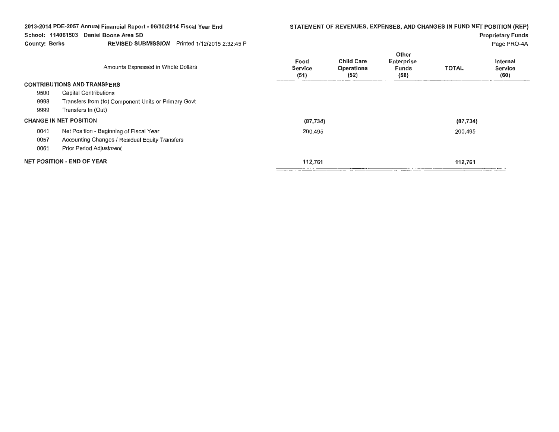| School: 114061503<br><b>County: Berks</b> | 2013-2014 PDE-2057 Annual Financial Report - 06/30/2014 Fiscal Year End<br>Daniel Boone Area SD<br><b>REVISED SUBMISSION</b><br>Printed 1/12/2015 2:32:45 P |                         |                                                |                                                    | STATEMENT OF REVENUES, EXPENSES, AND CHANGES IN FUND NET POSITION (REP) | <b>Proprietary Funds</b><br>Page PRO-4A |
|-------------------------------------------|-------------------------------------------------------------------------------------------------------------------------------------------------------------|-------------------------|------------------------------------------------|----------------------------------------------------|-------------------------------------------------------------------------|-----------------------------------------|
|                                           | Amounts Expressed in Whole Dollars                                                                                                                          | Food<br>Service<br>(51) | <b>Child Care</b><br><b>Operations</b><br>(52) | Other<br><b>Enterprise</b><br><b>Funds</b><br>(58) | <b>TOTAL</b>                                                            | Internal<br><b>Service</b><br>(60)      |
|                                           | <b>CONTRIBUTIONS AND TRANSFERS</b>                                                                                                                          |                         |                                                |                                                    |                                                                         |                                         |
| 9500                                      | Capital Contributions                                                                                                                                       |                         |                                                |                                                    |                                                                         |                                         |
| 9998                                      | Transfers from (to) Component Units or Primary Govt                                                                                                         |                         |                                                |                                                    |                                                                         |                                         |
| 9999                                      | Transfers In (Out)                                                                                                                                          |                         |                                                |                                                    |                                                                         |                                         |
|                                           | <b>CHANGE IN NET POSITION</b>                                                                                                                               | (87, 734)               |                                                |                                                    | (87, 734)                                                               |                                         |
| 0041                                      | Net Position - Beginning of Fiscal Year                                                                                                                     | 200,495                 |                                                |                                                    | 200,495                                                                 |                                         |
| 0057                                      | Accounting Changes / Residual Equity Transfers                                                                                                              |                         |                                                |                                                    |                                                                         |                                         |
| 0061                                      | Prior Period Adjustment                                                                                                                                     |                         |                                                |                                                    |                                                                         |                                         |
|                                           | <b>NET POSITION - END OF YEAR</b>                                                                                                                           | 112,761                 |                                                |                                                    | 112.761                                                                 |                                         |

<u> 1988 - An de San Andrew Martin Maria (h. 1988).</u>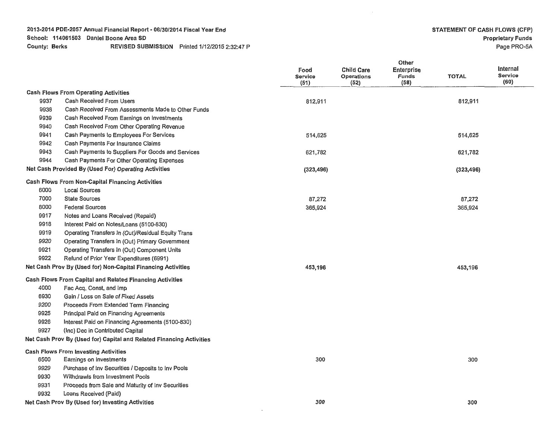School: 114061503 Daniel Boone Area SD

| <b>County: Berks</b> |  | REVISED SUBMISSION Printed 1/12/2015 2:32:47 P |
|----------------------|--|------------------------------------------------|
|----------------------|--|------------------------------------------------|

## STATEMENT OF CASH FLOWS (CFP) Proprietary Funds

Page PRO-5A

|      |                                                                      |                         |                                         | Other                                     |              |                             |
|------|----------------------------------------------------------------------|-------------------------|-----------------------------------------|-------------------------------------------|--------------|-----------------------------|
|      |                                                                      | Food<br>Service<br>(51) | <b>Child Care</b><br>Operations<br>(52) | <b>Enterprise</b><br><b>Funds</b><br>(58) | <b>TOTAL</b> | Internal<br>Service<br>(60) |
|      | <b>Cash Flows From Operating Activities</b>                          |                         |                                         |                                           |              |                             |
| 9937 | Cash Received From Users                                             | 812,911                 |                                         |                                           | 812,911      |                             |
| 9938 | Cash Received From Assessments Made to Other Funds                   |                         |                                         |                                           |              |                             |
| 9939 | Cash Received From Earnings on Investments                           |                         |                                         |                                           |              |                             |
| 9940 | Cash Received From Other Operating Revenue                           |                         |                                         |                                           |              |                             |
| 9941 | Cash Payments to Employees For Services                              | 514,625                 |                                         |                                           | 514,625      |                             |
| 9942 | Cash Payments For Insurance Claims                                   |                         |                                         |                                           |              |                             |
| 9943 | Cash Payments to Suppliers For Goods and Services                    | 621,782                 |                                         |                                           | 621,782      |                             |
| 9944 | Cash Payments For Other Operating Expenses                           |                         |                                         |                                           |              |                             |
|      | Net Cash Provided By (Used For) Operating Activities                 | (323, 496)              |                                         |                                           | (323, 496)   |                             |
|      | <b>Cash Flows From Non-Capital Financing Activities</b>              |                         |                                         |                                           |              |                             |
| 6000 | <b>Local Sources</b>                                                 |                         |                                         |                                           |              |                             |
| 7000 | <b>State Sources</b>                                                 | 87,272                  |                                         |                                           | 87,272       |                             |
| 8000 | <b>Federal Sources</b>                                               | 365,924                 |                                         |                                           | 365,924      |                             |
| 9917 | Notes and Loans Received (Repaid)                                    |                         |                                         |                                           |              |                             |
| 9918 | Interest Paid on Notes/Loans (5100-830)                              |                         |                                         |                                           |              |                             |
| 9919 | Operating Transfers In (Out)/Residual Equity Trans                   |                         |                                         |                                           |              |                             |
| 9920 | Operating Transfers In (Out) Primary Government                      |                         |                                         |                                           |              |                             |
| 9921 | Operating Transfers In (Out) Component Units                         |                         |                                         |                                           |              |                             |
| 9922 | Refund of Prior Year Expenditures (6991)                             |                         |                                         |                                           |              |                             |
|      | Net Cash Prov By (Used for) Non-Capital Financing Activities         | 453,196                 |                                         |                                           | 453,196      |                             |
|      | <b>Cash Flows From Capital and Related Financing Activities</b>      |                         |                                         |                                           |              |                             |
| 4000 | Fac Acq, Const, and Imp                                              |                         |                                         |                                           |              |                             |
| 6930 | Gain / Loss on Sale of Fixed Assets                                  |                         |                                         |                                           |              |                             |
| 9200 | Proceeds From Extended Term Financing                                |                         |                                         |                                           |              |                             |
| 9925 | Principal Paid on Financing Agreements                               |                         |                                         |                                           |              |                             |
| 9926 | Interest Paid on Financing Agreements (5100-830)                     |                         |                                         |                                           |              |                             |
| 9927 | (Inc) Dec in Contributed Capital                                     |                         |                                         |                                           |              |                             |
|      | Net Cash Prov By (Used for) Capital and Related Financing Activities |                         |                                         |                                           |              |                             |
|      | <b>Cash Flows From Investing Activities</b>                          |                         |                                         |                                           |              |                             |
| 6500 | Earnings on Investments                                              | 300                     |                                         |                                           | 300          |                             |
| 9929 | Purchase of Inv Securities / Deposits to Inv Pools                   |                         |                                         |                                           |              |                             |
| 9930 | Withdrawls from Investment Pools                                     |                         |                                         |                                           |              |                             |
| 9931 | Proceeds from Sale and Maturity of Inv Securities                    |                         |                                         |                                           |              |                             |
| 9932 | Loans Received (Paid)                                                |                         |                                         |                                           |              |                             |
|      | Net Cash Prov By (Used for) Investing Activities                     | 300                     |                                         |                                           | 300          |                             |

 $\sim 10^{-10}$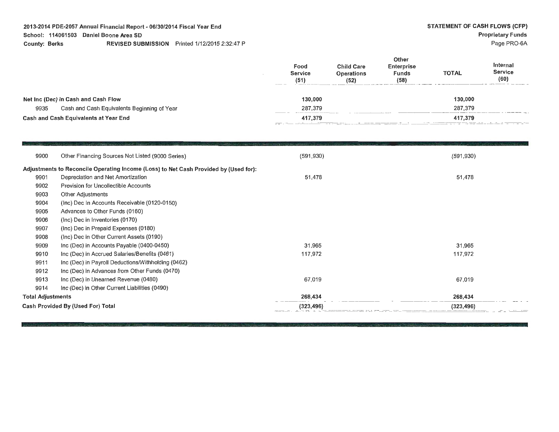**School: 114061503 Daniel Boone Area SD** 

**County: Berks REVISED SUBMISSION** Printed 1/12/2015 2:32:47 P

|                                                     | <b>Child Care</b><br>Food<br><b>Operations</b><br><b>Service</b><br>(52)<br>(51) | Other<br><b>Enterprise</b><br><b>Funds</b><br>(58) | <b>TOTAL</b> | Internal<br><b>Service</b><br>(60) |
|-----------------------------------------------------|----------------------------------------------------------------------------------|----------------------------------------------------|--------------|------------------------------------|
| Net Inc (Dec) in Cash and Cash Flow                 | 130,000                                                                          |                                                    | 130,000      |                                    |
| Cash and Cash Equivalents Beginning of Year<br>9935 | 287.379                                                                          |                                                    | 287,379      |                                    |
| Cash and Cash Equivalents at Year End               | 417.379<br>_____                                                                 | _ _ _ _ _ _ _ _                                    | 417,379      |                                    |
|                                                     |                                                                                  |                                                    |              |                                    |

| 9900                     | Other Financing Sources Not Listed (9000 Series)                                     | (591, 930) | (591, 930) |
|--------------------------|--------------------------------------------------------------------------------------|------------|------------|
|                          | Adjustments to Reconcile Operating Income (Loss) to Net Cash Provided by (Used for): |            |            |
|                          |                                                                                      | 51,478     | 51,478     |
| 9901                     | Depreciation and Net Amortization                                                    |            |            |
| 9902                     | Provision for Uncollectible Accounts                                                 |            |            |
| 9903                     | Other Adjustments                                                                    |            |            |
| 9904                     | (Inc) Dec In Accounts Receivable (0120-0150)                                         |            |            |
| 9905                     | Advances to Other Funds (0160)                                                       |            |            |
| 9906                     | (Inc) Dec in Inventories (0170)                                                      |            |            |
| 9907                     | (Inc) Dec in Prepaid Expenses (0180)                                                 |            |            |
| 9908                     | (Inc) Dec in Other Current Assets (0190)                                             |            |            |
| 9909                     | Inc (Dec) in Accounts Payable (0400-0450)                                            | 31,965     | 31,965     |
| 9910                     | Inc (Dec) in Accrued Salaries/Benefits (0461)                                        | 117,972    | 117,972    |
| 9911                     | Inc (Dec) in Payroll Deductions/Withholding (0462)                                   |            |            |
| 9912                     | Inc (Dec) in Advances from Other Funds (0470)                                        |            |            |
| 9913                     | Inc (Dec) in Unearned Revenue (0480)                                                 | 67,019     | 67,019     |
| 9914                     | Inc (Dec) in Other Current Liabilities (0490)                                        |            |            |
| <b>Total Adjustments</b> |                                                                                      | 268,434    | 268,434    |
|                          | Cash Provided By (Used For) Total                                                    | (323, 496) | (323, 496) |
|                          |                                                                                      |            |            |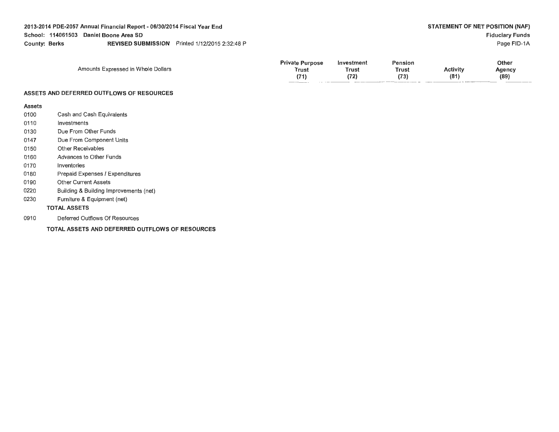**School: 114061503 Daniel Boone Area SD** 

**County: Berks REVISED SUBMISSION** Printed 1/12/2015 2:32:48 P

|                                    | <b>Private Purpose</b> | Investment | Pension |                 | Other  |
|------------------------------------|------------------------|------------|---------|-----------------|--------|
| Amounts Expressed in Whole Dollars | Trust                  | Trust      | Trust   | <b>Activity</b> | Agency |
|                                    | (71                    | (72)       | (73     | (81)            | (89)   |

### **ASSETS AND DEFERRED OUTFLOWS OF RESOURCES**

### **Assets**

- 0100 Cash and Cash Equivalents
- 0110 Investments
- 0130 Due From Other Funds
- 0147 Due From Component Units
- 0150 Other Receivables
- 0160 Advances to Other Funds
- 0170 Inventories
- 0180 Prepaid Expenses / Expenditures
- 0190 Other Current Assets
- 0220 Building & Building Improvements (net)
- 0230 Furniture & Equipment (net)

### **TOTAL ASSETS**

0910 Deferred Outflows Of Resources

**TOTAL ASSETS AND DEFERRED OUTFLOWS OF RESOURCES**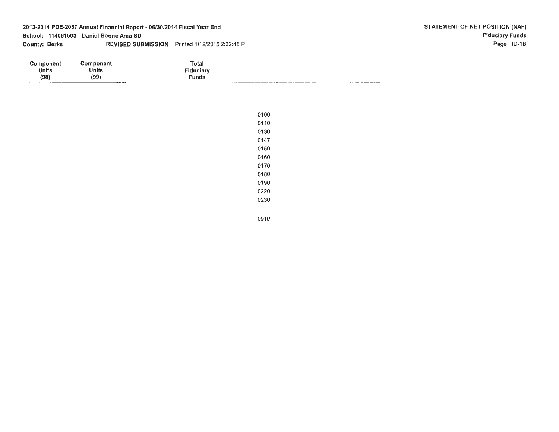2013-2014 PDE-2057 Annual Financial Report - 06/30/2014 Fiscal Year End School: 114061503 Daniel Boone Area SD County: Berks REVISED SUBMISSION Printed 1/12/2015 2:32:48 P

| Component    | Component    | Total     |  |
|--------------|--------------|-----------|--|
| <b>Units</b> | <b>Units</b> | Fiduciarv |  |
| (98)         | (99)         | $cm$      |  |
|              |              | ____      |  |

0910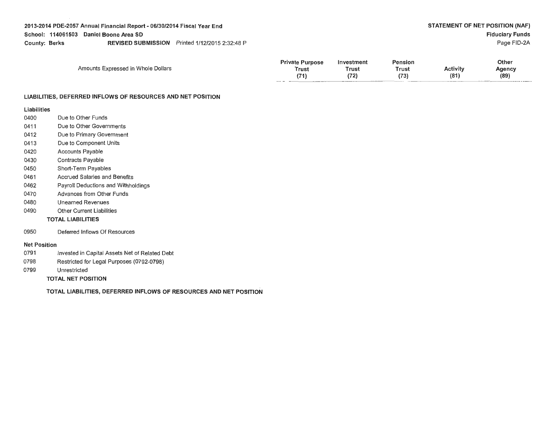**School: 114061503 Daniel Boone Area SD** 

**County: Berks REVISED SUBMISSION** Printed 1/12/2015 2:32:48 P

| Amounts Expressed in Whole Dollars | <b>Private Purpose</b><br>⊤rust<br>171 | Investment<br>Trust<br>(72) | Pension<br>Trust | Activity<br>(81) | Other<br>Agency<br>(89) |
|------------------------------------|----------------------------------------|-----------------------------|------------------|------------------|-------------------------|
|                                    | $\overline{\phantom{a}}$               | ______                      |                  |                  |                         |

### **LIABILITIES, DEFERRED INFLOWS OF RESOURCES AND NET POSITION**

### **Liabilities**

- 0400 Due to Other Funds
- 0411 Due to Other Governments
- 0412 Due to Primary Government
- 0413 Due to Component Units
- 0420 Accounts Payable
- 0430 Contracts Payable
- 0450 Short-Term Payables
- 0461 Accrued Salaries and Benefits
- 0462 Payroll Deductions and Withholdings
- 0470 Advances from Other Funds
- 0480 Unearned Revenues
- 0490 Other Current Liabilities

### **TOTAL LIABILITIES**

### 0950 Deferred Inflows Of Resources

### **Net Position**

- 0791 Invested in Capital Assets Net of Related Debt
- 0798 Restricted for Legal Purposes (0792-0798)
- 0799 Unrestricted
	- **TOTAL NET POSITION**

**TOTAL LIABILITIES, DEFERRED INFLOWS OF RESOURCES AND NET POSITION**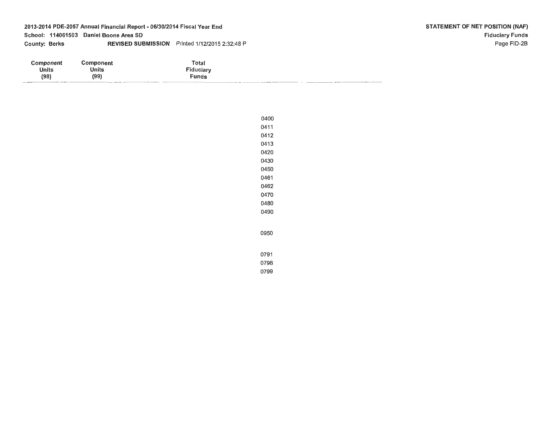2013-2014 PDE-2057 Annual Financial Report - 06/30/2014 Fiscal Year End School: 114061503 Daniel Boone Area SD County: Berks REVISED SUBMISSION Printed 1/12/2015 2:32:48 P

| GOUILLY. DEINS | <b>REVISED SUBMISSION</b> FIILLED 1/12/2013 2.32.40 F |  |
|----------------|-------------------------------------------------------|--|
|                |                                                       |  |
|                |                                                       |  |

| Component | Component    | Total     |  |
|-----------|--------------|-----------|--|
| Units     | <b>Units</b> | Fiduciary |  |
| (98)      | (99)         | Funds     |  |

| 0411 |
|------|
| 0412 |
| 0413 |
| በ42በ |
| 0430 |
| 0450 |
| 0461 |
| 0462 |

0400

0470 0480 0490

0950

0791

0798

0799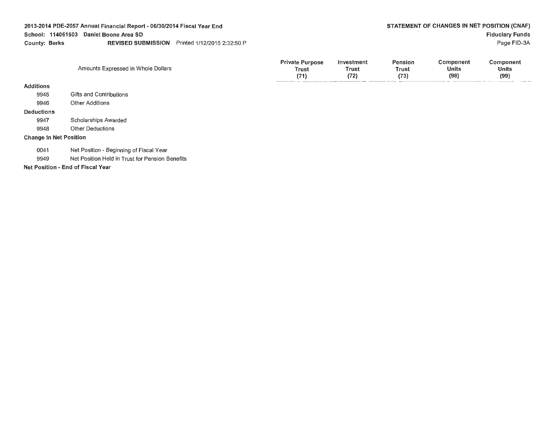**School: 114061503 Daniel Boone Area SD** 

**County: Berks REVISED SUBMISSION** Printed 1/12/2015 2:32:50 P

**Fiduciary Funds** 

Page FID-3A

|                               | Amounts Expressed in Whole Dollars              | <b>Private Purpose</b><br>Trust<br>(71) | Investment<br><b>Trust</b><br>(72) | Pension<br>Trust<br>(73) | Component<br>Units<br>(98) | Component<br>Units<br>(99) |
|-------------------------------|-------------------------------------------------|-----------------------------------------|------------------------------------|--------------------------|----------------------------|----------------------------|
| <b>Additions</b>              |                                                 |                                         |                                    |                          |                            |                            |
| 9945                          | Gifts and Contributions                         |                                         |                                    |                          |                            |                            |
| 9946                          | <b>Other Additions</b>                          |                                         |                                    |                          |                            |                            |
| Deductions                    |                                                 |                                         |                                    |                          |                            |                            |
| 9947                          | Scholarships Awarded                            |                                         |                                    |                          |                            |                            |
| 9948                          | <b>Other Deductions</b>                         |                                         |                                    |                          |                            |                            |
| <b>Change In Net Position</b> |                                                 |                                         |                                    |                          |                            |                            |
| 0041                          | Net Position - Beginning of Fiscal Year         |                                         |                                    |                          |                            |                            |
| 9949                          | Net Position Held in Trust for Pension Benefits |                                         |                                    |                          |                            |                            |
|                               | Net Position - End of Fiscal Year               |                                         |                                    |                          |                            |                            |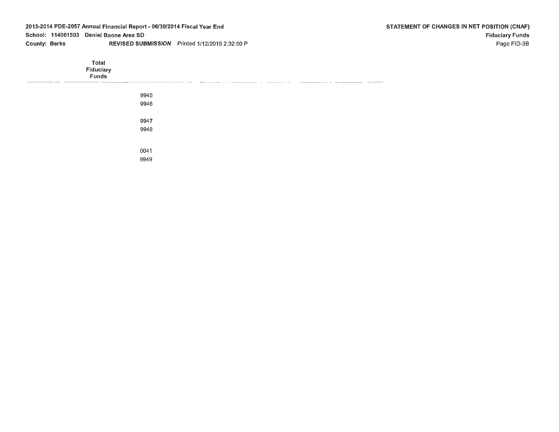| 2013-2014 PDE-2057 Annual Financial Report - 06/30/2014 Fiscal Year End |                      |                                        |                                                | STATEMENT OF CHANGES IN NET POSITION (CNAF) |  |
|-------------------------------------------------------------------------|----------------------|----------------------------------------|------------------------------------------------|---------------------------------------------|--|
|                                                                         |                      | School: 114061503 Daniel Boone Area SD |                                                | <b>Fiduciary Funds</b>                      |  |
|                                                                         | <b>County: Berks</b> |                                        | REVISED SUBMISSION Printed 1/12/2015 2:32:50 P | Page FID-3B                                 |  |
|                                                                         |                      | Total<br><b>Fiduciary</b><br>Funds     |                                                |                                             |  |
|                                                                         |                      | 9945                                   |                                                |                                             |  |
|                                                                         |                      | 9946                                   |                                                |                                             |  |
|                                                                         |                      | 9947                                   |                                                |                                             |  |
|                                                                         |                      | 9948                                   |                                                |                                             |  |
|                                                                         |                      |                                        |                                                |                                             |  |

0041 9949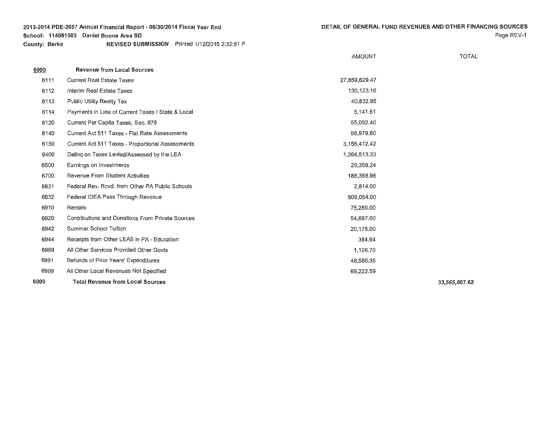| <b>County: Berks</b> |  | <b>REVISED SUBMISSION</b> Printed 1/12/2015 2:32:51 P |
|----------------------|--|-------------------------------------------------------|
|                      |  |                                                       |

|      |                                                         | <b>AMOUNT</b> | <b>TOTAL</b>  |
|------|---------------------------------------------------------|---------------|---------------|
| 6000 | <b>Revenue from Local Sources</b>                       |               |               |
| 6111 | <b>Current Real Estate Taxes</b>                        | 27,859,629.47 |               |
| 6112 | Interim Real Estate Taxes                               | 130,123.16    |               |
| 6113 | Public Utility Realty Tax                               | 40,832.95     |               |
| 6114 | Payments in Lieu of Current Taxes / State & Local       | 5,141.61      |               |
| 6120 | Current Per Capita Taxes, Sec. 679                      | 55,092.40     |               |
| 6140 | Current Act 511 Taxes - Flat Rate Assessments           | 56,979.80     |               |
| 6150 | Current Act 511 Taxes - Proportional Assessments        | 3,156,412.42  |               |
| 6400 | Deling on Taxes Levied/Assessed by the LEA              | 1,264,513.33  |               |
| 6500 | Earnings on Investments                                 | 29,359.24     |               |
| 6700 | <b>Revenue From Student Activities</b>                  | 186,388.96    |               |
| 6831 | Federal Rev. Rcvd. from Other PA Public Schools         | 2,814.00      |               |
| 6832 | Federal IDEA Pass Through Revenue                       | 509,054.00    |               |
| 6910 | Rentals                                                 | 75,280.00     |               |
| 6920 | <b>Contributions and Donations From Private Sources</b> | 54,697.00     |               |
| 6942 | Summer School Tuition                                   | 20,175.00     |               |
| 6944 | Receipts from Other LEAS in PA - Education              | 384.64        |               |
| 6969 | All Other Services Provided Other Govts                 | 1,126.70      |               |
| 6991 | Refunds of Prior Years' Expenditures                    | 48,580.35     |               |
| 6999 | All Other Local Revenues Not Specified                  | 69,222.59     |               |
| 6000 | <b>Total Revenue from Local Sources</b>                 |               | 33,565,807.62 |

**33,565,807.62**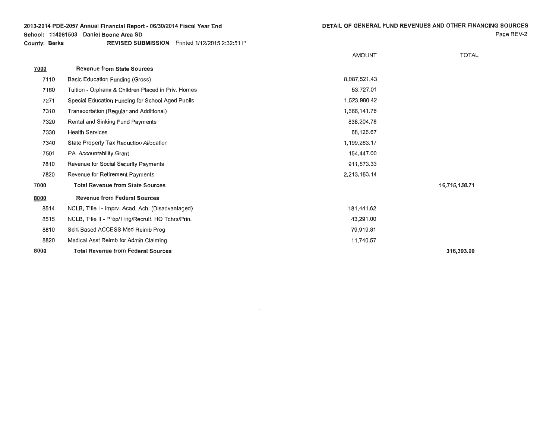School: 114061503 Daniel Boone Area SD

| County: Berks | <b>REVISED SUBMISSION</b> Printed 1/12/2015 2:32:51 P |
|---------------|-------------------------------------------------------|
|               |                                                       |

Page REV-2

|      |                                                    | <b>AMOUNT</b> | <b>TOTAL</b>  |
|------|----------------------------------------------------|---------------|---------------|
| 7000 | <b>Revenue from State Sources</b>                  |               |               |
| 7110 | Basic Education Funding (Gross)                    | 8,087,521.43  |               |
| 7160 | Tuition - Orphans & Children Placed in Priv. Homes | 53,727.01     |               |
| 7271 | Special Education Funding for School Aged Pupils   | 1,523,980.42  |               |
| 7310 | Transportation (Regular and Additional)            | 1,666,141.76  |               |
| 7320 | Rental and Sinking Fund Payments                   | 838,204.78    |               |
| 7330 | <b>Health Services</b>                             | 68,126.67     |               |
| 7340 | State Property Tax Reduction Allocation            | 1,199,263.17  |               |
| 7501 | PA Accountability Grant                            | 154,447.00    |               |
| 7810 | Revenue for Social Security Payments               | 911,573.33    |               |
| 7820 | Revenue for Retirement Payments                    | 2,213,153.14  |               |
| 7000 | <b>Total Revenue from State Sources</b>            |               | 16,716,138.71 |
| 8000 | <b>Revenue from Federal Sources</b>                |               |               |
| 8514 | NCLB, Title I - Imprv. Acad. Ach. (Disadvantaged)  | 181,441.62    |               |
| 8515 | NCLB, Title II - Prep/Trng/Recruit. HQ Tchrs/Prin. | 43,291.00     |               |
| 8810 | Schl Based ACCESS Med Reimb Prog                   | 79,919.81     |               |
| 8820 | Medical Asst Reimb for Admin Claiming              | 11,740.57     |               |
| 8000 | <b>Total Revenue from Federal Sources</b>          |               | 316,393.00    |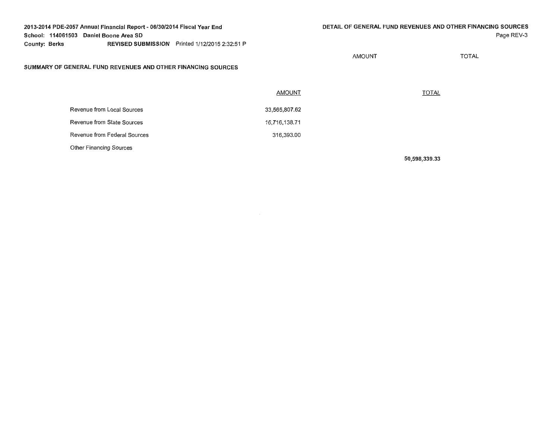| 2013-2014 PDE-2057 Annual Financial Report - 06/30/2014 Fiscal Year End |  |                                        |                             |  |  |
|-------------------------------------------------------------------------|--|----------------------------------------|-----------------------------|--|--|
|                                                                         |  | School: 114061503 Daniel Boone Area SD |                             |  |  |
| <b>County: Berks</b>                                                    |  | <b>REVISED SUBMISSION</b>              | Printed 1/12/2015 2:32:51 P |  |  |

AMOUNT

**TOTAL** 

#### **SUMMARY OF GENERAL FUND REVENUES AND OTHER FINANCING SOURCES**

|                                | <b>AMOUNT</b> | <b>TOTAL</b> |
|--------------------------------|---------------|--------------|
| Revenue from Local Sources     | 33,565,807.62 |              |
| Revenue from State Sources     | 16,716,138.71 |              |
| Revenue from Federal Sources   | 316,393.00    |              |
| <b>Other Financing Sources</b> |               |              |

**50,598,339.33**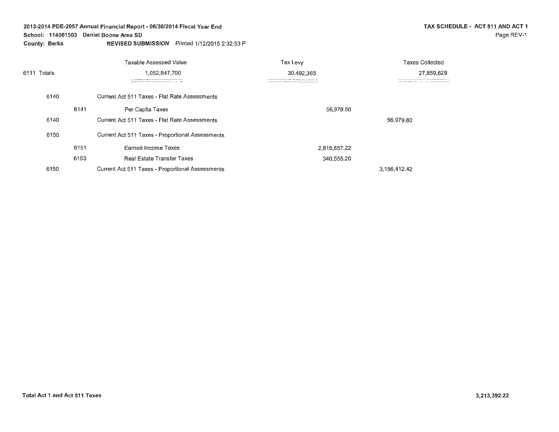**School: 114061503 Daniel Boone Area SD** 

**County: Berks REVISED SUBMISSION** Printed 1/12/2015 2:32:53 P

|             |      | Taxable Assessed Value                           | Tax Levy     | <b>Taxes Collected</b> |
|-------------|------|--------------------------------------------------|--------------|------------------------|
| 6111 Totals |      | 1,052,847,700                                    | 30,492,365   | 27,859,629             |
|             |      |                                                  | ______       |                        |
| 6140        |      | Current Act 511 Taxes - Flat Rate Assessments    |              |                        |
|             | 6141 | Per Capita Taxes                                 | 56,979.80    |                        |
| 6140        |      | Current Act 511 Taxes - Flat Rate Assessments    |              | 56,979.80              |
| 6150        |      | Current Act 511 Taxes - Proportional Assessments |              |                        |
|             | 6151 | <b>Earned Income Taxes</b>                       | 2,815,857.22 |                        |
|             | 6153 | <b>Real Estate Transfer Taxes</b>                | 340,555.20   |                        |
| 6150        |      | Current Act 511 Taxes - Proportional Assessments |              | 3,156,412.42           |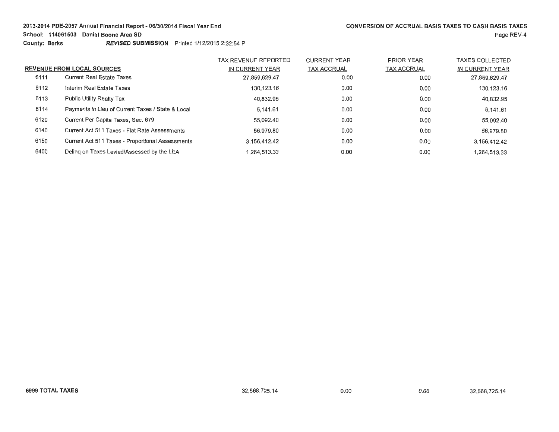School: 114061503 Daniel Boone **Area SD** 

**County: Berks REVISED SUBMISSION** Printed 1/12/2015 2:32:54 P

|      |                                                   | <b>TAX REVENUE REPORTED</b> | <b>CURRENT YEAR</b> | <b>PRIOR YEAR</b>  | <b>TAXES COLLECTED</b> |
|------|---------------------------------------------------|-----------------------------|---------------------|--------------------|------------------------|
|      | <b>REVENUE FROM LOCAL SOURCES</b>                 | IN CURRENT YEAR             | <b>TAX ACCRUAL</b>  | <b>TAX ACCRUAL</b> | IN CURRENT YEAR        |
| 6111 | <b>Current Real Estate Taxes</b>                  | 27,859,629.47               | 0.00                | 0.00               | 27,859,629.47          |
| 6112 | Interim Real Estate Taxes                         | 130, 123. 16                | 0.00                | 0.00               | 130,123.16             |
| 6113 | Public Utility Realty Tax                         | 40,832.95                   | 0.00                | 0.00               | 40,832.95              |
| 6114 | Payments in Lieu of Current Taxes / State & Local | 5,141.61                    | 0.00                | 0.00               | 5,141.61               |
| 6120 | Current Per Capita Taxes, Sec. 679                | 55,092.40                   | 0.00                | 0.00               | 55,092.40              |
| 6140 | Current Act 511 Taxes - Flat Rate Assessments     | 56,979.80                   | 0.00                | 0.00               | 56,979.80              |
| 6150 | Current Act 511 Taxes - Proportional Assessments  | 3,156,412.42                | 0.00                | 0.00               | 3,156,412.42           |

| .    |                                                  | ---------    | ---- | ---- |
|------|--------------------------------------------------|--------------|------|------|
| 6150 | Current Act 511 Taxes - Proportional Assessments | 3.156.412.42 | 0.00 | 0.00 |
| 6400 | Deling on Taxes Levied/Assessed by the LEA       | 1.264.513.33 | 0.00 | 0.00 |

**6999 TOTAL TAXES** 32,568,725.14

Page REV-4

1,264,513.33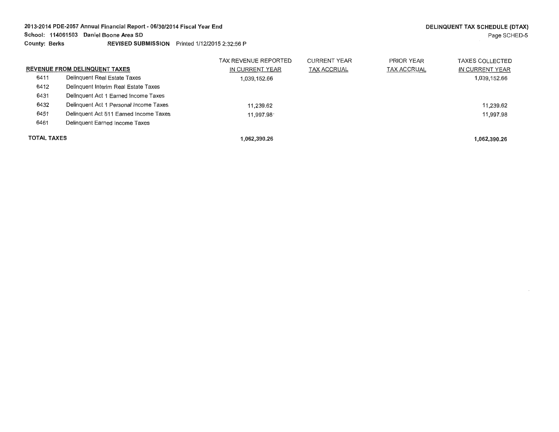School: 114061503 Daniel Boone Area SD

**County: Berks REVISED SUBMISSION** Printed 1/12/2015 2:32:56 P

|                                      |                                        | TAX REVENUE REPORTED | <b>CURRENT YEAR</b> | <b>PRIOR YEAR</b>  | <b>TAXES COLLECTED</b> |
|--------------------------------------|----------------------------------------|----------------------|---------------------|--------------------|------------------------|
| <b>REVENUE FROM DELINQUENT TAXES</b> |                                        | IN CURRENT YEAR      | TAX ACCRUAL         | <b>TAX ACCRUAL</b> | IN CURRENT YEAR        |
| 6411                                 | Delinquent Real Estate Taxes           | 1.039.152.66         |                     |                    | 1,039,152.66           |
| 6412                                 | Delinquent Interim Real Estate Taxes   |                      |                     |                    |                        |
| 6431                                 | Delinquent Act 1 Earned Income Taxes   |                      |                     |                    |                        |
| 6432                                 | Delinguent Act 1 Personal Income Taxes | 11,239.62            |                     |                    | 11.239.62              |
| 6451                                 | Delinguent Act 511 Earned Income Taxes | 11,997.98            |                     |                    | 11,997.98              |
| 6461                                 | Delinquent Earned Income Taxes         |                      |                     |                    |                        |
| <b>TOTAL TAXES</b>                   |                                        | 1.062.390.26         |                     |                    | 1.062.390.26           |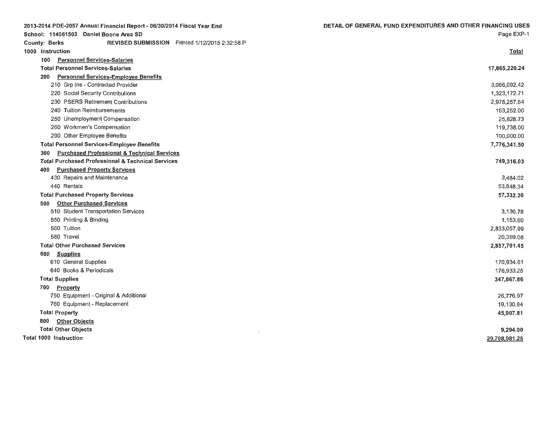| 2013-2014 PDE-2057 Annual Financial Report - 06/30/2014 Fiscal Year End       | DETAIL OF GENERAL FUND EXPENDITURES AND OTHER FINANCING USES |
|-------------------------------------------------------------------------------|--------------------------------------------------------------|
| School: 114061503 Daniel Boone Area SD                                        | Page EXP-1                                                   |
| <b>County: Berks</b><br><b>REVISED SUBMISSION</b> Printed 1/12/2015 2:32:58 P |                                                              |
| 1000 Instruction                                                              | Total                                                        |
| 100<br><b>Personnel Services-Salaries</b>                                     |                                                              |
| <b>Total Personnel Services-Salaries</b>                                      | 17,865,220.24                                                |
| <b>Personnel Services-Employee Benefits</b><br>200                            |                                                              |
| 210 Grp Ins - Contracted Provider                                             | 3,066,092.42                                                 |
| 220 Social Security Contributions                                             | 1,323,172.71                                                 |
| 230 PSERS Retirement Contributions                                            | 2,978,257.64                                                 |
| 240 Tuition Reimbursements                                                    | 163,252.00                                                   |
| 250 Unemployment Compensation                                                 | 25,828.73                                                    |
| 260 Workmen's Compensation                                                    | 119,738.00                                                   |
| 290 Other Employee Benefits                                                   | 100,000.00                                                   |
| <b>Total Personnel Services-Employee Benefits</b>                             | 7,776,341.50                                                 |
| <b>Purchased Professional &amp; Technical Services</b><br>300                 |                                                              |
| <b>Total Purchased Professional &amp; Technical Services</b>                  | 749,316.03                                                   |
| <b>Purchased Property Services</b><br>400                                     |                                                              |
| 430 Repairs and Maintenance                                                   | 3,484.02                                                     |
| 440 Rentals                                                                   | 53,848.34                                                    |
| <b>Total Purchased Property Services</b>                                      | 57,332.36                                                    |
| <b>Other Purchased Services</b><br>500                                        |                                                              |
| 510 Student Transportation Services                                           | 3,130.78                                                     |
| 550 Printing & Binding                                                        | 1,153.60                                                     |
| 560 Tuition                                                                   | 2,833,057.99                                                 |
| 580 Travel                                                                    | 20,359.08                                                    |
| <b>Total Other Purchased Services</b>                                         | 2,857,701.45                                                 |
| 600<br><b>Supplies</b>                                                        |                                                              |
| 610 General Supplies                                                          | 170,934.61                                                   |
| 640 Books & Periodicals                                                       | 176,933.25                                                   |
| <b>Total Supplies</b>                                                         | 347,867.86                                                   |
| Property<br>700                                                               |                                                              |
| 750 Equipment - Original & Additional                                         | 26,776.97                                                    |
| 760 Equipment - Replacement                                                   | 19,130.84                                                    |
| <b>Total Property</b>                                                         | 45,907.81                                                    |
| <b>Other Objects</b><br>800                                                   |                                                              |
| <b>Total Other Objects</b>                                                    | 9,294.00                                                     |
| <b>Total 1000 Instruction</b>                                                 | 29,708,981.25                                                |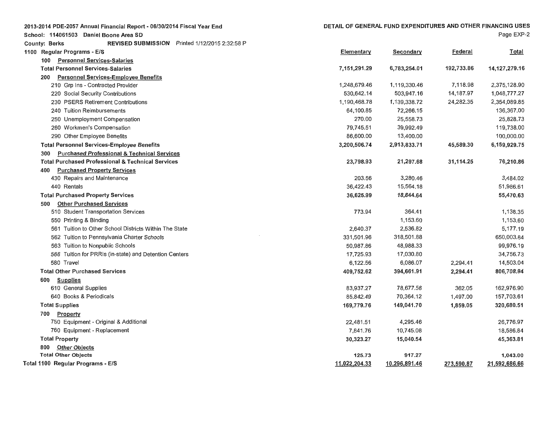| 2013-2014 PDE-2057 Annual Financial Report - 06/30/2014 Fiscal Year End<br>School: 114061503 Daniel Boone Area SD | DETAIL OF GENERAL FUND EXPENDITURES AND OTHER FINANCING USES |               |            | Page EXP-2    |
|-------------------------------------------------------------------------------------------------------------------|--------------------------------------------------------------|---------------|------------|---------------|
| <b>REVISED SUBMISSION</b> Printed 1/12/2015 2:32:58 P<br><b>County: Berks</b>                                     |                                                              |               |            |               |
| 1100 Regular Programs - E/S                                                                                       | Elementary                                                   | Secondary     | Federal    | Total         |
| 100<br><b>Personnel Services-Salaries</b>                                                                         |                                                              |               |            |               |
| <b>Total Personnel Services-Salaries</b>                                                                          | 7,151,291.29                                                 | 6,783,254.01  | 192,733.86 | 14,127,279.16 |
| <b>Personnel Services-Employee Benefits</b><br>200                                                                |                                                              |               |            |               |
| 210 Grp Ins - Contracted Provider                                                                                 | 1,248,679.46                                                 | 1,119,330.46  | 7,118.98   | 2,375,128.90  |
| 220 Social Security Contributions                                                                                 | 530,642.14                                                   | 503,947.16    | 14,187.97  | 1,048,777.27  |
| 230 PSERS Retirement Contributions                                                                                | 1,190,468.78                                                 | 1,139,338.72  | 24,282.35  | 2,354,089.85  |
| 240 Tuition Reimbursements                                                                                        | 64,100.85                                                    | 72,266.15     |            | 136,367.00    |
| 250 Unemployment Compensation                                                                                     | 270.00                                                       | 25,558.73     |            | 25,828.73     |
| 260 Workmen's Compensation                                                                                        | 79,745.51                                                    | 39,992.49     |            | 119,738.00    |
| 290 Other Employee Benefits                                                                                       | 86,600.00                                                    | 13,400.00     |            | 100,000.00    |
| <b>Total Personnel Services-Employee Benefits</b>                                                                 | 3,200,506.74                                                 | 2,913,833.71  | 45,589.30  | 6,159,929.75  |
| <b>Purchased Professional &amp; Technical Services</b><br>300                                                     |                                                              |               |            |               |
| <b>Total Purchased Professional &amp; Technical Services</b>                                                      | 23,798.93                                                    | 21,297.68     | 31,114.25  | 76,210.86     |
| <b>Purchased Property Services</b><br>400                                                                         |                                                              |               |            |               |
| 430 Repairs and Maintenance                                                                                       | 203.56                                                       | 3,280.46      |            | 3,484.02      |
| 440 Rentals                                                                                                       | 36,422.43                                                    | 15,564.18     |            | 51,986.61     |
| <b>Total Purchased Property Services</b>                                                                          | 36,625.99                                                    | 18,844.64     |            | 55,470.63     |
| <b>Other Purchased Services</b><br>500                                                                            |                                                              |               |            |               |
| 510 Student Transportation Services                                                                               | 773.94                                                       | 364.41        |            | 1,138.35      |
| 550 Printing & Binding                                                                                            |                                                              | 1,153.60      |            | 1,153.60      |
| 561 Tuition to Other School Districts Within The State                                                            | 2,640.37                                                     | 2,536.82      |            | 5,177.19      |
| 562 Tuition to Pennsylvania Charter Schools                                                                       | 331,501.96                                                   | 318,501.88    |            | 650,003.84    |
| 563 Tuition to Nonpublic Schools                                                                                  | 50,987.86                                                    | 48,988.33     |            | 99,976.19     |
| 568 Tuition for PRRIs (in-state) and Detention Centers                                                            | 17,725.93                                                    | 17,030.80     |            | 34,756.73     |
| 580 Travel                                                                                                        | 6,122.56                                                     | 6,086.07      | 2,294.41   | 14,503.04     |
| <b>Total Other Purchased Services</b>                                                                             | 409,752.62                                                   | 394,661.91    | 2,294.41   | 806,708.94    |
| <b>Supplies</b><br>600                                                                                            |                                                              |               |            |               |
| 610 General Supplies                                                                                              | 83,937.27                                                    | 78,677.58     | 362.05     | 162,976.90    |
| 640 Books & Periodicals                                                                                           | 85,842.49                                                    | 70,364.12     | 1,497.00   | 157,703.61    |
| <b>Total Supplies</b>                                                                                             | 169,779.76                                                   | 149,041.70    | 1,859.05   | 320,680.51    |
| 700<br>Property                                                                                                   |                                                              |               |            |               |
| 750 Equipment - Original & Additional                                                                             | 22,481.51                                                    | 4,295.46      |            | 26,776.97     |
| 760 Equipment - Replacement                                                                                       | 7,841.76                                                     | 10,745.08     |            | 18,586.84     |
| <b>Total Property</b>                                                                                             | 30,323.27                                                    | 15,040.54     |            | 45,363.81     |
| <b>Other Objects</b><br>800                                                                                       |                                                              |               |            |               |
| <b>Total Other Objects</b>                                                                                        | 125.73                                                       | 917.27        |            | 1,043.00      |
| Total 1100 Regular Programs - E/S                                                                                 | 11.022.204.33                                                | 10,296,891.46 | 273,590.87 | 21,592,686.66 |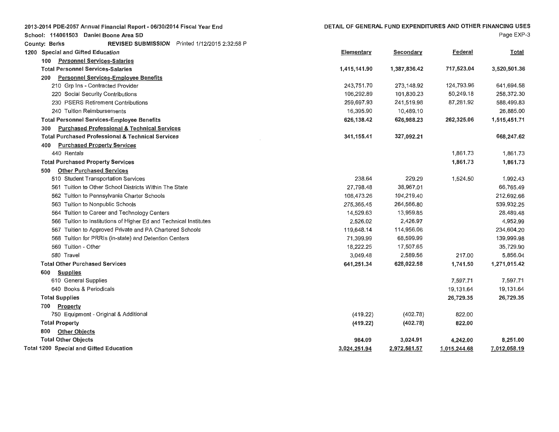| 2013-2014 PDE-2057 Annual Financial Report - 06/30/2014 Fiscal Year End | DETAIL OF GENERAL FUND EXPENDITURES AND OTHER FINANCING USES |              |              |              |
|-------------------------------------------------------------------------|--------------------------------------------------------------|--------------|--------------|--------------|
| School: 114061503 Daniel Boone Area SD                                  |                                                              |              |              | Page EXP-3   |
| REVISED SUBMISSION Printed 1/12/2015 2:32:58 P<br><b>County: Berks</b>  |                                                              |              |              |              |
| 1200 Special and Gifted Education                                       | Elementary                                                   | Secondary    | Federal      | <b>Total</b> |
| 100 Personnel Services-Salaries                                         |                                                              |              |              |              |
| <b>Total Personnel Services-Salaries</b>                                | 1,415,141.90                                                 | 1,387,836.42 | 717,523.04   | 3,520,501.36 |
| Personnel Services-Employee Benefits<br>200                             |                                                              |              |              |              |
| 210 Grp Ins - Contracted Provider                                       | 243,751.70                                                   | 273,148.92   | 124,793.96   | 641,694.58   |
| 220 Social Security Contributions                                       | 106,292.89                                                   | 101,830.23   | 50,249.18    | 258,372.30   |
| 230 PSERS Retirement Contributions                                      | 259,697.93                                                   | 241,519.98   | 87,281.92    | 588,499.83   |
| 240 Tuition Reimbursements                                              | 16,395.90                                                    | 10,489.10    |              | 26,885.00    |
| <b>Total Personnel Services-Employee Benefits</b>                       | 626,138.42                                                   | 626,988.23   | 262,325.06   | 1,515,451.71 |
| <b>Purchased Professional &amp; Technical Services</b><br>300           |                                                              |              |              |              |
| <b>Total Purchased Professional &amp; Technical Services</b>            | 341,155.41                                                   | 327,092.21   |              | 668,247.62   |
| <b>Purchased Property Services</b><br>400                               |                                                              |              |              |              |
| 440 Rentals                                                             |                                                              |              | 1,861.73     | 1,861.73     |
| <b>Total Purchased Property Services</b>                                |                                                              |              | 1,861.73     | 1,861.73     |
| <b>Other Purchased Services</b><br>500                                  |                                                              |              |              |              |
| 510 Student Transportation Services                                     | 238.64                                                       | 229.29       | 1,524.50     | 1,992.43     |
| 561 Tuition to Other School Districts Within The State                  | 27,798.48                                                    | 38,967.01    |              | 66,765.49    |
| 562 Tuition to Pennsylvania Charter Schools                             | 108,473.26                                                   | 104,219.40   |              | 212,692.66   |
| 563 Tuition to Nonpublic Schools                                        | 275,365.45                                                   | 264,566.80   |              | 539,932.25   |
| 564 Tuition to Career and Technology Centers                            | 14,529.63                                                    | 13,959.85    |              | 28,489.48    |
| 566 Tuition to Institutions of Higher Ed and Technical Institutes       | 2,526.02                                                     | 2,426.97     |              | 4,952.99     |
| 567 Tuition to Approved Private and PA Chartered Schools                | 119,648.14                                                   | 114,956.06   |              | 234,604.20   |
| 568 Tuition for PRRIs (in-state) and Detention Centers                  | 71,399.99                                                    | 68,599.99    |              | 139,999.98   |
| 569 Tuition - Other                                                     | 18,222.25                                                    | 17,507.65    |              | 35,729.90    |
| 580 Travel                                                              | 3,049.48                                                     | 2,589.56     | 217.00       | 5,856.04     |
| <b>Total Other Purchased Services</b>                                   | 641,251.34                                                   | 628,022.58   | 1,741.50     | 1,271,015.42 |
| 600<br><b>Supplies</b>                                                  |                                                              |              |              |              |
| 610 General Supplies                                                    |                                                              |              | 7,597.71     | 7,597.71     |
| 640 Books & Periodicals                                                 |                                                              |              | 19,131.64    | 19,131.64    |
| <b>Total Supplies</b>                                                   |                                                              |              | 26,729.35    | 26,729.35    |
| 700 Property                                                            |                                                              |              |              |              |
| 750 Equipment - Original & Additional                                   | (419.22)                                                     | (402.78)     | 822.00       |              |
| <b>Total Property</b>                                                   | (419.22)                                                     | (402.78)     | 822.00       |              |
| 800<br><b>Other Objects</b>                                             |                                                              |              |              |              |
| <b>Total Other Objects</b>                                              | 984.09                                                       | 3,024.91     | 4,242.00     | 8,251.00     |
| <b>Total 1200 Special and Gifted Education</b>                          | 3,024,251.94                                                 | 2,972,561.57 | 1,015,244.68 | 7,012,058.19 |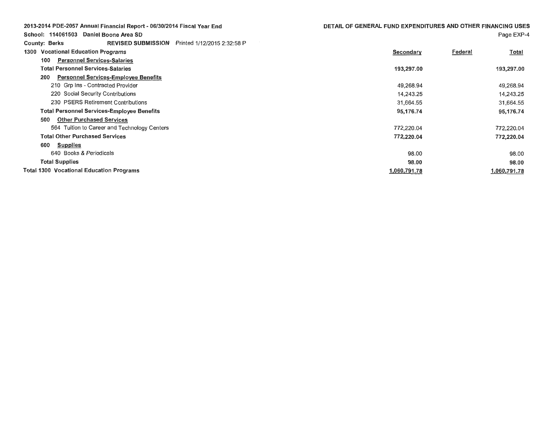| 2013-2014 PDE-2057 Annual Financial Report - 06/30/2014 Fiscal Year End          | DETAIL OF GENERAL FUND EXPENDITURES AND OTHER FINANCING USES |         |              |
|----------------------------------------------------------------------------------|--------------------------------------------------------------|---------|--------------|
| Daniel Boone Area SD<br>School: 114061503                                        |                                                              |         | Page EXP-4   |
| <b>County: Berks</b><br><b>REVISED SUBMISSION</b><br>Printed 1/12/2015 2:32:58 P |                                                              |         |              |
| <b>Vocational Education Programs</b><br>1300                                     | Secondary                                                    | Federal | Total        |
| <b>Personnel Services-Salaries</b><br>100                                        |                                                              |         |              |
| <b>Total Personnel Services-Salaries</b>                                         | 193,297.00                                                   |         | 193,297.00   |
| <b>Personnel Services-Employee Benefits</b><br>200                               |                                                              |         |              |
| 210 Grp Ins - Contracted Provider                                                | 49,268.94                                                    |         | 49,268.94    |
| 220 Social Security Contributions                                                | 14,243.25                                                    |         | 14,243.25    |
| 230 PSERS Retirement Contributions                                               | 31,664.55                                                    |         | 31,664.55    |
| Total Personnel Services-Employee Benefits                                       | 95,176.74                                                    |         | 95,176.74    |
| <b>Other Purchased Services</b><br>500                                           |                                                              |         |              |
| 564 Tuition to Career and Technology Centers                                     | 772,220.04                                                   |         | 772,220.04   |
| <b>Total Other Purchased Services</b>                                            | 772,220.04                                                   |         | 772,220.04   |
| <b>Supplies</b><br>600                                                           |                                                              |         |              |
| 640 Books & Periodicals                                                          | 98.00                                                        |         | 98.00        |
| <b>Total Supplies</b>                                                            | 98.00                                                        |         | 98.00        |
| <b>Total 1300 Vocational Education Programs</b>                                  | 1,060,791.78                                                 |         | 1,060,791.78 |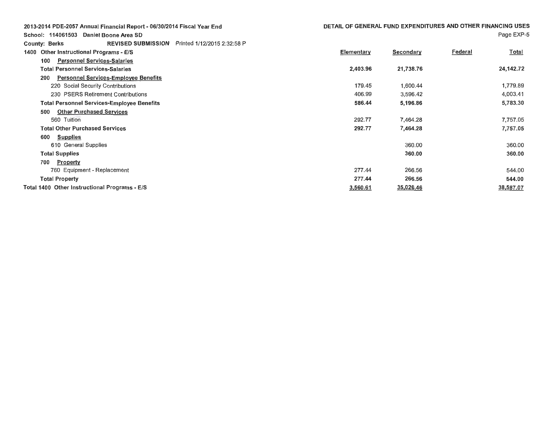| 2013-2014 PDE-2057 Annual Financial Report - 06/30/2014 Fiscal Year End<br>School: 114061503<br>Daniel Boone Area SD<br>Printed 1/12/2015 2:32:58 P | DETAIL OF GENERAL FUND EXPENDITURES AND OTHER FINANCING USES |           |         | Page EXP-5 |
|-----------------------------------------------------------------------------------------------------------------------------------------------------|--------------------------------------------------------------|-----------|---------|------------|
| <b>REVISED SUBMISSION</b><br><b>County: Berks</b>                                                                                                   |                                                              |           |         |            |
| Other Instructional Programs - E/S<br>1400                                                                                                          | Elementary                                                   | Secondary | Federal | Total      |
| 100<br><b>Personnel Services-Salaries</b>                                                                                                           |                                                              |           |         |            |
| <b>Total Personnel Services-Salaries</b>                                                                                                            | 2,403.96                                                     | 21,738.76 |         | 24,142.72  |
| <b>Personnel Services-Employee Benefits</b><br>200                                                                                                  |                                                              |           |         |            |
| 220 Social Security Contributions                                                                                                                   | 179.45                                                       | 1,600.44  |         | 1,779.89   |
| 230 PSERS Retirement Contributions                                                                                                                  | 406.99                                                       | 3,596.42  |         | 4,003.41   |
| <b>Total Personnel Services-Employee Benefits</b>                                                                                                   | 586.44                                                       | 5,196.86  |         | 5,783.30   |
| <b>Other Purchased Services</b><br>500                                                                                                              |                                                              |           |         |            |
| 560 Tuition                                                                                                                                         | 292.77                                                       | 7,464.28  |         | 7,757.05   |
| <b>Total Other Purchased Services</b>                                                                                                               | 292.77                                                       | 7,464.28  |         | 7,757.05   |
| <b>Supplies</b><br>600                                                                                                                              |                                                              |           |         |            |
| 610 General Supplies                                                                                                                                |                                                              | 360.00    |         | 360.00     |
| <b>Total Supplies</b>                                                                                                                               |                                                              | 360.00    |         | 360.00     |
| <b>Property</b><br>700                                                                                                                              |                                                              |           |         |            |
| 760 Equipment - Replacement                                                                                                                         | 277.44                                                       | 266.56    |         | 544.00     |
| <b>Total Property</b>                                                                                                                               | 277.44                                                       | 266.56    |         | 544.00     |
| Total 1400 Other Instructional Programs - E/S                                                                                                       | 3,560.61                                                     | 35,026.46 |         | 38,587.07  |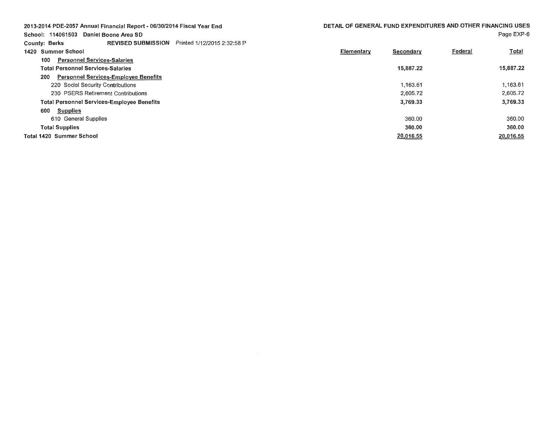| 2013-2014 PDE-2057 Annual Financial Report - 06/30/2014 Fiscal Year End          | DETAIL OF GENERAL FUND EXPENDITURES AND OTHER FINANCING USES |           |         |            |
|----------------------------------------------------------------------------------|--------------------------------------------------------------|-----------|---------|------------|
| School: 114061503<br>Daniel Boone Area SD                                        |                                                              |           |         | Page EXP-6 |
| <b>REVISED SUBMISSION</b><br>Printed 1/12/2015 2:32:58 P<br><b>County: Berks</b> |                                                              |           |         |            |
| 1420 Summer School                                                               | <b>Elementary</b>                                            | Secondary | Federal | Total      |
| <b>Personnel Services-Salaries</b><br>100                                        |                                                              |           |         |            |
| <b>Total Personnel Services-Salaries</b>                                         |                                                              | 15,887.22 |         | 15,887.22  |
| <b>Personnel Services-Employee Benefits</b><br>200                               |                                                              |           |         |            |
| 220 Social Security Contributions                                                |                                                              | 1.163.61  |         | 1.163.61   |
| 230 PSERS Retirement Contributions                                               |                                                              | 2,605.72  |         | 2,605.72   |
| <b>Total Personnel Services-Employee Benefits</b>                                |                                                              | 3,769.33  |         | 3,769.33   |
| <u>Supplies</u><br>600                                                           |                                                              |           |         |            |
| 610 General Supplies                                                             |                                                              | 360.00    |         | 360.00     |
| <b>Total Supplies</b>                                                            |                                                              | 360.00    |         | 360.00     |
| <b>Total 1420 Summer School</b>                                                  |                                                              | 20,016.55 |         | 20,016.55  |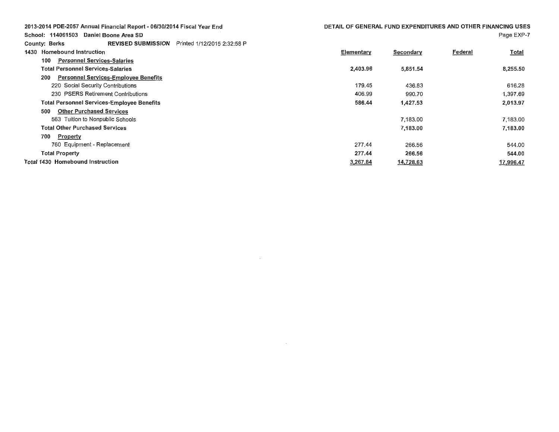| 2013-2014 PDE-2057 Annual Financial Report - 06/30/2014 Fiscal Year End          | DETAIL OF GENERAL FUND EXPENDITURES AND OTHER FINANCING USES |           |         |            |
|----------------------------------------------------------------------------------|--------------------------------------------------------------|-----------|---------|------------|
| Daniel Boone Area SD<br>School: 114061503                                        |                                                              |           |         | Page EXP-7 |
| <b>County: Berks</b><br><b>REVISED SUBMISSION</b><br>Printed 1/12/2015 2:32:58 P |                                                              |           |         |            |
| 1430 Homebound Instruction                                                       | Elementary                                                   | Secondary | Federal | Total      |
| 100<br><b>Personnel Services-Salaries</b>                                        |                                                              |           |         |            |
| <b>Total Personnel Services-Salaries</b>                                         | 2.403.96                                                     | 5,851.54  |         | 8,255.50   |
| <b>Personnel Services-Employee Benefits</b><br>200                               |                                                              |           |         |            |
| 220 Social Security Contributions                                                | 179.45                                                       | 436.83    |         | 616.28     |
| 230 PSERS Retirement Contributions                                               | 406.99                                                       | 990.70    |         | 1,397.69   |
| <b>Total Personnel Services-Employee Benefits</b>                                | 586.44                                                       | 1,427.53  |         | 2,013.97   |
| <b>Other Purchased Services</b><br>500                                           |                                                              |           |         |            |
| 563 Tuition to Nonpublic Schools                                                 |                                                              | 7,183.00  |         | 7,183.00   |
| <b>Total Other Purchased Services</b>                                            |                                                              | 7,183.00  |         | 7,183.00   |
| 700<br><b>Property</b>                                                           |                                                              |           |         |            |
| 760 Equipment - Replacement                                                      | 277.44                                                       | 266.56    |         | 544.00     |
| <b>Total Property</b>                                                            | 277.44                                                       | 266.56    |         | 544.00     |
| <b>Total 1430 Homebound Instruction</b>                                          | 3,267.84                                                     | 14,728.63 |         | 17,996.47  |

 $\sim 10^{-1}$ 

 $\mathcal{L}^{\mathcal{L}}(\mathcal{L}^{\mathcal{L}}(\mathcal{L}^{\mathcal{L}}(\mathcal{L}^{\mathcal{L}}(\mathcal{L}^{\mathcal{L}})))$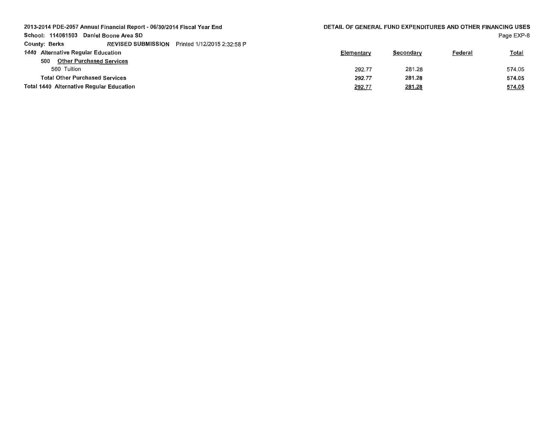| 2013-2014 PDE-2057 Annual Financial Report - 06/30/2014 Fiscal Year End<br>Daniel Boone Area SD<br>School: 114061503 |            | DETAIL OF GENERAL FUND EXPENDITURES AND OTHER FINANCING USES |         | Page EXP-8   |
|----------------------------------------------------------------------------------------------------------------------|------------|--------------------------------------------------------------|---------|--------------|
| <b>REVISED SUBMISSION</b> Printed 1/12/2015 2:32:58 P<br><b>County: Berks</b>                                        |            |                                                              |         |              |
| 1440 Alternative Regular Education                                                                                   | Elementary | Secondary                                                    | Federal | <u>Total</u> |
| <b>Other Purchased Services</b><br>500                                                                               |            |                                                              |         |              |
| 560 Tuition                                                                                                          | 292.77     | 281.28                                                       |         | 574.05       |
| <b>Total Other Purchased Services</b>                                                                                | 292.77     | 281.28                                                       |         | 574.05       |
| <b>Total 1440 Alternative Regular Education</b>                                                                      | 292.77     | 281.28                                                       |         | 574.05       |
|                                                                                                                      |            |                                                              |         |              |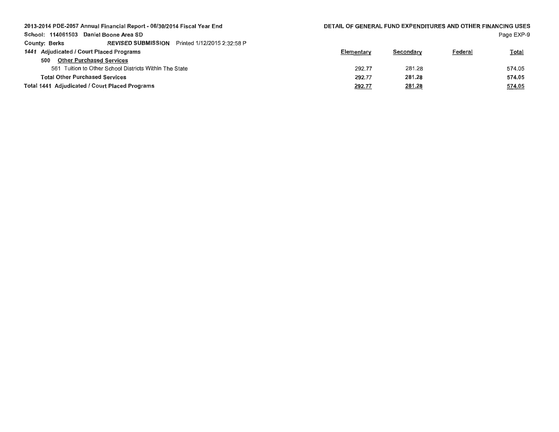| 2013-2014 PDE-2057 Annual Financial Report - 06/30/2014 Fiscal Year End          | DETAIL OF GENERAL FUND EXPENDITURES AND OTHER FINANCING USES |           |         |              |
|----------------------------------------------------------------------------------|--------------------------------------------------------------|-----------|---------|--------------|
| Daniel Boone Area SD<br>School: 114061503                                        |                                                              |           |         | Page EXP-9   |
| <b>REVISED SUBMISSION</b><br>Printed 1/12/2015 2:32:58 P<br><b>County: Berks</b> |                                                              |           |         |              |
| 1441 Adjudicated / Court Placed Programs                                         | Elementary                                                   | Secondary | Federal | <b>Total</b> |
| <b>Other Purchased Services</b><br>500                                           |                                                              |           |         |              |
| 561 Tuition to Other School Districts Within The State                           | 292.77                                                       | 281.28    |         | 574.05       |
| <b>Total Other Purchased Services</b>                                            | 292.77                                                       | 281.28    |         | 574.05       |
| <b>Total 1441 Adjudicated / Court Placed Programs</b>                            | 292.77                                                       | 281.28    |         | 574.05       |
|                                                                                  |                                                              |           |         |              |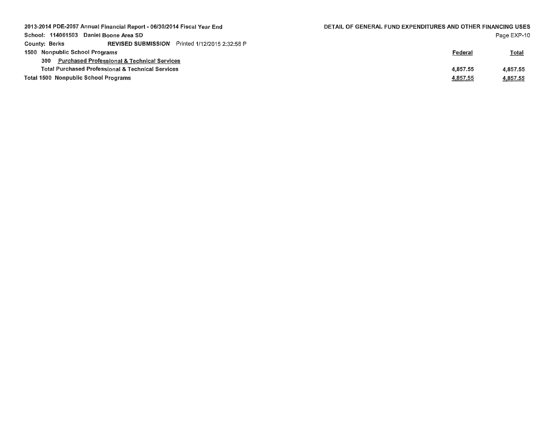| 2013-2014 PDE-2057 Annual Financial Report - 06/30/2014 Fiscal Year End       | DETAIL OF GENERAL FUND EXPENDITURES AND OTHER FINANCING USES |
|-------------------------------------------------------------------------------|--------------------------------------------------------------|
| School: 114061503<br>Daniel Boone Area SD                                     | Page EXP-10                                                  |
| <b>REVISED SUBMISSION</b> Printed 1/12/2015 2:32:58 P<br><b>County: Berks</b> |                                                              |
| 1500 Nonpublic School Programs                                                | <b>Federal</b><br><b>Total</b>                               |
| <b>Purchased Professional &amp; Technical Services</b><br>300                 |                                                              |
| <b>Total Purchased Professional &amp; Technical Services</b>                  | 4.857.55<br>4.857.55                                         |
| <b>Total 1500 Nonpublic School Programs</b>                                   | 4,857.55<br>4,857.55                                         |
|                                                                               |                                                              |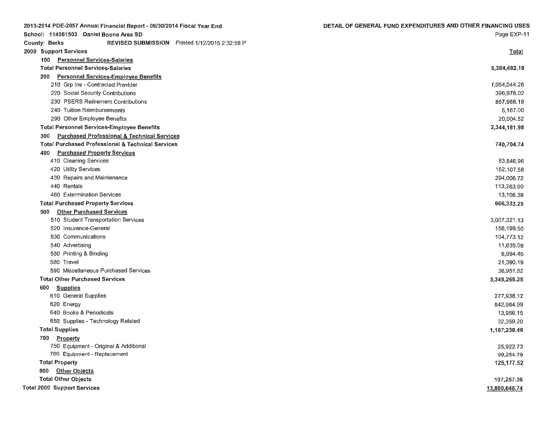| 2013-2014 PDE-2057 Annual Financial Report - 06/30/2014 Fiscal Year End | DETAIL OF GENERAL FUND EXPENDITURES AND OTHER FINANCING USES |
|-------------------------------------------------------------------------|--------------------------------------------------------------|
| School: 114061503 Daniel Boone Area SD                                  | Page EXP-11                                                  |
| REVISED SUBMISSION Printed 1/12/2015 2:32:58 P<br><b>County: Berks</b>  |                                                              |
| 2000 Support Services                                                   | Total                                                        |
| <b>Personnel Services-Salaries</b><br>100                               |                                                              |
| <b>Total Personnel Services-Salaries</b>                                | 5,384,482.18                                                 |
| <b>Personnel Services-Employee Benefits</b><br>200                      |                                                              |
| 210 Grp Ins - Contracted Provider                                       | 1,054,044.26                                                 |
| 220 Social Security Contributions                                       | 396,978.02                                                   |
| 230 PSERS Retirement Contributions                                      | 867,988.18                                                   |
| 240 Tuition Reimbursements                                              | 5,167.00                                                     |
| 290 Other Employee Benefits                                             | 20,004.52                                                    |
| <b>Total Personnel Services-Employee Benefits</b>                       | 2,344,181.98                                                 |
| <b>Purchased Professional &amp; Technical Services</b><br>300           |                                                              |
| <b>Total Purchased Professional &amp; Technical Services</b>            | 740,704.74                                                   |
| <b>Purchased Property Services</b><br>400                               |                                                              |
| 410 Cleaning Services                                                   | 83,846.96                                                    |
| 420 Utility Services                                                    | 162,107.58                                                   |
| 430 Repairs and Maintenance                                             | 294,006.72                                                   |
| 440 Rentals                                                             | 113,263.60                                                   |
| 460 Extermination Services                                              | 13,108.39                                                    |
| <b>Total Purchased Property Services</b>                                | 666,333.25                                                   |
| <b>Other Purchased Services</b><br>500                                  |                                                              |
| 510 Student Transportation Services                                     | 3,007,321.13                                                 |
| 520 Insurance-General                                                   | 156,199.50                                                   |
| 530 Communications                                                      | 104,773.12                                                   |
| 540 Advertising                                                         | 11,635.09                                                    |
| 550 Printing & Binding                                                  | 6,994.40                                                     |
| 580 Travel                                                              | 21,390.19                                                    |
| 590 Miscellaneous Purchased Services                                    | 36,951.82                                                    |
| <b>Total Other Purchased Services</b>                                   | 3,345,265.25                                                 |
| <b>Supplies</b><br>600                                                  |                                                              |
| 610 General Supplies                                                    | 277,938.12                                                   |
| 620 Energy                                                              | 842,984.99                                                   |
| 640 Books & Periodicals                                                 | 13,956.15                                                    |
| 650 Supplies - Technology Related                                       | 32,359.20                                                    |
| <b>Total Supplies</b>                                                   | 1,167,238.46                                                 |
| 700 Property                                                            |                                                              |
| 750 Equipment - Original & Additional                                   | 25,922.73                                                    |
| 760 Equipment - Replacement                                             | 99,254.79                                                    |
| <b>Total Property</b>                                                   | 125,177.52                                                   |
| 800 Other Objects                                                       |                                                              |
| <b>Total Other Objects</b>                                              | 107,257.36                                                   |
| <b>Total 2000 Support Services</b>                                      | 13,880,640.74                                                |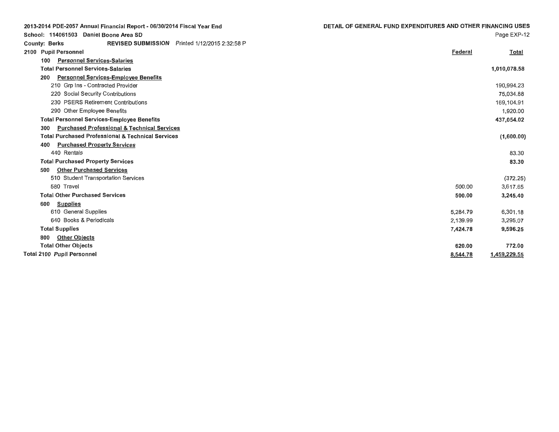| 2013-2014 PDE-2057 Annual Financial Report - 06/30/2014 Fiscal Year End       | DETAIL OF GENERAL FUND EXPENDITURES AND OTHER FINANCING USES |              |
|-------------------------------------------------------------------------------|--------------------------------------------------------------|--------------|
| School: 114061503<br>Daniel Boone Area SD                                     |                                                              | Page EXP-12  |
| <b>REVISED SUBMISSION</b> Printed 1/12/2015 2:32:58 P<br><b>County: Berks</b> |                                                              |              |
| 2100 Pupil Personnel                                                          | Federal                                                      | Total        |
| <b>Personnel Services-Salaries</b><br>100                                     |                                                              |              |
| <b>Total Personnel Services-Salaries</b>                                      |                                                              | 1,010,078.58 |
| <b>Personnel Services-Employee Benefits</b><br>200                            |                                                              |              |
| 210 Grp Ins - Contracted Provider                                             |                                                              | 190,994.23   |
| 220 Social Security Contributions                                             |                                                              | 75,034.88    |
| 230 PSERS Retirement Contributions                                            |                                                              | 169,104.91   |
| 290 Other Employee Benefits                                                   |                                                              | 1,920.00     |
| <b>Total Personnel Services-Employee Benefits</b>                             |                                                              | 437,054.02   |
| <b>Purchased Professional &amp; Technical Services</b><br>300                 |                                                              |              |
| <b>Total Purchased Professional &amp; Technical Services</b>                  |                                                              | (1,600.00)   |
| <b>Purchased Property Services</b><br>400                                     |                                                              |              |
| 440 Rentals                                                                   |                                                              | 83.30        |
| <b>Total Purchased Property Services</b>                                      |                                                              | 83.30        |
| <b>Other Purchased Services</b><br>500                                        |                                                              |              |
| 510 Student Transportation Services                                           |                                                              | (372.25)     |
| 580 Travel                                                                    | 500.00                                                       | 3,617.65     |
| <b>Total Other Purchased Services</b>                                         | 500.00                                                       | 3,245.40     |
| <b>Supplies</b><br>600                                                        |                                                              |              |
| 610 General Supplies                                                          | 5,284.79                                                     | 6,301.18     |
| 640 Books & Periodicals                                                       | 2,139.99                                                     | 3,295.07     |
| <b>Total Supplies</b>                                                         | 7,424.78                                                     | 9,596.25     |
| <b>Other Objects</b><br>800                                                   |                                                              |              |
| <b>Total Other Objects</b>                                                    | 620.00                                                       | 772.00       |
| <b>Total 2100 Pupil Personnel</b>                                             | 8,544.78                                                     | 1,459,229.55 |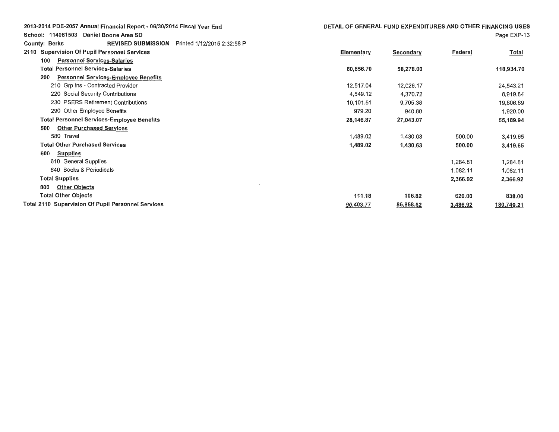| 2013-2014 PDE-2057 Annual Financial Report - 06/30/2014 Fiscal Year End          | DETAIL OF GENERAL FUND EXPENDITURES AND OTHER FINANCING USES |                  |          |             |
|----------------------------------------------------------------------------------|--------------------------------------------------------------|------------------|----------|-------------|
| School: 114061503<br>Daniel Boone Area SD                                        |                                                              |                  |          | Page EXP-13 |
| <b>County: Berks</b><br><b>REVISED SUBMISSION</b><br>Printed 1/12/2015 2:32:58 P |                                                              |                  |          |             |
| 2110 Supervision Of Pupil Personnel Services                                     | Elementary                                                   | <b>Secondary</b> | Federal  | Total       |
| <b>Personnel Services-Salaries</b><br>100                                        |                                                              |                  |          |             |
| <b>Total Personnel Services-Salaries</b>                                         | 60,656.70                                                    | 58,278.00        |          | 118,934.70  |
| Personnel Services-Employee Benefits<br>200                                      |                                                              |                  |          |             |
| 210 Grp Ins - Contracted Provider                                                | 12,517.04                                                    | 12,026.17        |          | 24,543.21   |
| 220 Social Security Contributions                                                | 4,549.12                                                     | 4,370.72         |          | 8,919.84    |
| 230 PSERS Retirement Contributions                                               | 10,101.51                                                    | 9,705.38         |          | 19,806.89   |
| 290 Other Employee Benefits                                                      | 979.20                                                       | 940.80           |          | 1,920.00    |
| <b>Total Personnel Services-Employee Benefits</b>                                | 28,146.87                                                    | 27,043.07        |          | 55,189.94   |
| <b>Other Purchased Services</b><br>500                                           |                                                              |                  |          |             |
| 580 Travel                                                                       | 1,489.02                                                     | 1,430.63         | 500.00   | 3,419.65    |
| <b>Total Other Purchased Services</b>                                            | 1,489.02                                                     | 1,430.63         | 500.00   | 3,419.65    |
| 600<br><b>Supplies</b>                                                           |                                                              |                  |          |             |
| 610 General Supplies                                                             |                                                              |                  | 1,284.81 | 1,284.81    |
| 640 Books & Periodicals                                                          |                                                              |                  | 1,082.11 | 1,082.11    |
| <b>Total Supplies</b>                                                            |                                                              |                  | 2,366.92 | 2,366.92    |
| <b>Other Objects</b><br>800                                                      |                                                              |                  |          |             |
| <b>Total Other Objects</b>                                                       | 111.18                                                       | 106.82           | 620.00   | 838.00      |
| <b>Total 2110 Supervision Of Pupil Personnel Services</b>                        | 90,403.77                                                    | 86,858.52        | 3,486.92 | 180,749.21  |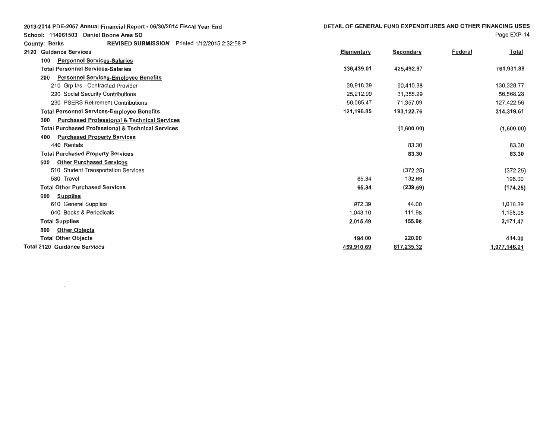| 2013-2014 PDE-2057 Annual Financial Report - 06/30/2014 Fiscal Year End       | DETAIL OF GENERAL FUND EXPENDITURES AND OTHER FINANCING USES |            |         |              |
|-------------------------------------------------------------------------------|--------------------------------------------------------------|------------|---------|--------------|
| School: 114061503 Daniel Boone Area SD                                        |                                                              |            |         | Page EXP-14  |
| <b>County: Berks</b><br><b>REVISED SUBMISSION</b> Printed 1/12/2015 2:32:58 P |                                                              |            |         |              |
| 2120 Guidance Services                                                        | Elementary                                                   | Secondary  | Federal | Total        |
| <b>Personnel Services-Salaries</b><br>100                                     |                                                              |            |         |              |
| <b>Total Personnel Services-Salaries</b>                                      | 336,439.01                                                   | 425,492.87 |         | 761,931.88   |
| <b>Personnel Services-Employee Benefits</b><br>200                            |                                                              |            |         |              |
| 210 Grp Ins - Contracted Provider                                             | 39,918.39                                                    | 90,410.38  |         | 130,328.77   |
| 220 Social Security Contributions                                             | 25,212.99                                                    | 31,355.29  |         | 56,568.28    |
| 230 PSERS Retirement Contributions                                            | 56.065.47                                                    | 71,357.09  |         | 127,422.56   |
| <b>Total Personnel Services-Employee Benefits</b>                             | 121,196.85                                                   | 193,122.76 |         | 314,319.61   |
| <b>Purchased Professional &amp; Technical Services</b><br>300                 |                                                              |            |         |              |
| <b>Total Purchased Professional &amp; Technical Services</b>                  |                                                              | (1,600.00) |         | (1,600.00)   |
| <b>Purchased Property Services</b><br>400                                     |                                                              |            |         |              |
| 440 Rentals                                                                   |                                                              | 83.30      |         | 83.30        |
| <b>Total Purchased Property Services</b>                                      |                                                              | 83.30      |         | 83.30        |
| <b>Other Purchased Services</b><br>500                                        |                                                              |            |         |              |
| 510 Student Transportation Services                                           |                                                              | (372.25)   |         | (372.25)     |
| 580 Travel                                                                    | 65.34                                                        | 132.66     |         | 198.00       |
| <b>Total Other Purchased Services</b>                                         | 65.34                                                        | (239.59)   |         | (174.25)     |
| <b>Supplies</b><br>600                                                        |                                                              |            |         |              |
| 610 General Supplies                                                          | 972.39                                                       | 44.00      |         | 1,016.39     |
| 640 Books & Periodicals                                                       | 1,043.10                                                     | 111.98     |         | 1,155.08     |
| <b>Total Supplies</b>                                                         | 2,015.49                                                     | 155.98     |         | 2,171.47     |
| 800<br><b>Other Objects</b>                                                   |                                                              |            |         |              |
| <b>Total Other Objects</b>                                                    | 194.00                                                       | 220.00     |         | 414.00       |
| <b>Total 2120 Guidance Services</b>                                           | 459,910.69                                                   | 617.235.32 |         | 1,077,146.01 |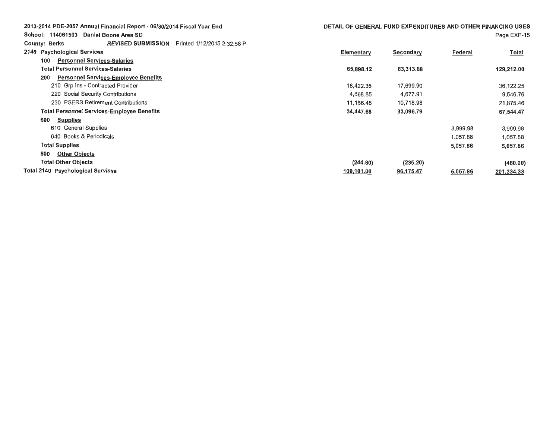| 2013-2014 PDE-2057 Annual Financial Report - 06/30/2014 Fiscal Year End<br>Daniel Boone Area SD<br>School: 114061503 | DETAIL OF GENERAL FUND EXPENDITURES AND OTHER FINANCING USES |           |          | Page EXP-15  |
|----------------------------------------------------------------------------------------------------------------------|--------------------------------------------------------------|-----------|----------|--------------|
| Printed 1/12/2015 2:32:58 P<br><b>REVISED SUBMISSION</b><br><b>County: Berks</b>                                     |                                                              |           |          |              |
| 2140 Psychological Services                                                                                          | <b>Elementary</b>                                            | Secondary | Federal  | <u>Total</u> |
| <b>Personnel Services-Salaries</b><br>100                                                                            |                                                              |           |          |              |
| <b>Total Personnel Services-Salaries</b>                                                                             | 65,898.12                                                    | 63,313.88 |          | 129,212.00   |
| <b>Personnel Services-Employee Benefits</b><br>200                                                                   |                                                              |           |          |              |
| 210 Grp Ins - Contracted Provider                                                                                    | 18,422.35                                                    | 17,699.90 |          | 36,122.25    |
| 220 Social Security Contributions                                                                                    | 4.868.85                                                     | 4,677.91  |          | 9,546.76     |
| 230 PSERS Retirement Contributions                                                                                   | 11,156.48                                                    | 10,718.98 |          | 21,875.46    |
| <b>Total Personnel Services-Employee Benefits</b>                                                                    | 34,447.68                                                    | 33,096.79 |          | 67,544.47    |
| 600<br><b>Supplies</b>                                                                                               |                                                              |           |          |              |
| 610 General Supplies                                                                                                 |                                                              |           | 3,999.98 | 3,999.98     |
| 640 Books & Periodicals                                                                                              |                                                              |           | 1,057.88 | 1,057.88     |
| <b>Total Supplies</b>                                                                                                |                                                              |           | 5,057.86 | 5,057.86     |
| <b>Other Objects</b><br>800                                                                                          |                                                              |           |          |              |
| <b>Total Other Objects</b>                                                                                           | (244.80)                                                     | (235.20)  |          | (480.00)     |
| <b>Total 2140 Psychological Services</b>                                                                             | 100,101.00                                                   | 96,175.47 | 5,057.86 | 201,334.33   |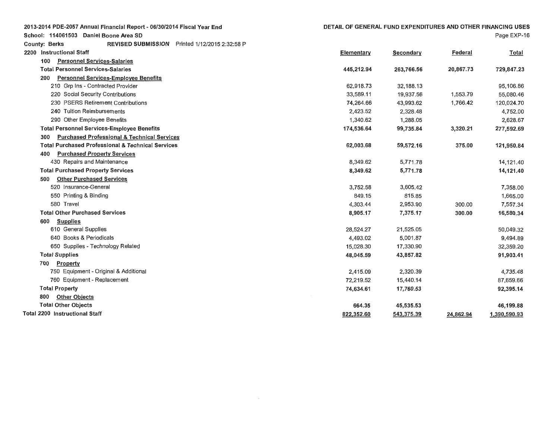| 2013-2014 PDE-2057 Annual Financial Report - 06/30/2014 Fiscal Year End          | DETAIL OF GENERAL FUND EXPENDITURES AND OTHER FINANCING USES |            |           |              |
|----------------------------------------------------------------------------------|--------------------------------------------------------------|------------|-----------|--------------|
| School: 114061503 Daniel Boone Area SD                                           |                                                              |            |           | Page EXP-16  |
| <b>County: Berks</b><br><b>REVISED SUBMISSION</b><br>Printed 1/12/2015 2:32:58 P |                                                              |            |           |              |
| 2200 Instructional Staff                                                         | Elementary                                                   | Secondary  | Federal   | Total        |
| <b>Personnel Services-Salaries</b><br>100                                        |                                                              |            |           |              |
| <b>Total Personnel Services-Salaries</b>                                         | 445,212.94                                                   | 263,766.56 | 20,867.73 | 729,847.23   |
| <b>Personnel Services-Employee Benefits</b><br>200                               |                                                              |            |           |              |
| 210 Grp Ins - Contracted Provider                                                | 62,918.73                                                    | 32,188.13  |           | 95,106.86    |
| 220 Social Security Contributions                                                | 33,589.11                                                    | 19,937.56  | 1,553.79  | 55,080.46    |
| 230 PSERS Retirement Contributions                                               | 74,264.66                                                    | 43,993.62  | 1,766.42  | 120,024.70   |
| 240 Tuition Reimbursements                                                       | 2,423.52                                                     | 2,328.48   |           | 4,752.00     |
| 290 Other Employee Benefits                                                      | 1,340.62                                                     | 1,288.05   |           | 2,628.67     |
| <b>Total Personnel Services-Employee Benefits</b>                                | 174,536.64                                                   | 99,735.84  | 3,320.21  | 277,592.69   |
| <b>Purchased Professional &amp; Technical Services</b><br>300                    |                                                              |            |           |              |
| <b>Total Purchased Professional &amp; Technical Services</b>                     | 62,003.68                                                    | 59,572.16  | 375.00    | 121,950.84   |
| <b>Purchased Property Services</b><br>400                                        |                                                              |            |           |              |
| 430 Repairs and Maintenance                                                      | 8,349.62                                                     | 5,771.78   |           | 14,121.40    |
| <b>Total Purchased Property Services</b>                                         | 8,349.62                                                     | 5,771.78   |           | 14,121.40    |
| <b>Other Purchased Services</b><br>500                                           |                                                              |            |           |              |
| 520 Insurance-General                                                            | 3,752.58                                                     | 3,605.42   |           | 7,358.00     |
| 550 Printing & Binding                                                           | 849.15                                                       | 815.85     |           | 1,665.00     |
| 580 Travel                                                                       | 4,303.44                                                     | 2,953.90   | 300.00    | 7,557.34     |
| <b>Total Other Purchased Services</b>                                            | 8,905.17                                                     | 7,375.17   | 300.00    | 16,580.34    |
| <b>Supplies</b><br>600                                                           |                                                              |            |           |              |
| 610 General Supplies                                                             | 28,524.27                                                    | 21,525.05  |           | 50,049.32    |
| 640 Books & Periodicals                                                          | 4,493.02                                                     | 5,001.87   |           | 9,494.89     |
| 650 Supplies - Technology Related                                                | 15,028.30                                                    | 17,330.90  |           | 32,359.20    |
| <b>Total Supplies</b>                                                            | 48,045.59                                                    | 43,857.82  |           | 91,903.41    |
| 700 Property                                                                     |                                                              |            |           |              |
| 750 Equipment - Original & Additional                                            | 2,415.09                                                     | 2,320.39   |           | 4,735.48     |
| 760 Equipment - Replacement                                                      | 72,219.52                                                    | 15,440.14  |           | 87,659.66    |
| <b>Total Property</b>                                                            | 74,634.61                                                    | 17,760.53  |           | 92,395.14    |
| <b>Other Objects</b><br>800                                                      |                                                              |            |           |              |
| <b>Total Other Objects</b>                                                       | 664.35                                                       | 45,535.53  |           | 46,199.88    |
| Total 2200 Instructional Staff                                                   | 822,352.60                                                   | 543,375.39 | 24,862.94 | 1,390,590.93 |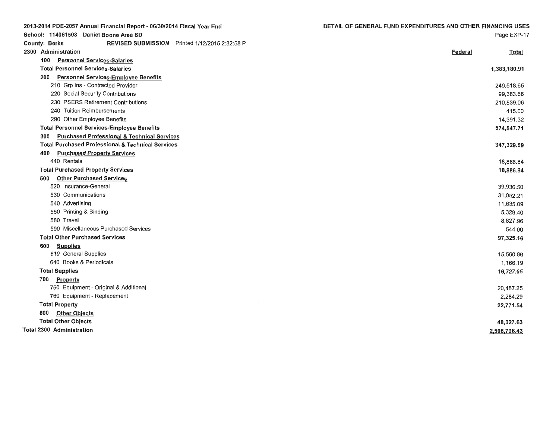| 2013-2014 PDE-2057 Annual Financial Report - 06/30/2014 Fiscal Year End       | DETAIL OF GENERAL FUND EXPENDITURES AND OTHER FINANCING USES |
|-------------------------------------------------------------------------------|--------------------------------------------------------------|
| School: 114061503 Daniel Boone Area SD                                        | Page EXP-17                                                  |
| <b>County: Berks</b><br><b>REVISED SUBMISSION</b> Printed 1/12/2015 2:32:58 P |                                                              |
| 2300 Administration                                                           | Federal<br>Total                                             |
| <b>Personnel Services-Salaries</b><br>100                                     |                                                              |
| <b>Total Personnel Services-Salaries</b>                                      | 1,383,180.91                                                 |
| 200<br><b>Personnel Services-Employee Benefits</b>                            |                                                              |
| 210 Grp Ins - Contracted Provider                                             | 249,518.65                                                   |
| 220 Social Security Contributions                                             | 99,383.68                                                    |
| 230 PSERS Retirement Contributions                                            | 210,839.06                                                   |
| 240 Tuition Reimbursements                                                    | 415.00                                                       |
| 290 Other Employee Benefits                                                   | 14,391.32                                                    |
| <b>Total Personnel Services-Employee Benefits</b>                             | 574,547.71                                                   |
| <b>Purchased Professional &amp; Technical Services</b><br>300                 |                                                              |
| <b>Total Purchased Professional &amp; Technical Services</b>                  | 347,329.59                                                   |
| <b>Purchased Property Services</b><br>400                                     |                                                              |
| 440 Rentals                                                                   | 18,886.84                                                    |
| <b>Total Purchased Property Services</b>                                      | 18,886.84                                                    |
| <b>Other Purchased Services</b><br>500                                        |                                                              |
| 520 Insurance-General                                                         | 39,936.50                                                    |
| 530 Communications                                                            | 31,052.21                                                    |
| 540 Advertising                                                               | 11,635.09                                                    |
| 550 Printing & Binding                                                        | 5,329.40                                                     |
| 580 Travel                                                                    | 8,827.96                                                     |
| 590 Miscellaneous Purchased Services                                          | 544.00                                                       |
| <b>Total Other Purchased Services</b>                                         | 97,325.16                                                    |
| <b>Supplies</b><br>600                                                        |                                                              |
| 610 General Supplies                                                          | 15,560.86                                                    |
| 640 Books & Periodicals                                                       | 1,166.19                                                     |
| <b>Total Supplies</b>                                                         | 16,727.05                                                    |
| 700 Property                                                                  |                                                              |
| 750 Equipment - Original & Additional                                         | 20,487.25                                                    |
| 760 Equipment - Replacement                                                   | 2,284.29                                                     |
| <b>Total Property</b>                                                         | 22,771.54                                                    |
| <b>Other Objects</b><br>800                                                   |                                                              |
| <b>Total Other Objects</b>                                                    | 48,027.63                                                    |
| Total 2300  Administration                                                    | 2,508,796.43                                                 |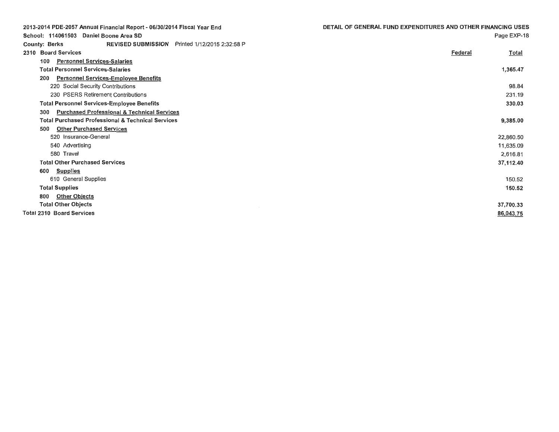| 2013-2014 PDE-2057 Annual Financial Report - 06/30/2014 Fiscal Year End          | DETAIL OF GENERAL FUND EXPENDITURES AND OTHER FINANCING USES |
|----------------------------------------------------------------------------------|--------------------------------------------------------------|
| School: 114061503<br>Daniel Boone Area SD                                        | Page EXP-18                                                  |
| <b>REVISED SUBMISSION</b><br>Printed 1/12/2015 2:32:58 P<br><b>County: Berks</b> |                                                              |
| 2310 Board Services                                                              | <b>Total</b><br>Federal                                      |
| <b>Personnel Services-Salaries</b><br>100                                        |                                                              |
| <b>Total Personnel Services-Salaries</b>                                         | 1,365.47                                                     |
| <b>Personnel Services-Employee Benefits</b><br>200                               |                                                              |
| 220 Social Security Contributions                                                | 98.84                                                        |
| 230 PSERS Retirement Contributions                                               | 231.19                                                       |
| <b>Total Personnel Services-Employee Benefits</b>                                | 330.03                                                       |
| <b>Purchased Professional &amp; Technical Services</b><br>300                    |                                                              |
| <b>Total Purchased Professional &amp; Technical Services</b>                     | 9,385.00                                                     |
| <b>Other Purchased Services</b><br>500                                           |                                                              |
| 520 Insurance-General                                                            | 22,860.50                                                    |
| 540 Advertising                                                                  | 11,635.09                                                    |
| 580 Travel                                                                       | 2,616.81                                                     |
| <b>Total Other Purchased Services</b>                                            | 37,112.40                                                    |
| <b>Supplies</b><br>600                                                           |                                                              |
| 610 General Supplies                                                             | 150.52                                                       |
| <b>Total Supplies</b>                                                            | 150.52                                                       |
| <b>Other Objects</b><br>800                                                      |                                                              |
| <b>Total Other Objects</b>                                                       | 37,700.33                                                    |
| <b>Total 2310 Board Services</b>                                                 | 86,043.75                                                    |
|                                                                                  |                                                              |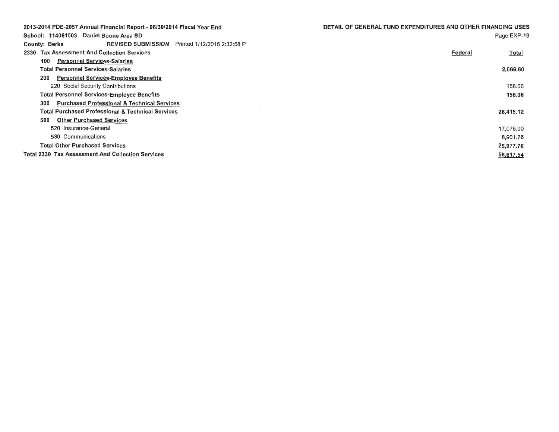| 2013-2014 PDE-2057 Annual Financial Report - 06/30/2014 Fiscal Year End   | DETAIL OF GENERAL FUND EXPENDITURES AND OTHER FINANCING USES |
|---------------------------------------------------------------------------|--------------------------------------------------------------|
| School: 114061503 Daniel Boone Area SD                                    | Page EXP-19                                                  |
| County: Berks<br><b>REVISED SUBMISSION</b><br>Printed 1/12/2015 2:32:58 P |                                                              |
| 2330 Tax Assessment And Collection Services                               | Federal<br>Total                                             |
| <b>Personnel Services-Salaries</b><br>100                                 |                                                              |
| <b>Total Personnel Services-Salaries</b>                                  | 2,066.60                                                     |
| <b>Personnel Services-Employee Benefits</b><br>200                        |                                                              |
| 220 Social Security Contributions                                         | 158.06                                                       |
| <b>Total Personnel Services-Employee Benefits</b>                         | 158.06                                                       |
| <b>Purchased Professional &amp; Technical Services</b><br>300             |                                                              |
| <b>Total Purchased Professional &amp; Technical Services</b>              | 28,415.12                                                    |
| <b>Other Purchased Services</b><br>500                                    |                                                              |
| 520 Insurance-General                                                     | 17,076.00                                                    |
| 530 Communications                                                        | 8,901.76                                                     |
| <b>Total Other Purchased Services</b>                                     | 25,977.76                                                    |
| <b>Total 2330 Tax Assessment And Collection Services</b>                  | 56,617.54                                                    |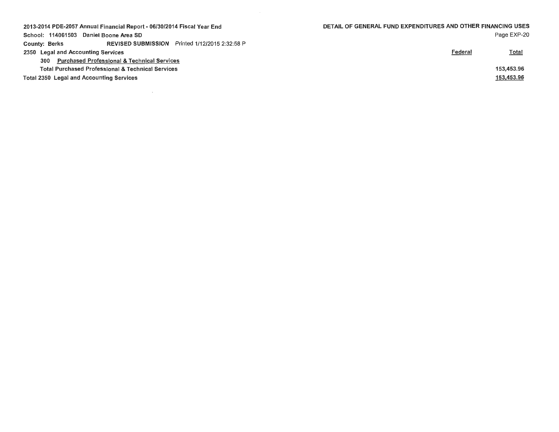| 2013-2014 PDE-2057 Annual Financial Report - 06/30/2014 Fiscal Year End          | DETAIL OF GENERAL FUND EXPENDITURES AND OTHER FINANCING USES |
|----------------------------------------------------------------------------------|--------------------------------------------------------------|
| School: 114061503 Daniel Boone Area SD                                           | Page EXP-20                                                  |
| Printed 1/12/2015 2:32:58 P<br><b>REVISED SUBMISSION</b><br><b>County: Berks</b> |                                                              |
| 2350 Legal and Accounting Services                                               | <u>Total</u><br>Federal                                      |
| <b>Purchased Professional &amp; Technical Services</b><br>300                    |                                                              |
| <b>Total Purchased Professional &amp; Technical Services</b>                     | 153,453.96                                                   |
| <b>Total 2350 Legal and Accounting Services</b>                                  | 153,453.96                                                   |
|                                                                                  |                                                              |
|                                                                                  |                                                              |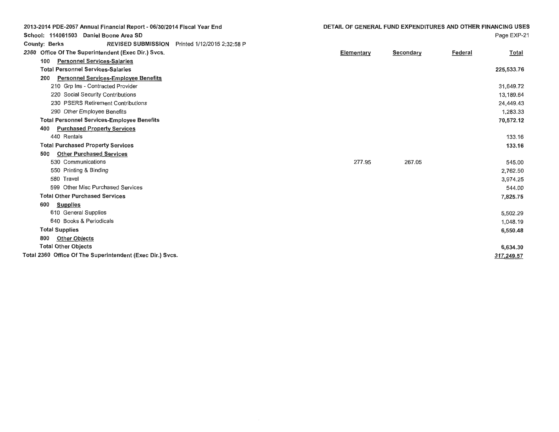| 2013-2014 PDE-2057 Annual Financial Report - 06/30/2014 Fiscal Year End          | DETAIL OF GENERAL FUND EXPENDITURES AND OTHER FINANCING USES |           |         |             |
|----------------------------------------------------------------------------------|--------------------------------------------------------------|-----------|---------|-------------|
| School: 114061503<br>Daniel Boone Area SD                                        |                                                              |           |         | Page EXP-21 |
| <b>REVISED SUBMISSION</b><br>Printed 1/12/2015 2:32:58 P<br><b>County: Berks</b> |                                                              |           |         |             |
| 2360 Office Of The Superintendent (Exec Dir.) Svcs.                              | Elementary                                                   | Secondary | Federal | Total       |
| <b>Personnel Services-Salaries</b><br>100                                        |                                                              |           |         |             |
| <b>Total Personnel Services-Salaries</b>                                         |                                                              |           |         | 225,533.76  |
| <b>Personnel Services-Employee Benefits</b><br>200                               |                                                              |           |         |             |
| 210 Grp Ins - Contracted Provider                                                |                                                              |           |         | 31,649.72   |
| 220 Social Security Contributions                                                |                                                              |           |         | 13,189.64   |
| 230 PSERS Retirement Contributions                                               |                                                              |           |         | 24,449.43   |
| 290 Other Employee Benefits                                                      |                                                              |           |         | 1,283.33    |
| <b>Total Personnel Services-Employee Benefits</b>                                |                                                              |           |         | 70,572.12   |
| <b>Purchased Property Services</b><br>400                                        |                                                              |           |         |             |
| 440 Rentals                                                                      |                                                              |           |         | 133.16      |
| <b>Total Purchased Property Services</b>                                         |                                                              |           |         | 133.16      |
| <b>Other Purchased Services</b><br>500                                           |                                                              |           |         |             |
| 530 Communications                                                               | 277.95                                                       | 267.05    |         | 545.00      |
| 550 Printing & Binding                                                           |                                                              |           |         | 2,762.50    |
| 580 Travel                                                                       |                                                              |           |         | 3,974.25    |
| 599 Other Misc Purchased Services                                                |                                                              |           |         | 544.00      |
| <b>Total Other Purchased Services</b>                                            |                                                              |           |         | 7,825.75    |
| <b>Supplies</b><br>600                                                           |                                                              |           |         |             |
| 610 General Supplies                                                             |                                                              |           |         | 5,502.29    |
| 640 Books & Periodicals                                                          |                                                              |           |         | 1,048.19    |
| <b>Total Supplies</b>                                                            |                                                              |           |         | 6,550.48    |
| <b>Other Objects</b><br>800                                                      |                                                              |           |         |             |
| <b>Total Other Objects</b>                                                       |                                                              |           |         | 6,634.30    |
| Total 2360 Office Of The Superintendent (Exec Dir.) Svcs.                        |                                                              |           |         | 317,249.57  |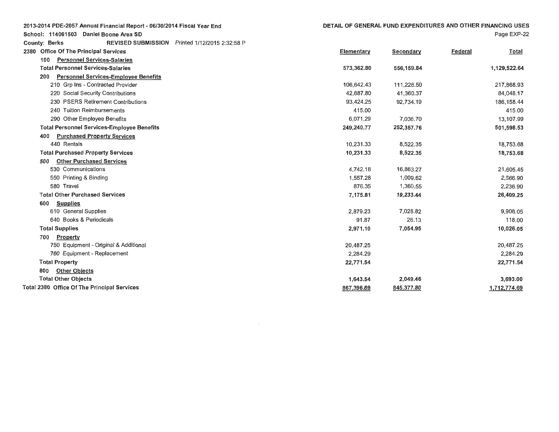| 2013-2014 PDE-2057 Annual Financial Report - 06/30/2014 Fiscal Year End          | DETAIL OF GENERAL FUND EXPENDITURES AND OTHER FINANCING USES |            |         |              |
|----------------------------------------------------------------------------------|--------------------------------------------------------------|------------|---------|--------------|
| School: 114061503 Daniel Boone Area SD                                           |                                                              |            |         | Page EXP-22  |
| <b>County: Berks</b><br><b>REVISED SUBMISSION</b><br>Printed 1/12/2015 2:32:58 P |                                                              |            |         |              |
| 2380 Office Of The Principal Services                                            | <b>Elementary</b>                                            | Secondary  | Federal | Total        |
| <b>Personnel Services-Salaries</b><br>100                                        |                                                              |            |         |              |
| <b>Total Personnel Services-Salaries</b>                                         | 573,362.80                                                   | 556,159.84 |         | 1,129,522.64 |
| <b>Personnel Services-Employee Benefits</b><br>200                               |                                                              |            |         |              |
| 210 Grp Ins - Contracted Provider                                                | 106,642.43                                                   | 111,226.50 |         | 217,868.93   |
| 220 Social Security Contributions                                                | 42,687.80                                                    | 41,360.37  |         | 84,048.17    |
| 230 PSERS Retirement Contributions                                               | 93,424.25                                                    | 92,734.19  |         | 186,158.44   |
| 240 Tuition Reimbursements                                                       | 415.00                                                       |            |         | 415.00       |
| 290 Other Employee Benefits                                                      | 6,071.29                                                     | 7,036.70   |         | 13,107.99    |
| <b>Total Personnel Services-Employee Benefits</b>                                | 249,240.77                                                   | 252,357.76 |         | 501,598.53   |
| <b>Purchased Property Services</b><br>400                                        |                                                              |            |         |              |
| 440 Rentals                                                                      | 10,231.33                                                    | 8,522.35   |         | 18,753.68    |
| <b>Total Purchased Property Services</b>                                         | 10,231.33                                                    | 8,522.35   |         | 18,753.68    |
| <b>Other Purchased Services</b><br>500                                           |                                                              |            |         |              |
| 530 Communications                                                               | 4.742.18                                                     | 16,863.27  |         | 21,605.45    |
| 550 Printing & Binding                                                           | 1,557.28                                                     | 1,009.62   |         | 2,566.90     |
| 580 Travel                                                                       | 876.35                                                       | 1,360.55   |         | 2,236.90     |
| <b>Total Other Purchased Services</b>                                            | 7,175.81                                                     | 19,233.44  |         | 26,409.25    |
| <b>Supplies</b><br>600                                                           |                                                              |            |         |              |
| 610 General Supplies                                                             | 2,879.23                                                     | 7,028.82   |         | 9,908.05     |
| 640 Books & Periodicals                                                          | 91.87                                                        | 26.13      |         | 118.00       |
| <b>Total Supplies</b>                                                            | 2,971.10                                                     | 7,054.95   |         | 10,026.05    |
| Property<br>700                                                                  |                                                              |            |         |              |
| 750 Equipment - Original & Additional                                            | 20,487.25                                                    |            |         | 20,487.25    |
| 760 Equipment - Replacement                                                      | 2,284.29                                                     |            |         | 2,284.29     |
| <b>Total Property</b>                                                            | 22,771.54                                                    |            |         | 22,771.54    |
| <b>Other Objects</b><br>800                                                      |                                                              |            |         |              |
| <b>Total Other Objects</b>                                                       | 1,643.54                                                     | 2,049.46   |         | 3,693.00     |
| Total 2380 Office Of The Principal Services                                      | 867,396.89                                                   | 845,377.80 |         | 1,712,774.69 |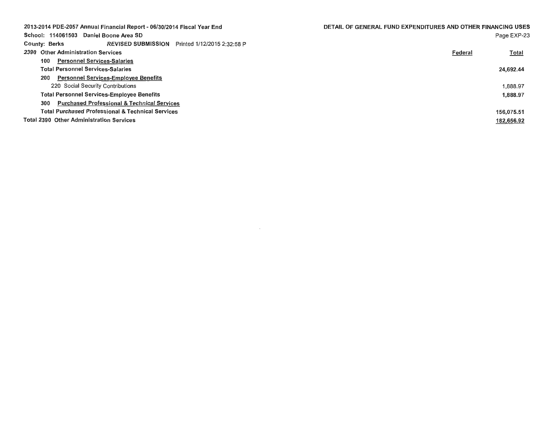| 2013-2014 PDE-2057 Annual Financial Report - 06/30/2014 Fiscal Year End<br>School: 114061503 Daniel Boone Area SD | DETAIL OF GENERAL FUND EXPENDITURES AND OTHER FINANCING USES<br>Page EXP-23 |
|-------------------------------------------------------------------------------------------------------------------|-----------------------------------------------------------------------------|
| <b>REVISED SUBMISSION</b><br>Printed 1/12/2015 2:32:58 P<br><b>County: Berks</b>                                  |                                                                             |
| <b>Other Administration Services</b><br>2390                                                                      | <b>Total</b><br>Federal                                                     |
| 100<br><b>Personnel Services-Salaries</b>                                                                         |                                                                             |
| <b>Total Personnel Services-Salaries</b>                                                                          | 24,692.44                                                                   |
| <b>Personnel Services-Employee Benefits</b><br>200                                                                |                                                                             |
| 220 Social Security Contributions                                                                                 | 1,888.97                                                                    |
| <b>Total Personnel Services-Employee Benefits</b>                                                                 | 1,888.97                                                                    |
| <b>Purchased Professional &amp; Technical Services</b><br>300                                                     |                                                                             |
| <b>Total Purchased Professional &amp; Technical Services</b>                                                      | 156,075.51                                                                  |
| <b>Total 2390 Other Administration Services</b>                                                                   | 182,656.92                                                                  |

 $\mathcal{L}(\mathcal{L}^{\mathcal{L}})$  and  $\mathcal{L}(\mathcal{L}^{\mathcal{L}})$  . The contribution of  $\mathcal{L}^{\mathcal{L}}$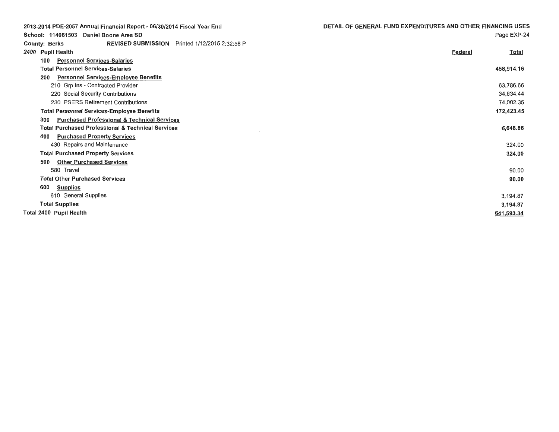| 2013-2014 PDE-2057 Annual Financial Report - 06/30/2014 Fiscal Year End          | DETAIL OF GENERAL FUND EXPENDITURES AND OTHER FINANCING USES |
|----------------------------------------------------------------------------------|--------------------------------------------------------------|
| Daniel Boone Area SD<br>School: 114061503                                        | Page EXP-24                                                  |
| Printed 1/12/2015 2:32:58 P<br><b>REVISED SUBMISSION</b><br><b>County: Berks</b> |                                                              |
| 2400 Pupil Health                                                                | Total<br>Federal                                             |
| <b>Personnel Services-Salaries</b><br>100                                        |                                                              |
| <b>Total Personnel Services-Salaries</b>                                         | 458,914.16                                                   |
| <b>Personnel Services-Employee Benefits</b><br>200                               |                                                              |
| 210 Grp Ins - Contracted Provider                                                | 63,786.66                                                    |
| 220 Social Security Contributions                                                | 34,634.44                                                    |
| 230 PSERS Retirement Contributions                                               | 74,002.35                                                    |
| <b>Total Personnel Services-Employee Benefits</b>                                | 172,423.45                                                   |
| <b>Purchased Professional &amp; Technical Services</b><br>300                    |                                                              |
| <b>Total Purchased Professional &amp; Technical Services</b>                     | 6,646.86                                                     |
| <b>Purchased Property Services</b><br>400                                        |                                                              |
| 430 Repairs and Maintenance                                                      | 324.00                                                       |
| <b>Total Purchased Property Services</b>                                         | 324.00                                                       |
| <b>Other Purchased Services</b><br>500                                           |                                                              |
| 580 Travel                                                                       | 90.00                                                        |
| <b>Total Other Purchased Services</b>                                            | 90.00                                                        |
| <b>Supplies</b><br>600                                                           |                                                              |
| 610 General Supplies                                                             | 3,194.87                                                     |
| <b>Total Supplies</b>                                                            | 3,194.87                                                     |
| Total 2400 Pupil Health                                                          | 641,593.34                                                   |
|                                                                                  |                                                              |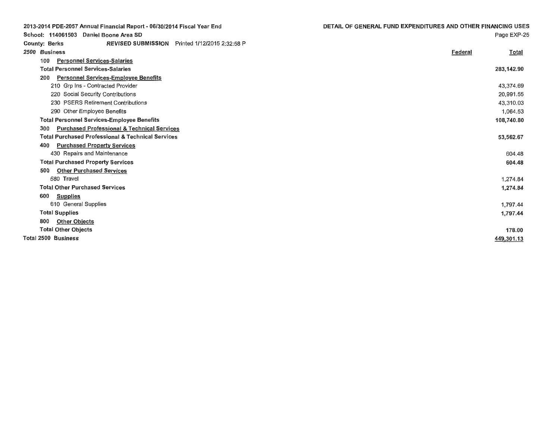| 2013-2014 PDE-2057 Annual Financial Report - 06/30/2014 Fiscal Year End | DETAIL OF GENERAL FUND EXPENDITURES AND OTHER FINANCING USES |
|-------------------------------------------------------------------------|--------------------------------------------------------------|
| School: 114061503<br>Daniel Boone Area SD                               | Page EXP-25                                                  |
| REVISED SUBMISSION Printed 1/12/2015 2:32:58 P<br><b>County: Berks</b>  |                                                              |
| 2500 Business                                                           | <b>Total</b><br><b>Federal</b>                               |
| <b>Personnel Services-Salaries</b><br>100                               |                                                              |
| <b>Total Personnel Services-Salaries</b>                                | 283,142.90                                                   |
| <b>Personnel Services-Employee Benefits</b><br>200                      |                                                              |
| 210 Grp Ins - Contracted Provider                                       | 43,374.69                                                    |
| 220 Social Security Contributions                                       | 20,991.55                                                    |
| 230 PSERS Retirement Contributions                                      | 43,310.03                                                    |
| 290 Other Employee Benefits                                             | 1,064.53                                                     |
| <b>Total Personnel Services-Employee Benefits</b>                       | 108,740.80                                                   |
| <b>Purchased Professional &amp; Technical Services</b><br>300           |                                                              |
| <b>Total Purchased Professional &amp; Technical Services</b>            | 53,562.67                                                    |
| <b>Purchased Property Services</b><br>400                               |                                                              |
| 430 Repairs and Maintenance                                             | 604.48                                                       |
| <b>Total Purchased Property Services</b>                                | 604.48                                                       |
| <b>Other Purchased Services</b><br>500                                  |                                                              |
| 580 Travel                                                              | 1,274.84                                                     |
| <b>Total Other Purchased Services</b>                                   | 1,274.84                                                     |
| <b>Supplies</b><br>600                                                  |                                                              |
| 610 General Supplies                                                    | 1,797.44                                                     |
| <b>Total Supplies</b>                                                   | 1,797.44                                                     |
| <b>Other Objects</b><br>800                                             |                                                              |
| <b>Total Other Objects</b>                                              | 178.00                                                       |
| <b>Total 2500 Business</b>                                              | 449,301.13                                                   |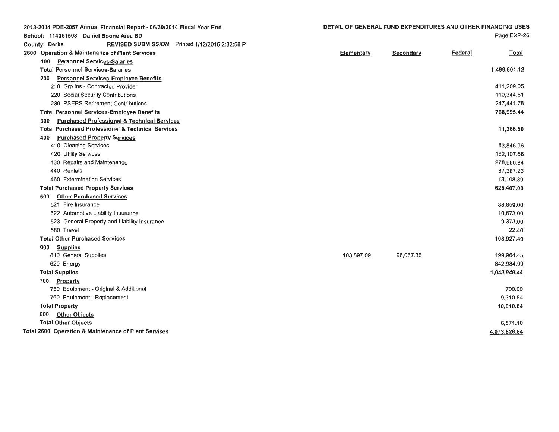| 2013-2014 PDE-2057 Annual Financial Report - 06/30/2014 Fiscal Year End          | DETAIL OF GENERAL FUND EXPENDITURES AND OTHER FINANCING USES |           |         |              |
|----------------------------------------------------------------------------------|--------------------------------------------------------------|-----------|---------|--------------|
| School: 114061503 Daniel Boone Area SD                                           |                                                              |           |         | Page EXP-26  |
| <b>REVISED SUBMISSION</b><br><b>County: Berks</b><br>Printed 1/12/2015 2:32:58 P |                                                              |           |         |              |
| 2600 Operation & Maintenance of Plant Services                                   | Elementary                                                   | Secondary | Federal | Total        |
| <b>Personnel Services-Salaries</b><br>100                                        |                                                              |           |         |              |
| <b>Total Personnel Services-Salaries</b>                                         |                                                              |           |         | 1,499,601.12 |
| <b>Personnel Services-Employee Benefits</b><br>200                               |                                                              |           |         |              |
| 210 Grp Ins - Contracted Provider                                                |                                                              |           |         | 411,209.05   |
| 220 Social Security Contributions                                                |                                                              |           |         | 110,344.61   |
| 230 PSERS Retirement Contributions                                               |                                                              |           |         | 247,441.78   |
| <b>Total Personnel Services-Employee Benefits</b>                                |                                                              |           |         | 768,995.44   |
| <b>Purchased Professional &amp; Technical Services</b><br>300                    |                                                              |           |         |              |
| <b>Total Purchased Professional &amp; Technical Services</b>                     |                                                              |           |         | 11,366.50    |
| <b>Purchased Property Services</b><br>400                                        |                                                              |           |         |              |
| 410 Cleaning Services                                                            |                                                              |           |         | 83,846.96    |
| 420 Utility Services                                                             |                                                              |           |         | 162,107.58   |
| 430 Repairs and Maintenance                                                      |                                                              |           |         | 278,956.84   |
| 440 Rentals                                                                      |                                                              |           |         | 87,387.23    |
| 460 Extermination Services                                                       |                                                              |           |         | 13,108.39    |
| <b>Total Purchased Property Services</b>                                         |                                                              |           |         | 625,407.00   |
| <b>Other Purchased Services</b><br>500                                           |                                                              |           |         |              |
| 521 Fire Insurance                                                               |                                                              |           |         | 88,859.00    |
| 522 Automotive Liability Insurance                                               |                                                              |           |         | 10,673.00    |
| 523 General Property and Liability Insurance                                     |                                                              |           |         | 9,373.00     |
| 580 Travel                                                                       |                                                              |           |         | 22.40        |
| <b>Total Other Purchased Services</b>                                            |                                                              |           |         | 108,927.40   |
| <b>Supplies</b><br>600                                                           |                                                              |           |         |              |
| 610 General Supplies                                                             | 103,897.09                                                   | 96,067.36 |         | 199,964.45   |
| 620 Energy                                                                       |                                                              |           |         | 842,984.99   |
| <b>Total Supplies</b>                                                            |                                                              |           |         | 1,042,949.44 |
| Property<br>700                                                                  |                                                              |           |         |              |
| 750 Equipment - Original & Additional                                            |                                                              |           |         | 700.00       |
| 760 Equipment - Replacement                                                      |                                                              |           |         | 9,310.84     |
| <b>Total Property</b>                                                            |                                                              |           |         | 10,010.84    |
| <b>Other Objects</b><br>800                                                      |                                                              |           |         |              |
| <b>Total Other Objects</b>                                                       |                                                              |           |         | 6,571.10     |
| Total 2600 Operation & Maintenance of Plant Services                             |                                                              |           |         | 4,073,828.84 |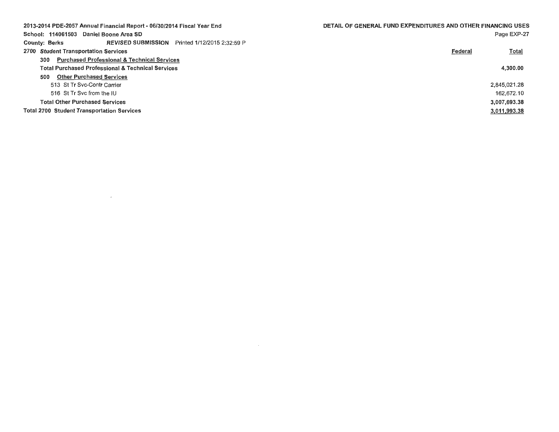| 2013-2014 PDE-2057 Annual Financial Report - 06/30/2014 Fiscal Year End<br>DETAIL OF GENERAL FUND EXPENDITURES AND OTHER FINANCING USES |                         |
|-----------------------------------------------------------------------------------------------------------------------------------------|-------------------------|
| School: 114061503 Daniel Boone Area SD                                                                                                  | Page EXP-27             |
| <b>REVISED SUBMISSION</b><br>Printed 1/12/2015 2:32:59 P<br><b>County: Berks</b>                                                        |                         |
| 2700 Student Transportation Services                                                                                                    | Federal<br><b>Total</b> |
| <b>Purchased Professional &amp; Technical Services</b><br>300                                                                           |                         |
| <b>Total Purchased Professional &amp; Technical Services</b>                                                                            | 4,300.00                |
| <b>Other Purchased Services</b><br>500                                                                                                  |                         |
| 513 St Tr Svc-Contr Carrier                                                                                                             | 2,845,021.28            |
| 516 St Tr Svc from the IU                                                                                                               | 162,672.10              |
| <b>Total Other Purchased Services</b>                                                                                                   | 3,007,693.38            |
| <b>Total 2700 Student Transportation Services</b>                                                                                       | 3,011,993.38            |
|                                                                                                                                         |                         |

 $\mathcal{L}(\mathcal{L}(\mathcal{L}))$  and  $\mathcal{L}(\mathcal{L}(\mathcal{L}))$  . The contribution of  $\mathcal{L}(\mathcal{L})$ 

 $\label{eq:2.1} \mathcal{L}(\mathcal{L}(\mathcal{L})) = \mathcal{L}(\mathcal{L}(\mathcal{L})) = \mathcal{L}(\mathcal{L}(\mathcal{L}))$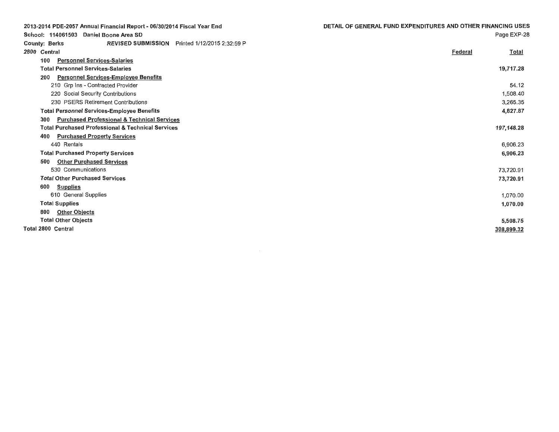| 2013-2014 PDE-2057 Annual Financial Report - 06/30/2014 Fiscal Year End | DETAIL OF GENERAL FUND EXPENDITURES AND OTHER FINANCING USES |
|-------------------------------------------------------------------------|--------------------------------------------------------------|
| School: 114061503<br>Daniel Boone Area SD                               | Page EXP-28                                                  |
| REVISED SUBMISSION Printed 1/12/2015 2:32:59 P<br><b>County: Berks</b>  |                                                              |
| 2800 Central                                                            | Total<br><b>Federal</b>                                      |
| <b>Personnel Services-Salaries</b><br>100                               |                                                              |
| <b>Total Personnel Services-Salaries</b>                                | 19,717.28                                                    |
| <b>Personnel Services-Employee Benefits</b><br>200                      |                                                              |
| 210 Grp Ins - Contracted Provider                                       | 54.12                                                        |
| 220 Social Security Contributions                                       | 1,508.40                                                     |
| 230 PSERS Retirement Contributions                                      | 3,265.35                                                     |
| <b>Total Personnel Services-Employee Benefits</b>                       | 4,827.87                                                     |
| <b>Purchased Professional &amp; Technical Services</b><br>300           |                                                              |
| <b>Total Purchased Professional &amp; Technical Services</b>            | 197,148.28                                                   |
| <b>Purchased Property Services</b><br>400                               |                                                              |
| 440 Rentals                                                             | 6,906.23                                                     |
| <b>Total Purchased Property Services</b>                                | 6,906.23                                                     |
| <b>Other Purchased Services</b><br>500                                  |                                                              |
| 530 Communications                                                      | 73,720.91                                                    |
| <b>Total Other Purchased Services</b>                                   | 73,720.91                                                    |
| <b>Supplies</b><br>600                                                  |                                                              |
| 610 General Supplies                                                    | 1,070.00                                                     |
| <b>Total Supplies</b>                                                   | 1,070.00                                                     |
| <b>Other Objects</b><br>800                                             |                                                              |
| <b>Total Other Objects</b>                                              | 5,508.75                                                     |
| Total 2800 Central                                                      | 308,899.32                                                   |
|                                                                         |                                                              |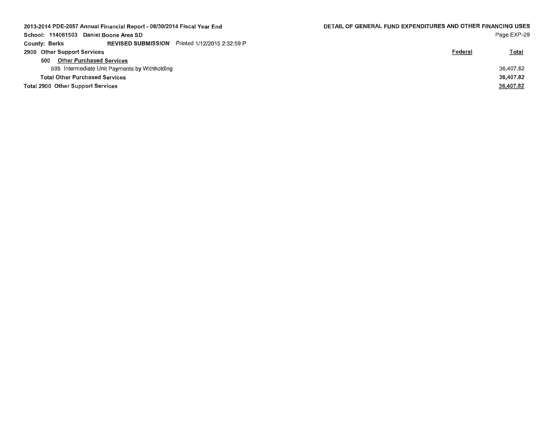| 2013-2014 PDE-2057 Annual Financial Report - 06/30/2014 Fiscal Year End<br>School: 114061503 Daniel Boone Area SD | DETAIL OF GENERAL FUND EXPENDITURES AND OTHER FINANCING USES | Page EXP-29  |
|-------------------------------------------------------------------------------------------------------------------|--------------------------------------------------------------|--------------|
| <b>REVISED SUBMISSION</b> Printed 1/12/2015 2:32:59 P<br>County: Berks                                            |                                                              |              |
| 2900 Other Support Services                                                                                       | Federal                                                      | <u>Total</u> |
| <b>Other Purchased Services</b><br>500                                                                            |                                                              |              |
| 595 Intermediate Unit Payments by Withholding                                                                     |                                                              | 36,407.82    |
| <b>Total Other Purchased Services</b>                                                                             |                                                              | 36,407.82    |
| <b>Total 2900 Other Support Services</b>                                                                          |                                                              | 36,407.82    |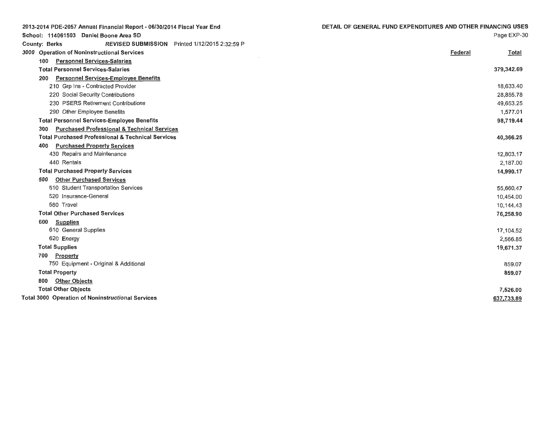| 2013-2014 PDE-2057 Annual Financial Report - 06/30/2014 Fiscal Year End | DETAIL OF GENERAL FUND EXPENDITURES AND OTHER FINANCING USES |
|-------------------------------------------------------------------------|--------------------------------------------------------------|
| School: 114061503 Daniel Boone Area SD                                  | Page EXP-30                                                  |
| REVISED SUBMISSION Printed 1/12/2015 2:32:59 P<br><b>County: Berks</b>  |                                                              |
| 3000 Operation of Noninstructional Services                             | Federal<br>Total                                             |
| <b>Personnel Services-Salaries</b><br>100                               |                                                              |
| <b>Total Personnel Services-Salaries</b>                                | 379,342.69                                                   |
| <b>Personnel Services-Employee Benefits</b><br>200                      |                                                              |
| 210 Grp Ins - Contracted Provider                                       | 18,633.40                                                    |
| 220 Social Security Contributions                                       | 28,855.78                                                    |
| 230 PSERS Retirement Contributions                                      | 49,653.25                                                    |
| 290 Other Employee Benefits                                             | 1,577.01                                                     |
| <b>Total Personnel Services-Employee Benefits</b>                       | 98,719.44                                                    |
| <b>Purchased Professional &amp; Technical Services</b><br>300           |                                                              |
| <b>Total Purchased Professional &amp; Technical Services</b>            | 40,366.25                                                    |
| <b>Purchased Property Services</b><br>400                               |                                                              |
| 430 Repairs and Maintenance                                             | 12,803.17                                                    |
| 440 Rentals                                                             | 2,187.00                                                     |
| <b>Total Purchased Property Services</b>                                | 14,990.17                                                    |
| <b>Other Purchased Services</b><br>500                                  |                                                              |
| 510 Student Transportation Services                                     | 55,660.47                                                    |
| 520 Insurance-General                                                   | 10,454.00                                                    |
| 580 Travel                                                              | 10,144.43                                                    |
| <b>Total Other Purchased Services</b>                                   | 76,258.90                                                    |
| <b>Supplies</b><br>600                                                  |                                                              |
| 610 General Supplies                                                    | 17,104.52                                                    |
| 620 Energy                                                              | 2,566.85                                                     |
| <b>Total Supplies</b>                                                   | 19,671.37                                                    |
| Property<br>700                                                         |                                                              |
| 750 Equipment - Original & Additional                                   | 859.07                                                       |
| <b>Total Property</b>                                                   | 859.07                                                       |
| <b>Other Objects</b><br>800                                             |                                                              |
| <b>Total Other Objects</b>                                              | 7,526.00                                                     |
| <b>Total 3000 Operation of Noninstructional Services</b>                | 637,733.89                                                   |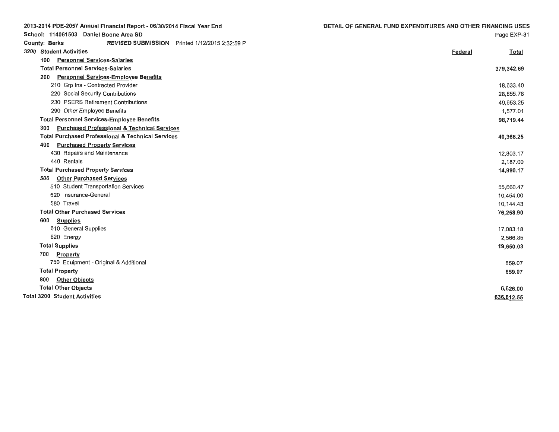| 2013-2014 PDE-2057 Annual Financial Report - 06/30/2014 Fiscal Year End | DETAIL OF GENERAL FUND EXPENDITURES AND OTHER FINANCING USES |
|-------------------------------------------------------------------------|--------------------------------------------------------------|
| School: 114061503 Daniel Boone Area SD                                  | Page EXP-31                                                  |
| REVISED SUBMISSION Printed 1/12/2015 2:32:59 P<br><b>County: Berks</b>  |                                                              |
| 3200 Student Activities                                                 | <b>Total</b><br>Federal                                      |
| <b>Personnel Services-Salaries</b><br>100                               |                                                              |
| <b>Total Personnel Services-Salaries</b>                                | 379,342.69                                                   |
| <b>Personnel Services-Employee Benefits</b><br>200                      |                                                              |
| 210 Grp Ins - Contracted Provider                                       | 18,633.40                                                    |
| 220 Social Security Contributions                                       | 28,855.78                                                    |
| 230 PSERS Retirement Contributions                                      | 49,653.25                                                    |
| 290 Other Employee Benefits                                             | 1,577.01                                                     |
| <b>Total Personnel Services-Employee Benefits</b>                       | 98,719.44                                                    |
| <b>Purchased Professional &amp; Technical Services</b><br>300           |                                                              |
| <b>Total Purchased Professional &amp; Technical Services</b>            | 40,366.25                                                    |
| <b>Purchased Property Services</b><br>400                               |                                                              |
| 430 Repairs and Maintenance                                             | 12,803.17                                                    |
| 440 Rentals                                                             | 2,187.00                                                     |
| <b>Total Purchased Property Services</b>                                | 14,990.17                                                    |
| <b>Other Purchased Services</b><br>500                                  |                                                              |
| 510 Student Transportation Services                                     | 55,660.47                                                    |
| 520 Insurance-General                                                   | 10,454.00                                                    |
| 580 Travel                                                              | 10,144.43                                                    |
| <b>Total Other Purchased Services</b>                                   | 76,258.90                                                    |
| <b>Supplies</b><br>600                                                  |                                                              |
| 610 General Supplies                                                    | 17,083.18                                                    |
| 620 Energy                                                              | 2,566.85                                                     |
| <b>Total Supplies</b>                                                   | 19,650.03                                                    |
| Property<br>700                                                         |                                                              |
| 750 Equipment - Original & Additional                                   | 859.07                                                       |
| <b>Total Property</b>                                                   | 859.07                                                       |
| <b>Other Objects</b><br>800                                             |                                                              |
| <b>Total Other Objects</b>                                              | 6,626.00                                                     |
| <b>Total 3200 Student Activities</b>                                    | 636,812.55                                                   |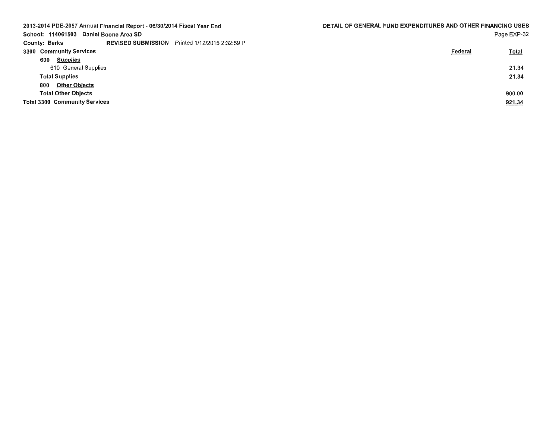| DETAIL OF GENERAL FUND EXPENDITURES AND OTHER FINANCING USES<br>2013-2014 PDE-2057 Annual Financial Report - 06/30/2014 Fiscal Year End |                         |
|-----------------------------------------------------------------------------------------------------------------------------------------|-------------------------|
| School: 114061503 Daniel Boone Area SD                                                                                                  | Page EXP-32             |
| <b>REVISED SUBMISSION</b> Printed 1/12/2015 2:32:59 P<br><b>County: Berks</b>                                                           |                         |
| 3300 Community Services                                                                                                                 | Federal<br><b>Total</b> |
| 600<br><b>Supplies</b>                                                                                                                  |                         |
| 610 General Supplies                                                                                                                    | 21.34                   |
| <b>Total Supplies</b>                                                                                                                   | 21.34                   |
| <b>Other Objects</b><br>800                                                                                                             |                         |
| <b>Total Other Objects</b>                                                                                                              | 900.00                  |
| <b>Total 3300 Community Services</b>                                                                                                    | <u>921.34</u>           |
|                                                                                                                                         |                         |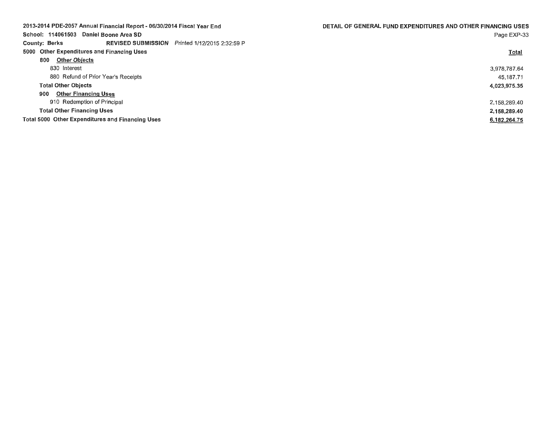|                                                         | 2013-2014 PDE-2057 Annual Financial Report - 06/30/2014 Fiscal Year End | DETAIL OF GENERAL FUND EXPENDITURES AND OTHER FINANCING USES |
|---------------------------------------------------------|-------------------------------------------------------------------------|--------------------------------------------------------------|
| School: 114061503 Daniel Boone Area SD                  |                                                                         | Page EXP-33                                                  |
| <b>County: Berks</b>                                    | <b>REVISED SUBMISSION</b> Printed 1/12/2015 2:32:59 P                   |                                                              |
| 5000 Other Expenditures and Financing Uses              |                                                                         | Total                                                        |
| 800<br><b>Other Objects</b>                             |                                                                         |                                                              |
| 830 Interest                                            |                                                                         | 3,978,787.64                                                 |
|                                                         | 880 Refund of Prior Year's Receipts                                     | 45.187.71                                                    |
| <b>Total Other Objects</b>                              |                                                                         | 4,023,975.35                                                 |
| <b>Other Financing Uses</b><br>900                      |                                                                         |                                                              |
| 910 Redemption of Principal                             |                                                                         | 2.158.289.40                                                 |
| <b>Total Other Financing Uses</b>                       |                                                                         | 2,158,289.40                                                 |
| <b>Total 5000 Other Expenditures and Financing Uses</b> |                                                                         | 6,182,264.75                                                 |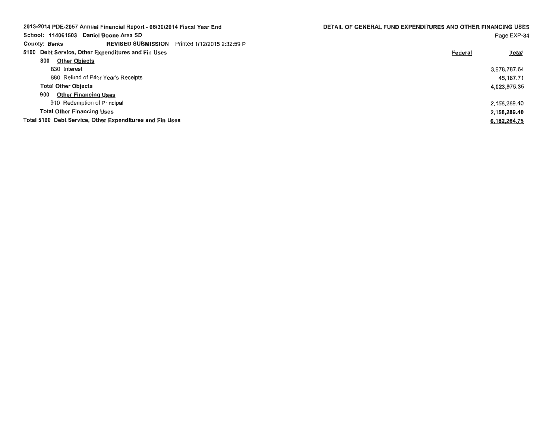| 2013-2014 PDE-2057 Annual Financial Report - 06/30/2014 Fiscal Year End       | DETAIL OF GENERAL FUND EXPENDITURES AND OTHER FINANCING USES |  |  |
|-------------------------------------------------------------------------------|--------------------------------------------------------------|--|--|
| School: 114061503 Daniel Boone Area SD                                        | Page EXP-34                                                  |  |  |
| <b>County: Berks</b><br><b>REVISED SUBMISSION</b> Printed 1/12/2015 2:32:59 P |                                                              |  |  |
| 5100 Debt Service, Other Expenditures and Fin Uses                            | Federal<br><b>Total</b>                                      |  |  |
| 800<br><b>Other Objects</b>                                                   |                                                              |  |  |
| 830 Interest                                                                  | 3,978,787.64                                                 |  |  |
| 880 Refund of Prior Year's Receipts                                           | 45,187.71                                                    |  |  |
| <b>Total Other Objects</b>                                                    | 4,023,975.35                                                 |  |  |
| <b>Other Financing Uses</b><br>900                                            |                                                              |  |  |
| 910 Redemption of Principal                                                   | 2.158,289.40                                                 |  |  |
| <b>Total Other Financing Uses</b>                                             | 2.158.289.40                                                 |  |  |
| Total 5100 Debt Service, Other Expenditures and Fin Uses                      | 6.182.264.75                                                 |  |  |

 $\mathcal{L}(\mathcal{L}(\mathcal{L}))$  and  $\mathcal{L}(\mathcal{L}(\mathcal{L}))$  . The contribution of the contribution of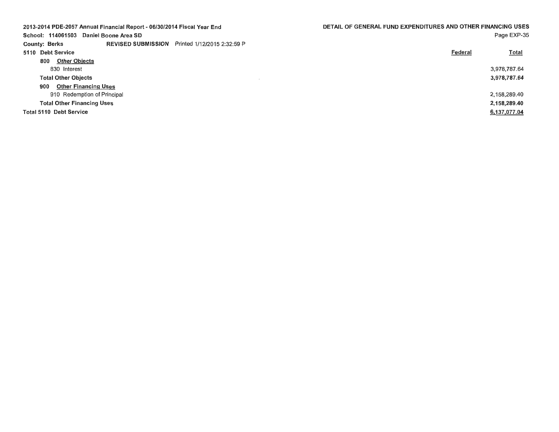| 2013-2014 PDE-2057 Annual Financial Report - 06/30/2014 Fiscal Year End          | DETAIL OF GENERAL FUND EXPENDITURES AND OTHER FINANCING USES |
|----------------------------------------------------------------------------------|--------------------------------------------------------------|
| School: 114061503 Daniel Boone Area SD                                           | Page EXP-35                                                  |
| <b>REVISED SUBMISSION</b><br>Printed 1/12/2015 2:32:59 P<br><b>County: Berks</b> |                                                              |
| 5110 Debt Service                                                                | <b>Federal</b><br><u>Total</u>                               |
| <b>Other Objects</b><br>800                                                      |                                                              |
| 830 Interest                                                                     | 3,978,787.64                                                 |
| <b>Total Other Objects</b>                                                       | 3,978,787.64                                                 |
| 900<br><b>Other Financing Uses</b>                                               |                                                              |
| 910 Redemption of Principal                                                      | 2,158,289.40                                                 |
| <b>Total Other Financing Uses</b>                                                | 2,158,289.40                                                 |
| <b>Total 5110 Debt Service</b>                                                   | 6,137,077.04                                                 |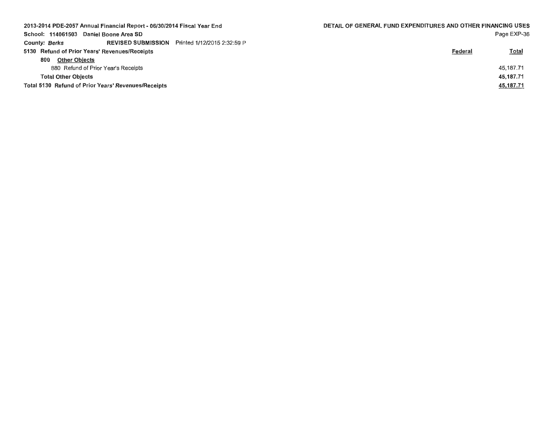| 2013-2014 PDE-2057 Annual Financial Report - 06/30/2014 Fiscal Year End       | DETAIL OF GENERAL FUND EXPENDITURES AND OTHER FINANCING USES |
|-------------------------------------------------------------------------------|--------------------------------------------------------------|
| School: 114061503 Daniel Boone Area SD                                        | Page EXP-36                                                  |
| <b>REVISED SUBMISSION</b> Printed 1/12/2015 2:32:59 P<br><b>County: Berks</b> |                                                              |
| 5130 Refund of Prior Years' Revenues/Receipts                                 | Federal<br><b>Total</b>                                      |
| <b>Other Objects</b><br>800                                                   |                                                              |
| 880 Refund of Prior Year's Receipts                                           | 45,187.71                                                    |
| <b>Total Other Objects</b>                                                    | 45,187.71                                                    |
| Total 5130 Refund of Prior Years' Revenues/Receipts                           | 45,187.71                                                    |
|                                                                               |                                                              |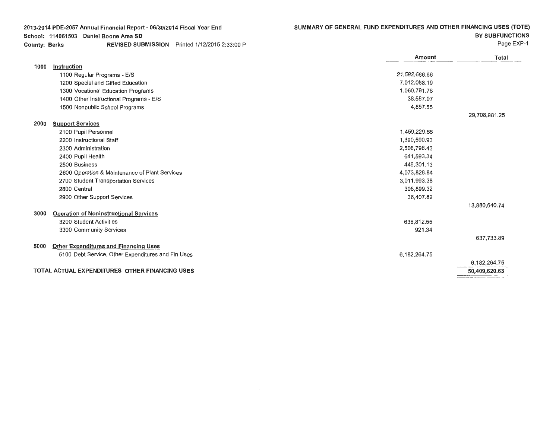**2013-2014 PDE-2057 Annual Financial Report** - **06/30/2014 Fiscal Year End** 

**School: 114061503 Daniel Boone Area SD** 

## **County: Berks REVISED SUBMISSION** Printed 1/12/2015 2:33:00 P

**SUMMARY OF GENERAL FUND EXPENDITURES AND OTHER FINANCING USES (TOTE)** 

**BY SUBFUNCTIONS** 

Page EXP-1

|                                                       | Amount        | <b>Total</b>  |
|-------------------------------------------------------|---------------|---------------|
| Instruction<br>1000                                   |               |               |
| 1100 Regular Programs - E/S                           | 21,592,686.66 |               |
| 1200 Special and Gifted Education                     | 7,012,058.19  |               |
| 1300 Vocational Education Programs                    | 1,060,791.78  |               |
| 1400 Other Instructional Programs - E/S               | 38,587.07     |               |
| 1500 Nonpublic School Programs                        | 4,857.55      |               |
|                                                       |               | 29,708,981.25 |
| <b>Support Services</b><br>2000                       |               |               |
| 2100 Pupil Personnel                                  | 1,459,229.55  |               |
| 2200 Instructional Staff                              | 1,390,590.93  |               |
| 2300 Administration                                   | 2,508,796.43  |               |
| 2400 Pupil Health                                     | 641,593.34    |               |
| 2500 Business                                         | 449,301.13    |               |
| 2600 Operation & Maintenance of Plant Services        | 4,073,828.84  |               |
| 2700 Student Transportation Services                  | 3,011,993.38  |               |
| 2800 Central                                          | 308,899.32    |               |
| 2900 Other Support Services                           | 36,407.82     |               |
|                                                       |               | 13,880,640.74 |
| <b>Operation of Noninstructional Services</b><br>3000 |               |               |
| 3200 Student Activities                               | 636,812.55    |               |
| 3300 Community Services                               | 921.34        |               |
|                                                       |               | 637,733.89    |
| <b>Other Expenditures and Financing Uses</b><br>5000  |               |               |
| 5100 Debt Service, Other Expenditures and Fin Uses    | 6,182,264.75  |               |
|                                                       |               | 6,182,264.75  |
| TOTAL ACTUAL EXPENDITURES OTHER FINANCING USES        |               | 50,409,620.63 |
|                                                       |               |               |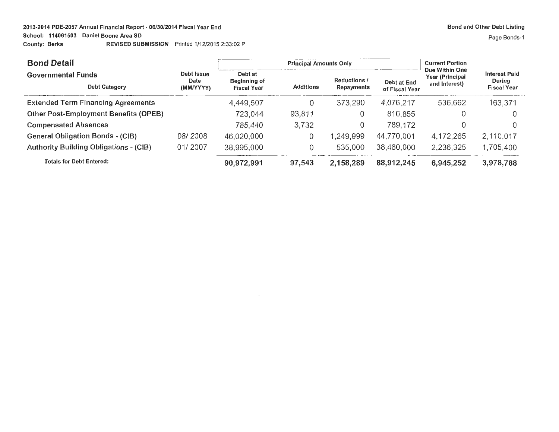| <b>Bond Detail</b>                                |                                 | <b>Principal Amounts Only</b>                 |                  |                                   |                               | <b>Current Portion</b>                             |                                                      |
|---------------------------------------------------|---------------------------------|-----------------------------------------------|------------------|-----------------------------------|-------------------------------|----------------------------------------------------|------------------------------------------------------|
| <b>Governmental Funds</b><br><b>Debt Category</b> | Debt Issue<br>Date<br>(MM/YYYY) | Debt at<br>Beginning of<br><b>Fiscal Year</b> | <b>Additions</b> | Reductions /<br><b>Repayments</b> | Debt at End<br>of Fiscal Year | Due Within One<br>Year (Principal<br>and Interest) | <b>Interest Paid</b><br>During<br><b>Fiscal Year</b> |
| <b>Extended Term Financing Agreements</b>         |                                 | 4,449,507                                     |                  | 373,290                           | 4,076,217                     | 536,662                                            | 163,371                                              |
| <b>Other Post-Employment Benefits (OPEB)</b>      |                                 | 723,044                                       | 93,811           | 0                                 | 816,855                       | 0                                                  |                                                      |
| <b>Compensated Absences</b>                       |                                 | 785,440                                       | 3,732            | 0                                 | 789,172                       | 0                                                  |                                                      |
| <b>General Obligation Bonds - (CIB)</b>           | 08/2008                         | 46,020,000                                    |                  | 1,249,999                         | 44,770,001                    | 4,172,265                                          | 2,110,017                                            |
| <b>Authority Building Obligations - (CIB)</b>     | 01/2007                         | 38,995,000                                    |                  | 535,000                           | 38,460,000                    | 2,236,325                                          | 1,705,400                                            |
| <b>Totals for Debt Entered:</b>                   |                                 | 90,972,991                                    | 97,543           | 2,158,289                         | 88,912,245                    | 6,945,252                                          | 3,978,788                                            |

 $\sim$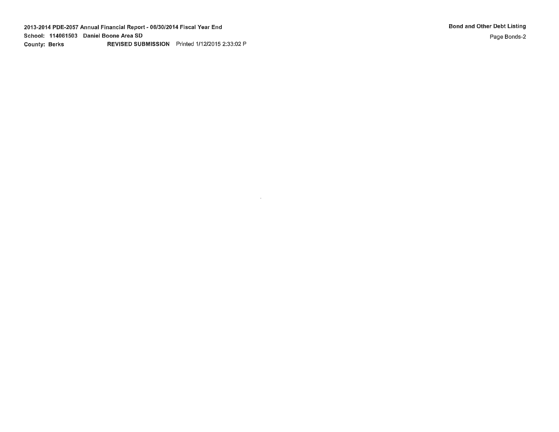$\sim$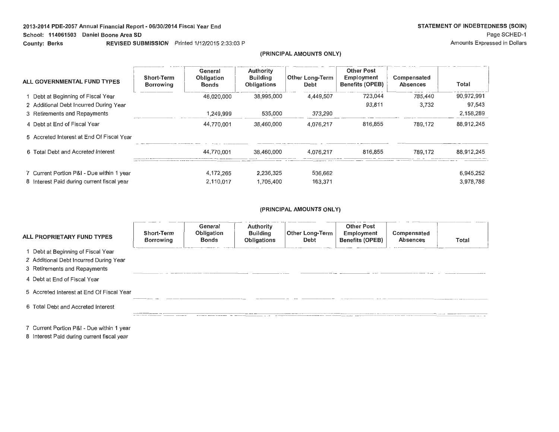# **2013-2014 PDE-2057 Annual Financial Report** - **06/30/2014 Fiscal Year End**

**School: 114061503 Daniel Boone Area SD** 

**County: Berks REVISED SUBMISSION** Printed 1/12/2015 2:33:03 P

#### **(PRINCIPAL AMOUNTS ONLY)**

| ALL GOVERNMENTAL FUND TYPES                | <b>Short-Term</b><br><b>Borrowing</b> | General<br>Obligation<br><b>Bonds</b> | Authority<br><b>Building</b><br>Obligations | <b>Other Long-Term</b><br><b>Debt</b> | <b>Other Post</b><br>Employment<br><b>Benefits (OPEB)</b> | Compensated<br><b>Absences</b> | Total      |
|--------------------------------------------|---------------------------------------|---------------------------------------|---------------------------------------------|---------------------------------------|-----------------------------------------------------------|--------------------------------|------------|
| Debt at Beginning of Fiscal Year           |                                       | 46.020.000                            | 38.995.000                                  | 4.449.507                             | 723.044                                                   | 785.440                        | 90.972.991 |
| 2 Additional Debt Incurred During Year     |                                       |                                       |                                             |                                       | 93,811                                                    | 3,732                          | 97.543     |
| 3 Retirements and Repayments               |                                       | 1,249,999                             | 535,000                                     | 373,290                               |                                                           |                                | 2,158,289  |
| 4 Debt at End of Fiscal Year               |                                       | 44.770.001                            | 38.460.000                                  | 4,076,217                             | 816.855                                                   | 789,172                        | 88,912,245 |
| 5 Accreted Interest at End Of Fiscal Year  |                                       |                                       |                                             |                                       |                                                           |                                |            |
| 6 Total Debt and Accreted Interest         |                                       | 44.770.001                            | 38.460.000                                  | 4.076.217                             | 816,855                                                   | 789,172                        | 88.912.245 |
| 7 Current Portion P&I - Due within 1 year  |                                       | 4,172,265                             | 2,236,325                                   | 536,662                               |                                                           |                                | 6,945,252  |
| 8 Interest Paid during current fiscal year |                                       | 2,110,017                             | 1,705,400                                   | 163.371                               |                                                           |                                | 3,978,788  |

#### **(PRINCIPAL AMOUNTS ONLY)**

| ALL PROPRIETARY FUND TYPES                | Short-Term<br>Borrowing            | General<br><b>Obligation</b><br><b>Bonds</b> | Authority<br><b>Building</b><br><b>Obligations</b> | Other Long-Term<br>Debt | <b>Other Post</b><br>Employment<br><b>Benefits (OPEB)</b> | Compensated<br><b>Absences</b> | Total |
|-------------------------------------------|------------------------------------|----------------------------------------------|----------------------------------------------------|-------------------------|-----------------------------------------------------------|--------------------------------|-------|
| 1 Debt at Beginning of Fiscal Year        |                                    |                                              |                                                    |                         |                                                           |                                |       |
| 2 Additional Debt Incurred During Year    |                                    |                                              |                                                    |                         |                                                           |                                |       |
| 3 Retirements and Repayments              |                                    |                                              |                                                    |                         |                                                           |                                |       |
| 4 Debt at End of Fiscal Year              |                                    |                                              |                                                    |                         |                                                           |                                |       |
| 5 Accreted Interest at End Of Fiscal Year |                                    |                                              |                                                    |                         |                                                           |                                |       |
| 6 Total Debt and Accreted Interest        |                                    |                                              |                                                    |                         |                                                           |                                |       |
|                                           | <b>Service School Street, Inc.</b> |                                              |                                                    |                         |                                                           |                                |       |

7 Current Portion P&I - Due within 1 year

8 Interest Paid during current fiscal year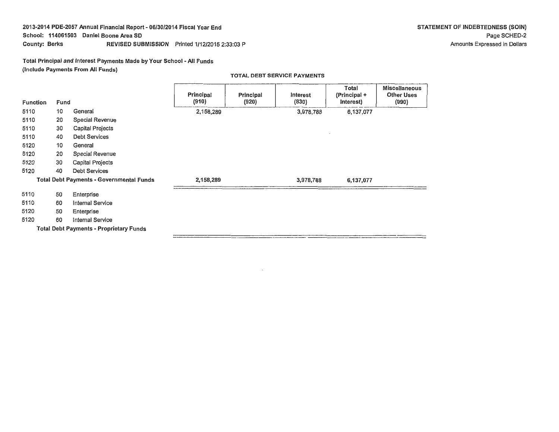#### **2013-2014 PDE-2057 Annual Financial Report• 06/30/2014 Fiscal Year** End **School: 114061503 Daniel Boone Area SD County: Berks REVISED SUBMISSION** Printed 1/12/2015 2:33:03 P

**STATEMENT OF INDEBTEDNESS (SOIN)**  Page SCHED-2 Amounts Expressed in Dollars

**Total Principal and Interest Payments Made by Your School** - **All Funds (Include Payments From All Funds)** 

| <b>Function</b> | Fund |                                                 | Principal<br>(910) | Principal<br>(920) | <b>Interest</b><br>(830) | Total<br>(Principal +<br>Interest) | <b>Miscellaneous</b><br><b>Other Uses</b><br>(990) |
|-----------------|------|-------------------------------------------------|--------------------|--------------------|--------------------------|------------------------------------|----------------------------------------------------|
| 5110            | 10   | General                                         | 2,158,289          |                    | 3,978,788                | 6,137,077                          |                                                    |
| 5110            | 20   | <b>Special Revenue</b>                          |                    |                    |                          |                                    |                                                    |
| 5110            | 30   | <b>Capital Projects</b>                         |                    |                    |                          |                                    |                                                    |
| 5110            | 40   | <b>Debt Services</b>                            |                    |                    |                          |                                    |                                                    |
| 5120            | 10   | General                                         |                    |                    |                          |                                    |                                                    |
| 5120            | 20   | Special Revenue                                 |                    |                    |                          |                                    |                                                    |
| 5120            | 30   | Capital Projects                                |                    |                    |                          |                                    |                                                    |
| 5120            | 40   | <b>Debt Services</b>                            |                    |                    |                          |                                    |                                                    |
|                 |      | <b>Total Debt Payments - Governmental Funds</b> | 2,158,289          |                    | 3,978,788                | 6,137,077                          |                                                    |
| 5110            | 50   | Enterprise                                      |                    |                    |                          |                                    |                                                    |
| 5110            | 60   | Internal Service                                |                    |                    |                          |                                    |                                                    |
| 5120            | 50   | Enterprise                                      |                    |                    |                          |                                    |                                                    |
| 5120            | 60   | <b>Internal Service</b>                         |                    |                    |                          |                                    |                                                    |
|                 |      | <b>Total Debt Payments - Proprietary Funds</b>  |                    |                    |                          |                                    |                                                    |

TOTAL DEBT SERVICE **PAYMENTS** 

 $\cdot$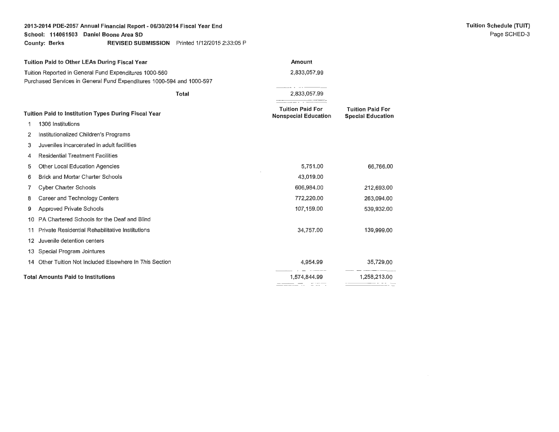**2013-2014 PDE-2057 Annual Financial Report- 06/30/2014 Fiscal Year End School: 114061503 Daniel Boone Area SD County: Berks REVISED SUBMISSION** Printed 1/12/2015 2:33:05 P

|    | <b>Tuition Paid to Other LEAs During Fiscal Year</b>                  | Amount                                                 |                                                     |
|----|-----------------------------------------------------------------------|--------------------------------------------------------|-----------------------------------------------------|
|    | Tuition Reported in General Fund Expenditures 1000-560                | 2,833,057.99                                           |                                                     |
|    | Purchased Services in General Fund Expenditures 1000-594 and 1000-597 |                                                        |                                                     |
|    | <b>Total</b>                                                          | 2,833,057.99                                           |                                                     |
|    | Tuition Paid to Institution Types During Fiscal Year                  | <b>Tuition Paid For</b><br><b>Nonspecial Education</b> | <b>Tuition Paid For</b><br><b>Special Education</b> |
|    | 1306 Institutions                                                     |                                                        |                                                     |
| 2  | Institutionalized Children's Programs                                 |                                                        |                                                     |
| 3  | Juveniles incarcerated in adult facilities                            |                                                        |                                                     |
| 4  | <b>Residential Treatment Facilities</b>                               |                                                        |                                                     |
| 5  | <b>Other Local Education Agencies</b>                                 | 5,751.00                                               | 66,766.00                                           |
| 6  | <b>Brick and Mortar Charter Schools</b>                               | 43,019.00                                              |                                                     |
| 7  | <b>Cyber Charter Schools</b>                                          | 606,984.00                                             | 212,693.00                                          |
| 8  | Career and Technology Centers                                         | 772,220.00                                             | 263,094.00                                          |
| 9  | Approved Private Schools                                              | 107,159.00                                             | 539,932.00                                          |
| 10 | PA Chartered Schools for the Deaf and Blind                           |                                                        |                                                     |
| 11 | Private Residential Rehabilitative Institutions                       | 34,757.00                                              | 139,999.00                                          |
| 12 | Juvenile detention centers                                            |                                                        |                                                     |
| 13 | Special Program Jointures                                             |                                                        |                                                     |
| 14 | Other Tuition Not Included Elsewhere In This Section                  | 4,954.99                                               | 35,729.00                                           |
|    | <b>Total Amounts Paid to Institutions</b>                             | 1,574,844.99                                           | 1,258,213.00                                        |
|    |                                                                       | =============                                          |                                                     |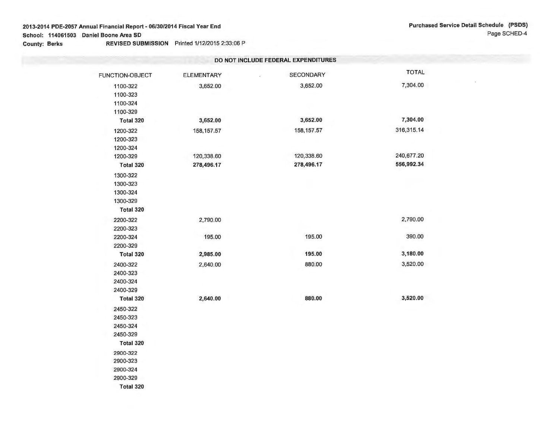### **2013-2014 PDE-2057 Annual Financial Report- 06/30/2014 Fiscal Year End School: 114061503 Daniel Boone Area SD**

**County: Berks REVISED SUBMISSION** Printed 1/12/2015 2:33:06 P

|                                                           |                   | DO NOT INCLUDE FEDERAL EXPENDITURES |              |  |
|-----------------------------------------------------------|-------------------|-------------------------------------|--------------|--|
| FUNCTION-OBJECT                                           | <b>ELEMENTARY</b> | SECONDARY                           | <b>TOTAL</b> |  |
| 1100-322<br>1100-323<br>1100-324<br>1100-329              | 3,652.00          | 3,652.00                            | 7,304.00     |  |
| Total 320                                                 | 3,652.00          | 3,652.00                            | 7,304.00     |  |
| 1200-322<br>1200-323<br>1200-324                          | 158, 157.57       | 158, 157.57                         | 316,315.14   |  |
| 1200-329                                                  | 120,338.60        | 120,338.60                          | 240,677.20   |  |
| Total 320                                                 | 278,496.17        | 278,496.17                          | 556,992.34   |  |
| 1300-322<br>1300-323<br>1300-324<br>1300-329<br>Total 320 |                   |                                     |              |  |
| 2200-322<br>2200-323                                      | 2,790.00          |                                     | 2,790.00     |  |
| 2200-324<br>2200-329                                      | 195.00            | 195.00                              | 390.00       |  |
| Total 320                                                 | 2,985.00          | 195.00                              | 3,180.00     |  |
| 2400-322<br>2400-323<br>2400-324<br>2400-329              | 2,640.00          | 880.00                              | 3,520.00     |  |
| Total 320                                                 | 2,640.00          | 880.00                              | 3,520.00     |  |
| 2450-322<br>2450-323<br>2450-324<br>2450-329              |                   |                                     |              |  |
| Total 320                                                 |                   |                                     |              |  |
| 2900-322<br>2900-323<br>2900-324                          |                   |                                     |              |  |
| 2900-329                                                  |                   |                                     |              |  |
| Total 320                                                 |                   |                                     |              |  |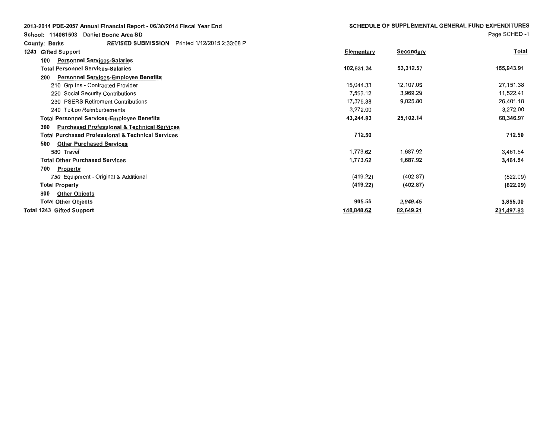| 2013-2014 PDE-2057 Annual Financial Report - 06/30/2014 Fiscal Year End |                   |           | SCHEDULE OF SUPPLEMENTAL GENERAL FUND EXPENDITURES |
|-------------------------------------------------------------------------|-------------------|-----------|----------------------------------------------------|
| School: 114061503<br>Daniel Boone Area SD                               |                   |           | Page SCHED-1                                       |
| REVISED SUBMISSION Printed 1/12/2015 2:33:08 P<br><b>County: Berks</b>  |                   |           |                                                    |
| 1243 Gifted Support                                                     | <b>Elementary</b> | Secondary | Total                                              |
| <b>Personnel Services-Salaries</b><br>100                               |                   |           |                                                    |
| <b>Total Personnel Services-Salaries</b>                                | 102,631.34        | 53,312.57 | 155,943.91                                         |
| <b>Personnel Services-Employee Benefits</b><br>200                      |                   |           |                                                    |
| 210 Grp Ins - Contracted Provider                                       | 15.044.33         | 12,107.05 | 27,151.38                                          |
| 220 Social Security Contributions                                       | 7,553.12          | 3,969.29  | 11,522.41                                          |
| 230 PSERS Retirement Contributions                                      | 17,375.38         | 9,025.80  | 26,401.18                                          |
| 240 Tuition Reimbursements                                              | 3,272.00          |           | 3,272.00                                           |
| <b>Total Personnel Services-Employee Benefits</b>                       | 43,244.83         | 25,102.14 | 68,346.97                                          |
| <b>Purchased Professional &amp; Technical Services</b><br>300           |                   |           |                                                    |
| <b>Total Purchased Professional &amp; Technical Services</b>            | 712.50            |           | 712.50                                             |
| <b>Other Purchased Services</b><br>500                                  |                   |           |                                                    |
| 580 Travel                                                              | 1,773.62          | 1,687.92  | 3,461.54                                           |
| <b>Total Other Purchased Services</b>                                   | 1,773.62          | 1,687.92  | 3,461.54                                           |
| <b>Property</b><br>700                                                  |                   |           |                                                    |
| 750 Equipment - Original & Additional                                   | (419.22)          | (402.87)  | (822.09)                                           |
| <b>Total Property</b>                                                   | (419.22)          | (402.87)  | (822.09)                                           |
| <b>Other Objects</b><br>800                                             |                   |           |                                                    |
| <b>Total Other Objects</b>                                              | 905.55            | 2,949.45  | 3,855.00                                           |
| <b>Total 1243 Gifted Support</b>                                        | 148,848.62        | 82,649.21 | 231,497.83                                         |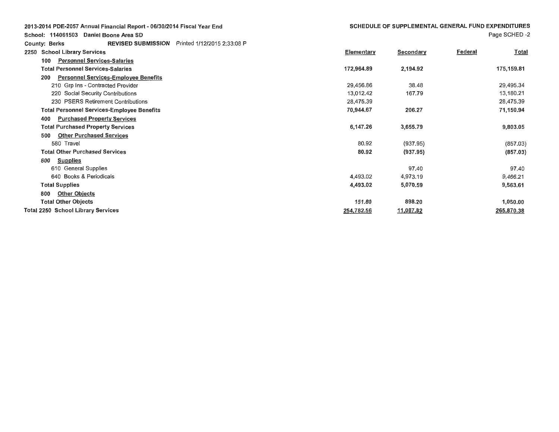| 2013-2014 PDE-2057 Annual Financial Report - 06/30/2014 Fiscal Year End          |            | <b>SCHEDULE OF SUPPLEMENTAL GENERAL FUND EXPENDITURES</b> |         |              |
|----------------------------------------------------------------------------------|------------|-----------------------------------------------------------|---------|--------------|
| School: 114061503 Daniel Boone Area SD                                           |            |                                                           |         | Page SCHED-2 |
| <b>County: Berks</b><br><b>REVISED SUBMISSION</b><br>Printed 1/12/2015 2:33:08 P |            |                                                           |         |              |
| <b>School Library Services</b><br>2250                                           | Elementary | Secondary                                                 | Federal | <b>Total</b> |
| <b>Personnel Services-Salaries</b><br>100                                        |            |                                                           |         |              |
| <b>Total Personnel Services-Salaries</b>                                         | 172,964.89 | 2,194.92                                                  |         | 175,159.81   |
| <b>Personnel Services-Employee Benefits</b><br>200                               |            |                                                           |         |              |
| 210 Grp Ins - Contracted Provider                                                | 29,456.86  | 38.48                                                     |         | 29,495.34    |
| 220 Social Security Contributions                                                | 13,012.42  | 167.79                                                    |         | 13,180.21    |
| 230 PSERS Retirement Contributions                                               | 28,475.39  |                                                           |         | 28,475.39    |
| <b>Total Personnel Services-Employee Benefits</b>                                | 70,944.67  | 206.27                                                    |         | 71,150.94    |
| <b>Purchased Property Services</b><br>400                                        |            |                                                           |         |              |
| <b>Total Purchased Property Services</b>                                         | 6,147.26   | 3,655.79                                                  |         | 9,803.05     |
| <b>Other Purchased Services</b><br>500                                           |            |                                                           |         |              |
| 580 Travel                                                                       | 80.92      | (937.95)                                                  |         | (857.03)     |
| <b>Total Other Purchased Services</b>                                            | 80.92      | (937.95)                                                  |         | (857.03)     |
| 600<br><b>Supplies</b>                                                           |            |                                                           |         |              |
| 610 General Supplies                                                             |            | 97.40                                                     |         | 97.40        |
| 640 Books & Periodicals                                                          | 4,493.02   | 4,973.19                                                  |         | 9,466.21     |
| <b>Total Supplies</b>                                                            | 4,493.02   | 5,070.59                                                  |         | 9,563.61     |
| <b>Other Objects</b><br>800                                                      |            |                                                           |         |              |
| <b>Total Other Objects</b>                                                       | 151.80     | 898.20                                                    |         | 1,050.00     |
| <b>Total 2250 School Library Services</b>                                        | 254,782.56 | 11,087.82                                                 |         | 265,870.38   |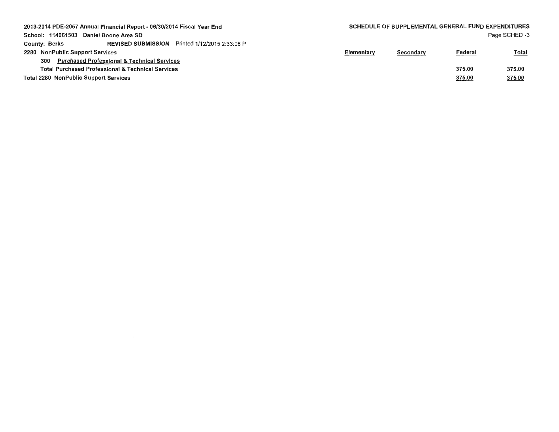| 2013-2014 PDE-2057 Annual Financial Report - 06/30/2014 Fiscal Year End       | SCHEDULE OF SUPPLEMENTAL GENERAL FUND EXPENDITURES |           |         |               |
|-------------------------------------------------------------------------------|----------------------------------------------------|-----------|---------|---------------|
| School: 114061503<br>Daniel Boone Area SD                                     |                                                    |           |         | Page SCHED -3 |
| <b>REVISED SUBMISSION</b> Printed 1/12/2015 2:33:08 P<br><b>County: Berks</b> |                                                    |           |         |               |
| 2280 NonPublic Support Services                                               | Elementary                                         | Secondary | Federal | <u>Total</u>  |
| <b>Purchased Professional &amp; Technical Services</b><br>300                 |                                                    |           |         |               |
| <b>Total Purchased Professional &amp; Technical Services</b>                  |                                                    |           | 375.00  | 375.00        |
| <b>Total 2280 NonPublic Support Services</b>                                  |                                                    |           | 375.00  | 375.00        |
|                                                                               |                                                    |           |         |               |

 $\mathcal{L}(\mathcal{L}(\mathcal{L}(\mathcal{L}(\mathcal{L}(\mathcal{L}(\mathcal{L}(\mathcal{L}(\mathcal{L}(\mathcal{L}(\mathcal{L}(\mathcal{L}(\mathcal{L}(\mathcal{L}(\mathcal{L}(\mathcal{L}(\mathcal{L}(\mathcal{L}(\mathcal{L}(\mathcal{L}(\mathcal{L}(\mathcal{L}(\mathcal{L}(\mathcal{L}(\mathcal{L}(\mathcal{L}(\mathcal{L}(\mathcal{L}(\mathcal{L}(\mathcal{L}(\mathcal{L}(\mathcal{L}(\mathcal{L}(\mathcal{L}(\mathcal{L}(\mathcal{L}(\mathcal{$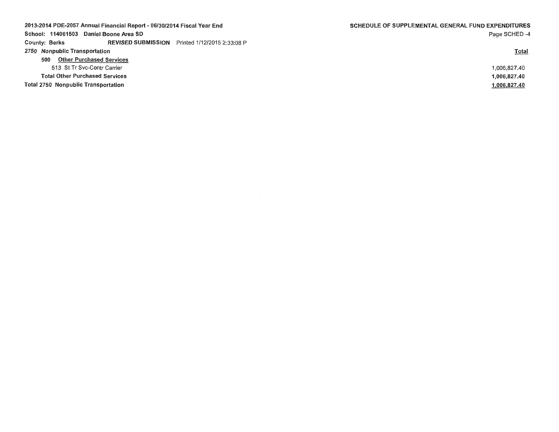| 2013-2014 PDE-2057 Annual Financial Report - 06/30/2014 Fiscal Year End |                                                          | SCHEDULE OF SUPPLEMENTAL GENERAL FUND EXPENDITURES |
|-------------------------------------------------------------------------|----------------------------------------------------------|----------------------------------------------------|
| Daniel Boone Area SD<br>School: 114061503                               |                                                          | Page SCHED-4                                       |
| <b>County: Berks</b>                                                    | <b>REVISED SUBMISSION</b><br>Printed 1/12/2015 2:33:08 P |                                                    |
| 2750 Nonpublic Transportation                                           |                                                          | <u>Total</u>                                       |
| <b>Other Purchased Services</b><br>500                                  |                                                          |                                                    |
| 513 St Tr Svc-Contr Carrier                                             |                                                          | 1,006,827.40                                       |
| <b>Total Other Purchased Services</b>                                   |                                                          | 1,006,827.40                                       |
| <b>Total 2750 Nonpublic Transportation</b>                              |                                                          | 1,006,827.40                                       |
|                                                                         |                                                          |                                                    |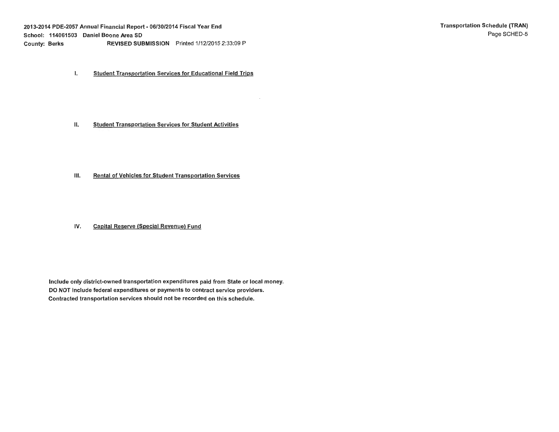2013-2014 PDE-2057 Annual Financial Report- 06/30/2014 Fiscal Year End School: 114061503 Daniel Boone Area SD County: Berks REVISED **SUBMISSION** Printed 1/12/2015 2:33:09 P

I. Student Transportation Services for Educational Field Trips

II. Student Transportation Services for Student Activities

Ill. Rental of Vehicles for Student Transportation Services

IV. Capital Reserve (Special Revenue) Fund

Include only district-owned transportation expenditures paid from State or local money. DO NOT include federal expenditures or payments to contract service providers. Contracted transportation services should not be recorded on this schedule.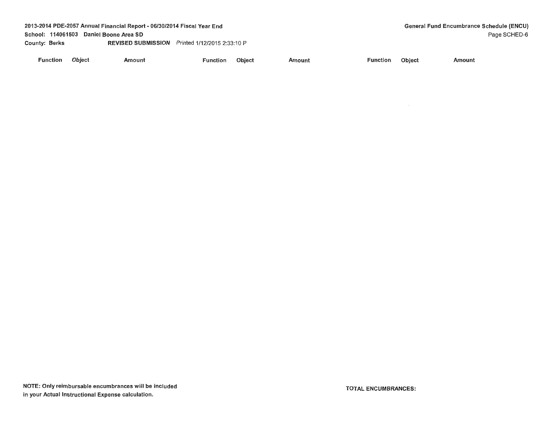|                   |        | 2013-2014 PDE-2057 Annual Financial Report - 06/30/2014 Fiscal Year End |                             |               |        |          |               | General Fund Encumbrance Schedule (ENCU) |              |
|-------------------|--------|-------------------------------------------------------------------------|-----------------------------|---------------|--------|----------|---------------|------------------------------------------|--------------|
| School: 114061503 |        | Daniel Boone Area SD                                                    |                             |               |        |          |               |                                          | Page SCHED-6 |
| County: Berks     |        | <b>REVISED SUBMISSION</b>                                               | Printed 1/12/2015 2:33:10 P |               |        |          |               |                                          |              |
| Function          | Obiect | Amount                                                                  | <b>Function</b>             | <b>Object</b> | Amount | Function | <b>Object</b> | Amount                                   |              |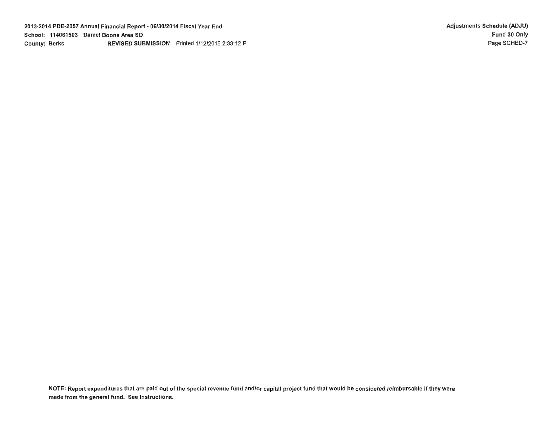2013-2014 PDE-2057 Annual Financial Report - 06/30/2014 Fiscal Year End School: 114061503 Daniel Boone Area SD County: Berks REVISED SUBMISSION Printed 1/12/2015 2:33:12 P

NOTE: Report expenditures that are paid out of the special revenue fund and/or capital project fund that would be considered reimbursable if they were made from the general fund. See Instructions.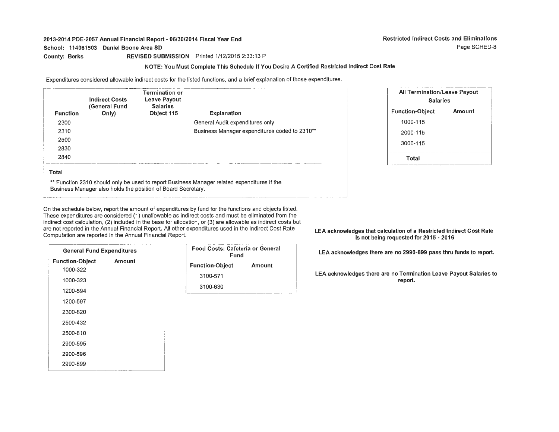## **2013-2014 PDE-2057 Annual Financial Report- 06/30/2014 Fiscal Year End**

**School: 114061503 Daniel Boone Area SD** 

**County: Berks REVISED SUBMISSION** Printed 1/12/2015 2:33:13 P

Expenditures considered allowable indirect costs for the listed functions, and a brief explanation of those expenditures.

|                 | <b>Indirect Costs</b>           | <b>Termination or</b><br>Leave Payout                        |                                                                                             | <b>All Termination/Leave Payou</b><br><b>Salaries</b> |  |
|-----------------|---------------------------------|--------------------------------------------------------------|---------------------------------------------------------------------------------------------|-------------------------------------------------------|--|
| <b>Function</b> | (General Fund<br>$On  y\rangle$ | <b>Salaries</b><br>Object 115                                | <b>Explanation</b>                                                                          | <b>Function-Object</b><br>Amount                      |  |
| 2300            |                                 |                                                              | General Audit expenditures only                                                             | 1000-115                                              |  |
| 2310            |                                 |                                                              | Business Manager expenditures coded to 2310**                                               | 2000-115                                              |  |
| 2500            |                                 |                                                              |                                                                                             | 3000-115                                              |  |
| 2830            |                                 |                                                              |                                                                                             |                                                       |  |
| 2840            |                                 |                                                              |                                                                                             | Total                                                 |  |
| <b>Total</b>    |                                 |                                                              |                                                                                             |                                                       |  |
|                 |                                 | Business Manager also holds the position of Board Secretary. | ** Function 2310 should only be used to report Business Manager related expenditures if the |                                                       |  |

| <b>All Termination/Leave Payout</b><br><b>Salaries</b> |        |  |  |  |  |
|--------------------------------------------------------|--------|--|--|--|--|
| <b>Function-Object</b>                                 | Amount |  |  |  |  |
| 1000-115                                               |        |  |  |  |  |
| 2000-115                                               |        |  |  |  |  |
| 3000-115                                               |        |  |  |  |  |
| Total                                                  |        |  |  |  |  |

On the schedule below, report the amount of expenditures by fund for the functions and objects listed. These expenditures are considered (1) unallowable as indirect costs and must be eliminated from the indirect cost calculation, (2) included in the base for allocation, or (3) are allowable as indirect costs but are not reported in the Annual Financial Report. All other expenditures used in the Indirect Cost Rate Computation are reported in the Annual Financial Report.

| <b>General Fund Expenditures</b>   |        | <b>Food Costs: Cafeteria or General</b><br>Fund |        |
|------------------------------------|--------|-------------------------------------------------|--------|
| <b>Function-Object</b><br>1000-322 | Amount | <b>Function-Object</b>                          | Amount |
| 1000-323                           |        | 3100-571                                        |        |
| 1200-594                           |        | 3100-630                                        |        |
| 1200-597                           |        |                                                 |        |
| 2300-820                           |        |                                                 |        |
| 2500-432                           |        |                                                 |        |
| 2500-810                           |        |                                                 |        |
| 2900-595                           |        |                                                 |        |
| 2900-596                           |        |                                                 |        |
| 2990-899                           |        |                                                 |        |

#### **LEA acknowledges that calculation of a Restricted Indirect Cost Rate is not being requested for 2015** - **2016**

**LEA acknowledges there are no 2990-899 pass thru funds to report.** 

**LEA acknowledges there are no Termination Leave Payout Salaries to report.** 

### **Restricted Indirect Costs and Eliminations**  Page SCHED-8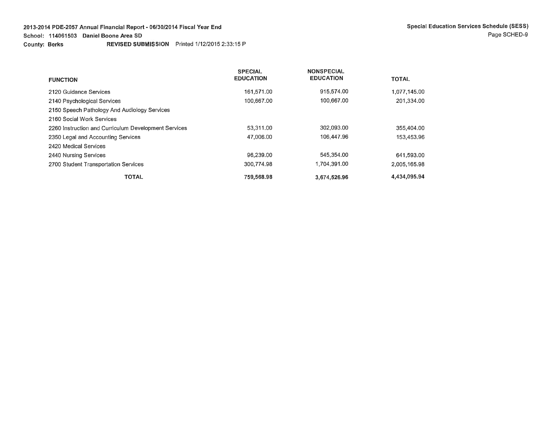### **2013-2014 PDE-2057 Annual Financial Report- 06/30/2014 Fiscal Year End School: 114061503 Daniel Boone Area SD**

**County: Berks REVISED SUBMISSION** Printed 1/12/2015 2:33:15 P

|                                                      | <b>SPECIAL</b>   | <b>NONSPECIAL</b> |              |
|------------------------------------------------------|------------------|-------------------|--------------|
| <b>FUNCTION</b>                                      | <b>EDUCATION</b> | <b>EDUCATION</b>  | <b>TOTAL</b> |
| 2120 Guidance Services                               | 161,571.00       | 915,574.00        | 1,077,145.00 |
| 2140 Psychological Services                          | 100.667.00       | 100,667.00        | 201,334.00   |
| 2150 Speech Pathology And Audiology Services         |                  |                   |              |
| 2160 Social Work Services                            |                  |                   |              |
| 2260 Instruction and Curriculum Development Services | 53,311,00        | 302.093.00        | 355,404.00   |
| 2350 Legal and Accounting Services                   | 47.006.00        | 106,447.96        | 153,453.96   |
| 2420 Medical Services                                |                  |                   |              |
| 2440 Nursing Services                                | 96.239.00        | 545,354.00        | 641,593.00   |
| 2700 Student Transportation Services                 | 300,774.98       | 1,704,391.00      | 2,005,165.98 |
| <b>TOTAL</b>                                         | 759,568.98       | 3,674,526.96      | 4.434.095.94 |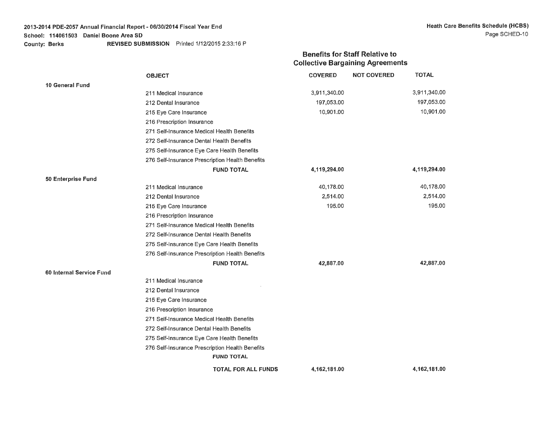**2013-2014 PDE-2057 Annual Financial Report - 06/30/2014 Fiscal Year End School: 114061503 Daniel Boone Area SD** 

**County: Berks REVISED SUBMISSION** Printed 1/12/2015 2:33:16 P

#### **Benefits for Staff Relative to Collective Bargaining Agreements**

|                          | <b>OBJECT</b>                                                        | <b>COVERED</b> | <b>NOT COVERED</b> | <b>TOTAL</b> |
|--------------------------|----------------------------------------------------------------------|----------------|--------------------|--------------|
| 10 General Fund          |                                                                      |                |                    |              |
|                          | 211 Medical Insurance                                                | 3,911,340.00   |                    | 3,911,340.00 |
|                          | 212 Dental Insurance                                                 | 197,053.00     |                    | 197,053.00   |
|                          | 215 Eye Care Insurance                                               | 10,901.00      |                    | 10,901.00    |
|                          | 216 Prescription Insurance                                           |                |                    |              |
|                          | 271 Self-Insurance Medical Health Benefits                           |                |                    |              |
|                          | 272 Self-Insurance Dental Health Benefits                            |                |                    |              |
|                          | 275 Self-Insurance Eye Care Health Benefits                          |                |                    |              |
|                          | 276 Self-Insurance Prescription Health Benefits                      |                |                    |              |
|                          | <b>FUND TOTAL</b>                                                    | 4,119,294.00   |                    | 4,119,294.00 |
| 50 Enterprise Fund       |                                                                      |                |                    |              |
|                          | 211 Medical Insurance                                                | 40,178.00      |                    | 40,178.00    |
|                          | 212 Dental Insurance                                                 | 2,514.00       |                    | 2,514.00     |
|                          | 215 Eye Care Insurance                                               | 195.00         |                    | 195.00       |
|                          | 216 Prescription Insurance                                           |                |                    |              |
|                          | 271 Self-Insurance Medical Health Benefits                           |                |                    |              |
|                          | 272 Self-Insurance Dental Health Benefits                            |                |                    |              |
|                          | 275 Self-Insurance Eye Care Health Benefits                          |                |                    |              |
|                          | 276 Self-Insurance Prescription Health Benefits                      |                |                    |              |
|                          | <b>FUND TOTAL</b>                                                    | 42,887.00      |                    | 42,887.00    |
| 60 Internal Service Fund |                                                                      |                |                    |              |
|                          | 211 Medical Insurance                                                |                |                    |              |
|                          | 212 Dental Insurance                                                 |                |                    |              |
|                          | 215 Eye Care Insurance                                               |                |                    |              |
|                          | 216 Prescription Insurance                                           |                |                    |              |
|                          | 271 Self-Insurance Medical Health Benefits                           |                |                    |              |
|                          | 272 Self-Insurance Dental Health Benefits                            |                |                    |              |
|                          | 275 Self-Insurance Eye Care Health Benefits                          |                |                    |              |
|                          | 276 Self-Insurance Prescription Health Benefits<br><b>FUND TOTAL</b> |                |                    |              |
|                          | <b>TOTAL FOR ALL FUNDS</b>                                           | 4,162,181.00   |                    | 4,162,181.00 |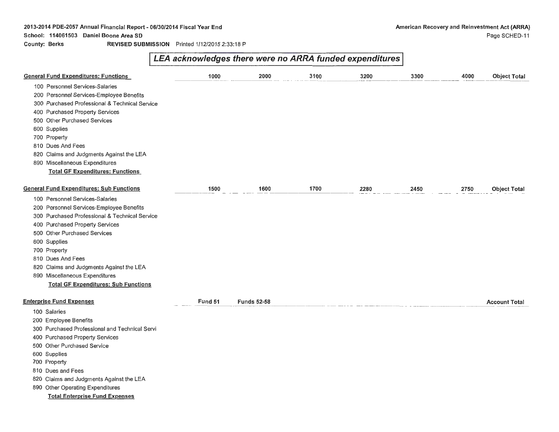#### 2013-2014 PDE-2057 Annual Financial Report - 06/30/2014 Fiscal Year End

#### School: 114061503 Daniel Boone Area SD

County: Berks REVISED SUBMISSION Printed 1/12/2015 2:33:18 P

## **LEA acknowledges there were no ARRA funded expenditures**

| <b>General Fund Expenditures: Functions</b>     | 1000    | 2000               | 3100 | 3200 | 3300 | 4000 | <b>Object Total</b>  |
|-------------------------------------------------|---------|--------------------|------|------|------|------|----------------------|
| 100 Personnel Services-Salaries                 |         |                    |      |      |      |      |                      |
| 200 Personnel Services-Employee Benefits        |         |                    |      |      |      |      |                      |
| 300 Purchased Professional & Technical Service  |         |                    |      |      |      |      |                      |
| 400 Purchased Property Services                 |         |                    |      |      |      |      |                      |
| 500 Other Purchased Services                    |         |                    |      |      |      |      |                      |
| 600 Supplies                                    |         |                    |      |      |      |      |                      |
| 700 Property                                    |         |                    |      |      |      |      |                      |
| 810 Dues And Fees                               |         |                    |      |      |      |      |                      |
| 820 Claims and Judgments Against the LEA        |         |                    |      |      |      |      |                      |
| 890 Miscellaneous Expenditures                  |         |                    |      |      |      |      |                      |
| <b>Total GF Expenditures: Functions</b>         |         |                    |      |      |      |      |                      |
| <b>General Fund Expenditures: Sub Functions</b> | 1500    | 1600               | 1700 | 2280 | 2450 | 2750 | <b>Object Total</b>  |
| 100 Personnel Services-Salaries                 |         |                    |      |      |      |      |                      |
| 200 Personnel Services-Employee Benefits        |         |                    |      |      |      |      |                      |
| 300 Purchased Professional & Technical Service  |         |                    |      |      |      |      |                      |
| 400 Purchased Property Services                 |         |                    |      |      |      |      |                      |
| 500 Other Purchased Services                    |         |                    |      |      |      |      |                      |
| 600 Supplies                                    |         |                    |      |      |      |      |                      |
| 700 Property                                    |         |                    |      |      |      |      |                      |
| 810 Dues And Fees                               |         |                    |      |      |      |      |                      |
| 820 Claims and Judgments Against the LEA        |         |                    |      |      |      |      |                      |
| 890 Miscellaneous Expenditures                  |         |                    |      |      |      |      |                      |
| <b>Total GF Expenditures: Sub Functions</b>     |         |                    |      |      |      |      |                      |
| <b>Enterprise Fund Expenses</b>                 | Fund 51 | <b>Funds 52-58</b> |      |      |      |      | <b>Account Total</b> |
| 100 Salaries                                    |         |                    |      |      |      |      |                      |
| 200 Employee Benefits                           |         |                    |      |      |      |      |                      |
| 300 Purchased Professional and Technical Servi  |         |                    |      |      |      |      |                      |
| 400 Purchased Property Services                 |         |                    |      |      |      |      |                      |
| 500 Other Purchased Service                     |         |                    |      |      |      |      |                      |
| 600 Supplies                                    |         |                    |      |      |      |      |                      |
| 700 Property                                    |         |                    |      |      |      |      |                      |
| 810 Dues and Fees                               |         |                    |      |      |      |      |                      |
| 820 Claims and Judgments Against the LEA        |         |                    |      |      |      |      |                      |
| 890 Other Operating Expenditures                |         |                    |      |      |      |      |                      |
| <b>Total Enterprise Fund Expenses</b>           |         |                    |      |      |      |      |                      |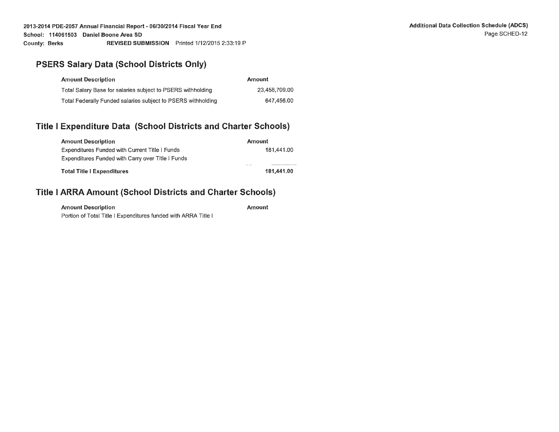## **PSERS Salary Data (School Districts Only)**

| <b>Amount Description</b>                                    | Amount        |
|--------------------------------------------------------------|---------------|
| Total Salary Base for salaries subject to PSERS withholding  | 23,458,709.00 |
| Total Federally Funded salaries subject to PSERS withholding | 647,456.00    |

## **Title I Expenditure Data (School Districts and Charter Schools)**

| <b>Amount Description</b>                         | Amount     |
|---------------------------------------------------|------------|
| Expenditures Funded with Current Title I Funds    | 181.441.00 |
| Expenditures Funded with Carry over Title I Funds |            |
| <b>Total Title I Expenditures</b>                 | 181.441.00 |

## **Title I ARRA Amount (School Districts and Charter Schools)**

**Amount Description Amount**  Amount Portion of Total Title I Expenditures funded with ARRA Title I